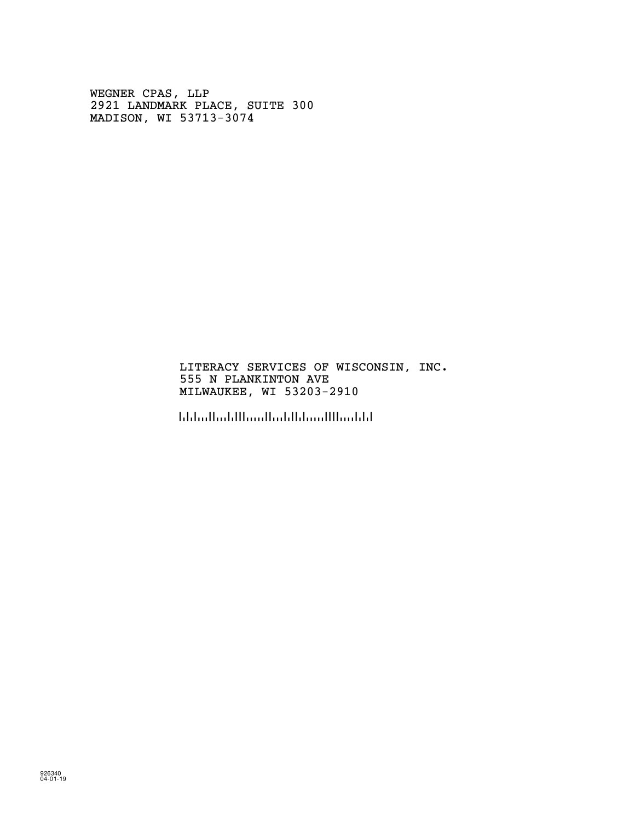WEGNER CPAS, LLP 2921 LANDMARK PLACE, SUITE 300 MADISON, WI 53713-3074

### LITERACY SERVICES OF WISCONSIN, INC. 555 N PLANKINTON AVE MILWAUKEE, WI 53203-2910

!5320329105!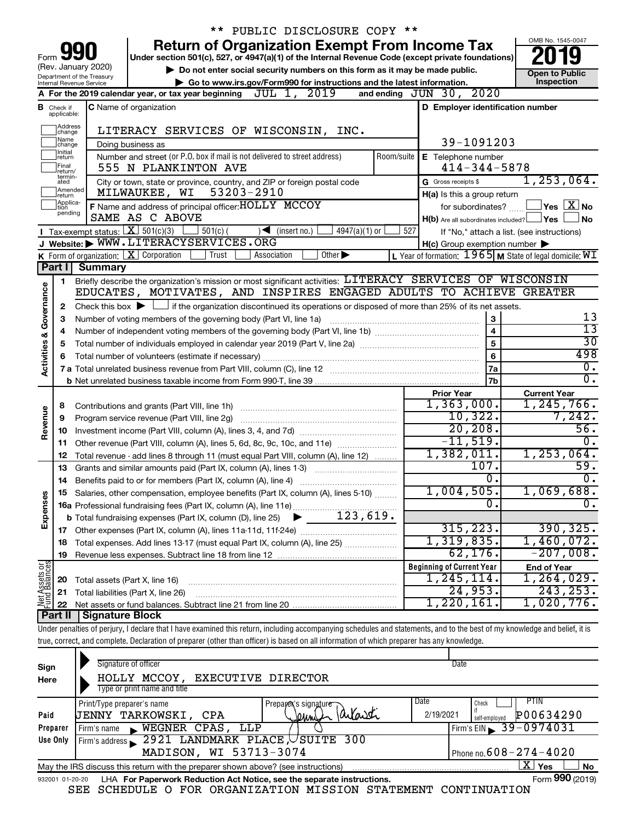|                         |                              |                                                        | ** PUBLIC DISCLOSURE COPY **                                                                                                                                               |                                                                                                                    |                                                             |
|-------------------------|------------------------------|--------------------------------------------------------|----------------------------------------------------------------------------------------------------------------------------------------------------------------------------|--------------------------------------------------------------------------------------------------------------------|-------------------------------------------------------------|
|                         |                              |                                                        | <b>Return of Organization Exempt From Income Tax</b>                                                                                                                       |                                                                                                                    | OMB No. 1545-0047                                           |
| Form                    |                              |                                                        | Under section 501(c), 527, or 4947(a)(1) of the Internal Revenue Code (except private foundations)                                                                         |                                                                                                                    |                                                             |
|                         |                              | (Rev. January 2020)                                    | Do not enter social security numbers on this form as it may be made public.                                                                                                |                                                                                                                    | <b>Open to Public</b>                                       |
|                         |                              | Department of the Treasury<br>Internal Revenue Service | Go to www.irs.gov/Form990 for instructions and the latest information.                                                                                                     |                                                                                                                    | Inspection                                                  |
|                         |                              |                                                        | A For the 2019 calendar year, or tax year beginning $JUL$ $1, 2019$                                                                                                        | and ending JUN 30, 2020                                                                                            |                                                             |
| в                       | Check if                     |                                                        | <b>C</b> Name of organization                                                                                                                                              | D Employer identification number                                                                                   |                                                             |
|                         | applicable:                  |                                                        |                                                                                                                                                                            |                                                                                                                    |                                                             |
|                         | Address<br>change            |                                                        | LITERACY SERVICES OF WISCONSIN, INC.                                                                                                                                       |                                                                                                                    |                                                             |
|                         | Name<br>change<br>Initial    |                                                        | Doing business as                                                                                                                                                          | 39-1091203                                                                                                         |                                                             |
|                         | ∣return                      |                                                        | Number and street (or P.O. box if mail is not delivered to street address)<br>Room/suite                                                                                   | E Telephone number                                                                                                 |                                                             |
|                         | Final<br>return/<br>termin-  |                                                        | 555 N PLANKINTON AVE                                                                                                                                                       | $414 - 344 - 5878$                                                                                                 |                                                             |
|                         | ated<br>Amended              |                                                        | City or town, state or province, country, and ZIP or foreign postal code                                                                                                   | G Gross receipts \$                                                                                                | $1,253,064$ .                                               |
|                         | Ireturn<br>Applica-<br>Ition |                                                        | MILWAUKEE, WI 53203-2910                                                                                                                                                   | H(a) Is this a group return                                                                                        |                                                             |
|                         | pending                      |                                                        | F Name and address of principal officer: HOLLY MCCOY<br>SAME AS C ABOVE                                                                                                    | for subordinates?                                                                                                  | $ {\mathsf Y}\mathsf{es} \mathrel{\mathop:} \mathbb{X} $ No |
|                         |                              |                                                        | <b>T</b> Tax-exempt status: $\boxed{\mathbf{X}}$ 501(c)(3) 501(c)(<br>$\sqrt{\frac{1}{1}}$ (insert no.)                                                                    | $H(b)$ Are all subordinates included? $\Box$ Yes<br>527                                                            | l No                                                        |
|                         |                              |                                                        | 4947(a)(1) or<br>J Website: WWW.LITERACYSERVICES.ORG                                                                                                                       | If "No," attach a list. (see instructions)                                                                         |                                                             |
|                         |                              |                                                        | K Form of organization: $X$ Corporation<br>Trust<br>Other $\blacktriangleright$<br>Association                                                                             | $H(c)$ Group exemption number $\blacktriangleright$<br>L Year of formation: $1965$ M State of legal domicile: $WI$ |                                                             |
|                         |                              | Part I Summary                                         |                                                                                                                                                                            |                                                                                                                    |                                                             |
|                         | 1.                           |                                                        | Briefly describe the organization's mission or most significant activities: LITERACY SERVICES OF WISCONSIN                                                                 |                                                                                                                    |                                                             |
| Governance              |                              |                                                        | EDUCATES, MOTIVATES, AND INSPIRES ENGAGED ADULTS TO ACHIEVE GREATER                                                                                                        |                                                                                                                    |                                                             |
|                         | 2                            |                                                        | Check this box $\blacktriangleright$ $\Box$ if the organization discontinued its operations or disposed of more than 25% of its net assets.                                |                                                                                                                    |                                                             |
|                         | З                            |                                                        | Number of voting members of the governing body (Part VI, line 1a)                                                                                                          | 3                                                                                                                  | 13                                                          |
|                         | 4                            |                                                        |                                                                                                                                                                            | $\overline{\mathbf{4}}$                                                                                            | $\overline{13}$                                             |
|                         | 5                            |                                                        |                                                                                                                                                                            | 5                                                                                                                  | $\overline{30}$                                             |
| <b>Activities &amp;</b> |                              |                                                        |                                                                                                                                                                            | 6                                                                                                                  | 498                                                         |
|                         |                              |                                                        |                                                                                                                                                                            | <b>7a</b>                                                                                                          | σ.                                                          |
|                         |                              |                                                        |                                                                                                                                                                            | 7b                                                                                                                 | σ.                                                          |
|                         |                              |                                                        |                                                                                                                                                                            | <b>Prior Year</b>                                                                                                  | <b>Current Year</b>                                         |
|                         | 8                            |                                                        |                                                                                                                                                                            | 1,363,000.                                                                                                         | 1, 245, 766.                                                |
| Revenue                 | 9                            |                                                        | Program service revenue (Part VIII, line 2g)                                                                                                                               | 10,322.                                                                                                            | 7,242.                                                      |
|                         | 10                           |                                                        |                                                                                                                                                                            | 20, 208.                                                                                                           | 56.                                                         |
|                         | 11                           |                                                        | Other revenue (Part VIII, column (A), lines 5, 6d, 8c, 9c, 10c, and 11e)                                                                                                   | $-11,519.$                                                                                                         | $\overline{0}$ .                                            |
|                         | 12                           |                                                        | Total revenue - add lines 8 through 11 (must equal Part VIII, column (A), line 12)                                                                                         | 1,382,011.<br>107.                                                                                                 | 1, 253, 064.<br>59.                                         |
|                         | 13                           |                                                        | Grants and similar amounts paid (Part IX, column (A), lines 1-3)                                                                                                           | $\overline{0}$ .                                                                                                   | $\overline{0}$ .                                            |
|                         | 14                           |                                                        |                                                                                                                                                                            | 1,004,505.                                                                                                         | 1,069,688.                                                  |
| Expenses                |                              |                                                        | 15 Salaries, other compensation, employee benefits (Part IX, column (A), lines 5-10)                                                                                       | $\overline{0}$ .                                                                                                   | $\overline{0}$ .                                            |
|                         |                              |                                                        |                                                                                                                                                                            |                                                                                                                    |                                                             |
|                         |                              |                                                        |                                                                                                                                                                            | 315,223.                                                                                                           | 390, 325.                                                   |
|                         | 18                           |                                                        | Total expenses. Add lines 13-17 (must equal Part IX, column (A), line 25) [                                                                                                | 1,319,835.                                                                                                         | 1,460,072.                                                  |
|                         | 19                           |                                                        |                                                                                                                                                                            | 62, 176.                                                                                                           | $-207,008$ .                                                |
|                         |                              |                                                        |                                                                                                                                                                            | <b>Beginning of Current Year</b>                                                                                   | <b>End of Year</b>                                          |
| Net Assets or           | 20                           | Total assets (Part X, line 16)                         |                                                                                                                                                                            | 1,245,114.                                                                                                         | 1,264,029.                                                  |
|                         | 21                           |                                                        | Total liabilities (Part X, line 26)                                                                                                                                        | 24,953.                                                                                                            | 243, 253.                                                   |
|                         | 22                           |                                                        |                                                                                                                                                                            | 1,220,161.                                                                                                         | 1,020,776.                                                  |
|                         | Part II                      | <b>Signature Block</b>                                 |                                                                                                                                                                            |                                                                                                                    |                                                             |
|                         |                              |                                                        | Under penalties of perjury, I declare that I have examined this return, including accompanying schedules and statements, and to the best of my knowledge and belief, it is |                                                                                                                    |                                                             |
|                         |                              |                                                        | true, correct, and complete. Declaration of preparer (other than officer) is based on all information of which preparer has any knowledge.                                 |                                                                                                                    |                                                             |
|                         |                              |                                                        |                                                                                                                                                                            |                                                                                                                    |                                                             |
| Sign                    |                              |                                                        | Signature of officer                                                                                                                                                       | Date                                                                                                               |                                                             |

| əıyn            |                                                                                                                   |             |                              |                                                                        |  |                      |  |           |               |                              |  |
|-----------------|-------------------------------------------------------------------------------------------------------------------|-------------|------------------------------|------------------------------------------------------------------------|--|----------------------|--|-----------|---------------|------------------------------|--|
| Here            |                                                                                                                   |             |                              | HOLLY MCCOY, EXECUTIVE DIRECTOR                                        |  |                      |  |           |               |                              |  |
|                 |                                                                                                                   |             | Type or print name and title |                                                                        |  |                      |  |           |               |                              |  |
|                 |                                                                                                                   |             | Print/Type preparer's name   |                                                                        |  | Preparex's signature |  | Date      | Check         | PTIN                         |  |
| Paid            |                                                                                                                   |             | UENNY TARKOWSKI, CPA         |                                                                        |  | Jeunel Parlaneti     |  | 2/19/2021 | self-employed | P00634290                    |  |
| Preparer        |                                                                                                                   | Firm's name |                              | WEGNER CPAS, LLP                                                       |  |                      |  |           |               | Firm's EIN 39-0974031        |  |
| Use Only        |                                                                                                                   |             |                              | Firm's address 2921 LANDMARK PLACE, USUITE 300                         |  |                      |  |           |               |                              |  |
|                 |                                                                                                                   |             |                              | MADISON, WI 53713-3074                                                 |  |                      |  |           |               | Phone no. $608 - 274 - 4020$ |  |
|                 | $X \mid$<br><b>No</b><br>Yes<br>May the IRS discuss this return with the preparer shown above? (see instructions) |             |                              |                                                                        |  |                      |  |           |               |                              |  |
| 932001 01-20-20 |                                                                                                                   |             |                              | LHA For Paperwork Reduction Act Notice, see the separate instructions. |  |                      |  |           |               | Form 990 (2019)              |  |

SEE SCHEDULE O FOR ORGANIZATION MISSION STATEMENT CONTINUATION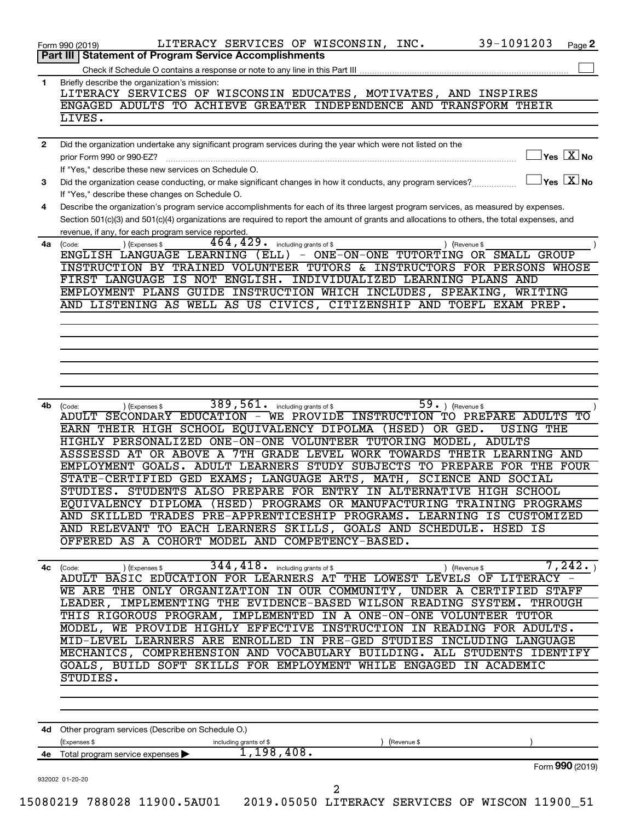|              | 39-1091203<br>LITERACY SERVICES OF WISCONSIN, INC.<br>Form 990 (2019)<br>Page 2<br>Part III   Statement of Program Service Accomplishments                                |
|--------------|---------------------------------------------------------------------------------------------------------------------------------------------------------------------------|
|              |                                                                                                                                                                           |
| 1            | Briefly describe the organization's mission:                                                                                                                              |
|              | LITERACY SERVICES OF WISCONSIN EDUCATES, MOTIVATES, AND INSPIRES                                                                                                          |
|              | ENGAGED ADULTS TO ACHIEVE GREATER INDEPENDENCE AND TRANSFORM THEIR                                                                                                        |
|              | LIVES.                                                                                                                                                                    |
|              |                                                                                                                                                                           |
| $\mathbf{2}$ | Did the organization undertake any significant program services during the year which were not listed on the                                                              |
|              | $\overline{\ }$ Yes $\overline{\rm{X}}$ No<br>prior Form 990 or 990-EZ?                                                                                                   |
|              | If "Yes," describe these new services on Schedule O.                                                                                                                      |
| 3            | $\exists$ Yes $\boxed{\text{X}}$ No<br>Did the organization cease conducting, or make significant changes in how it conducts, any program services?                       |
|              | If "Yes," describe these changes on Schedule O.                                                                                                                           |
| 4            | Describe the organization's program service accomplishments for each of its three largest program services, as measured by expenses.                                      |
|              | Section 501(c)(3) and 501(c)(4) organizations are required to report the amount of grants and allocations to others, the total expenses, and                              |
|              | revenue, if any, for each program service reported.                                                                                                                       |
| 4a           | 464,429.<br>including grants of \$<br>) (Expenses \$<br>(Code:<br>) (Revenue \$                                                                                           |
|              | ENGLISH LANGUAGE LEARNING (ELL)<br>- ONE-ON-ONE TUTORTING OR SMALL GROUP                                                                                                  |
|              | INSTRUCTION BY TRAINED VOLUNTEER TUTORS & INSTRUCTORS FOR PERSONS WHOSE                                                                                                   |
|              | FIRST LANGUAGE IS NOT ENGLISH. INDIVIDUALIZED LEARNING PLANS AND                                                                                                          |
|              | EMPLOYMENT PLANS GUIDE INSTRUCTION WHICH INCLUDES, SPEAKING, WRITING                                                                                                      |
|              | AND LISTENING AS WELL AS US CIVICS, CITIZENSHIP AND TOEFL EXAM PREP.                                                                                                      |
|              |                                                                                                                                                                           |
|              |                                                                                                                                                                           |
|              |                                                                                                                                                                           |
|              |                                                                                                                                                                           |
|              |                                                                                                                                                                           |
|              |                                                                                                                                                                           |
|              |                                                                                                                                                                           |
| 4b           | 389, 561. including grants of \$<br>$\overline{59.})$ (Revenue \$<br>(Code:<br>(Expenses \$<br>ADULT SECONDARY EDUCATION - WE PROVIDE INSTRUCTION TO PREPARE ADULTS<br>ТO |
|              | EARN THEIR HIGH SCHOOL EQUIVALENCY DIPOLMA (HSED) OR GED.<br><b>USING THE</b>                                                                                             |
|              | HIGHLY PERSONALIZED ONE-ON-ONE VOLUNTEER TUTORING MODEL, ADULTS                                                                                                           |
|              | ASSSESSD AT OR ABOVE A 7TH GRADE LEVEL WORK TOWARDS THEIR LEARNING AND                                                                                                    |
|              | EMPLOYMENT GOALS. ADULT LEARNERS STUDY SUBJECTS TO PREPARE FOR THE FOUR                                                                                                   |
|              | STATE-CERTIFIED GED EXAMS; LANGUAGE ARTS, MATH, SCIENCE AND SOCIAL                                                                                                        |
|              | STUDIES. STUDENTS ALSO PREPARE FOR ENTRY IN ALTERNATIVE HIGH SCHOOL                                                                                                       |
|              | EQUIVALENCY DIPLOMA (HSED) PROGRAMS OR MANUFACTURING TRAINING PROGRAMS                                                                                                    |
|              | AND SKILLED TRADES PRE-APPRENTICESHIP PROGRAMS. LEARNING IS CUSTOMIZED                                                                                                    |
|              | AND RELEVANT TO EACH LEARNERS SKILLS, GOALS AND SCHEDULE. HSED IS                                                                                                         |
|              | OFFERED AS A COHORT MODEL AND COMPETENCY-BASED.                                                                                                                           |
|              |                                                                                                                                                                           |
|              | 344, 418. including grants of \$<br>7,242.<br>) (Revenue \$<br>) (Expenses \$<br>4c (Code:                                                                                |
|              | ADULT BASIC EDUCATION FOR LEARNERS AT THE LOWEST LEVELS OF LITERACY -                                                                                                     |
|              | WE ARE THE ONLY ORGANIZATION IN OUR COMMUNITY, UNDER A CERTIFIED STAFF                                                                                                    |
|              | LEADER, IMPLEMENTING THE EVIDENCE-BASED WILSON READING SYSTEM.<br><b>THROUGH</b>                                                                                          |
|              | THIS RIGOROUS PROGRAM, IMPLEMENTED IN A ONE-ON-ONE VOLUNTEER TUTOR                                                                                                        |
|              | MODEL, WE PROVIDE HIGHLY EFFECTIVE INSTRUCTION IN READING FOR ADULTS.                                                                                                     |
|              | MID-LEVEL LEARNERS ARE ENROLLED IN PRE-GED STUDIES INCLUDING LANGUAGE                                                                                                     |
|              | MECHANICS, COMPREHENSION AND VOCABULARY BUILDING. ALL STUDENTS IDENTIFY                                                                                                   |
|              | GOALS, BUILD SOFT SKILLS FOR EMPLOYMENT WHILE ENGAGED IN ACADEMIC                                                                                                         |
|              | STUDIES.                                                                                                                                                                  |
|              |                                                                                                                                                                           |
|              |                                                                                                                                                                           |
|              |                                                                                                                                                                           |
|              | 4d Other program services (Describe on Schedule O.)                                                                                                                       |
|              | (Expenses \$<br>(Revenue \$<br>including grants of \$                                                                                                                     |
|              | 1,198,408.<br>4e Total program service expenses >                                                                                                                         |
|              | Form 990 (2019)                                                                                                                                                           |
|              | 932002 01-20-20                                                                                                                                                           |
|              | 2                                                                                                                                                                         |
|              | 15080219 788028 11900.5AU01  2019.05050 LITERACY SERVICES OF WISCON 11900_51                                                                                              |
|              |                                                                                                                                                                           |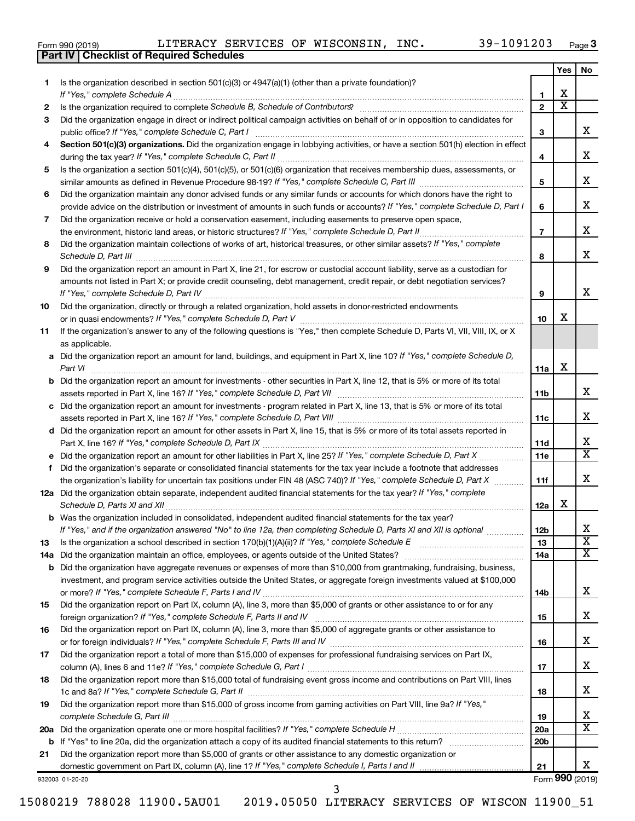|  | Form 990 (2019) |  |
|--|-----------------|--|
|  |                 |  |

**Part IV Checklist of Required Schedules**

|    |                                                                                                                                             |                 | Yes                     | No                         |
|----|---------------------------------------------------------------------------------------------------------------------------------------------|-----------------|-------------------------|----------------------------|
| 1  | Is the organization described in section $501(c)(3)$ or $4947(a)(1)$ (other than a private foundation)?<br>If "Yes," complete Schedule A    | 1               | x.                      |                            |
| 2  |                                                                                                                                             | $\mathbf{2}$    | $\overline{\textbf{x}}$ |                            |
| 3  | Did the organization engage in direct or indirect political campaign activities on behalf of or in opposition to candidates for             |                 |                         |                            |
|    | public office? If "Yes," complete Schedule C, Part I                                                                                        | З               |                         | x.                         |
| 4  | Section 501(c)(3) organizations. Did the organization engage in lobbying activities, or have a section 501(h) election in effect            |                 |                         |                            |
|    |                                                                                                                                             | 4               |                         | x                          |
| 5  | Is the organization a section 501(c)(4), 501(c)(5), or 501(c)(6) organization that receives membership dues, assessments, or                |                 |                         |                            |
|    |                                                                                                                                             | 5               |                         | x                          |
| 6  | Did the organization maintain any donor advised funds or any similar funds or accounts for which donors have the right to                   |                 |                         |                            |
|    | provide advice on the distribution or investment of amounts in such funds or accounts? If "Yes," complete Schedule D, Part I                | 6               |                         | x                          |
| 7  | Did the organization receive or hold a conservation easement, including easements to preserve open space,                                   |                 |                         |                            |
|    | the environment, historic land areas, or historic structures? If "Yes," complete Schedule D, Part II                                        | 7               |                         | x                          |
| 8  | Did the organization maintain collections of works of art, historical treasures, or other similar assets? If "Yes," complete                |                 |                         |                            |
|    | Schedule D, Part III                                                                                                                        | 8               |                         | x.                         |
| 9  | Did the organization report an amount in Part X, line 21, for escrow or custodial account liability, serve as a custodian for               |                 |                         |                            |
|    | amounts not listed in Part X; or provide credit counseling, debt management, credit repair, or debt negotiation services?                   |                 |                         |                            |
|    | If "Yes," complete Schedule D, Part IV                                                                                                      | 9               |                         | x.                         |
| 10 | Did the organization, directly or through a related organization, hold assets in donor-restricted endowments                                |                 |                         |                            |
|    |                                                                                                                                             | 10              | x.                      |                            |
| 11 | If the organization's answer to any of the following questions is "Yes," then complete Schedule D, Parts VI, VII, VIII, IX, or X            |                 |                         |                            |
|    | as applicable.                                                                                                                              |                 |                         |                            |
|    | a Did the organization report an amount for land, buildings, and equipment in Part X, line 10? If "Yes," complete Schedule D,               |                 |                         |                            |
|    | Part VI                                                                                                                                     | 11a             | x                       |                            |
|    | <b>b</b> Did the organization report an amount for investments - other securities in Part X, line 12, that is 5% or more of its total       |                 |                         |                            |
|    |                                                                                                                                             | 11b             |                         | x                          |
|    | c Did the organization report an amount for investments - program related in Part X, line 13, that is 5% or more of its total               |                 |                         |                            |
|    |                                                                                                                                             | 11c             |                         | x                          |
|    | d Did the organization report an amount for other assets in Part X, line 15, that is 5% or more of its total assets reported in             |                 |                         |                            |
|    |                                                                                                                                             | 11d             |                         | x<br>$\overline{\text{X}}$ |
|    | e Did the organization report an amount for other liabilities in Part X, line 25? If "Yes," complete Schedule D, Part X                     | 11e             |                         |                            |
| f. | Did the organization's separate or consolidated financial statements for the tax year include a footnote that addresses                     |                 |                         | x.                         |
|    | the organization's liability for uncertain tax positions under FIN 48 (ASC 740)? If "Yes," complete Schedule D, Part X                      | 11f             |                         |                            |
|    | 12a Did the organization obtain separate, independent audited financial statements for the tax year? If "Yes," complete                     |                 | х                       |                            |
|    | Schedule D, Parts XI and XII<br>b Was the organization included in consolidated, independent audited financial statements for the tax year? | 12a             |                         |                            |
|    | If "Yes," and if the organization answered "No" to line 12a, then completing Schedule D, Parts XI and XII is optional www.                  | 12 <sub>b</sub> |                         | Χ                          |
| 13 | Is the organization a school described in section $170(b)(1)(A)(ii)$ ? If "Yes," complete Schedule E                                        | 13              |                         | $\overline{\text{x}}$      |
|    | 14a Did the organization maintain an office, employees, or agents outside of the United States?                                             | 14a             |                         | x                          |
|    | <b>b</b> Did the organization have aggregate revenues or expenses of more than \$10,000 from grantmaking, fundraising, business,            |                 |                         |                            |
|    | investment, and program service activities outside the United States, or aggregate foreign investments valued at \$100,000                  |                 |                         |                            |
|    |                                                                                                                                             | 14b             |                         | x                          |
| 15 | Did the organization report on Part IX, column (A), line 3, more than \$5,000 of grants or other assistance to or for any                   |                 |                         |                            |
|    |                                                                                                                                             | 15              |                         | x                          |
| 16 | Did the organization report on Part IX, column (A), line 3, more than \$5,000 of aggregate grants or other assistance to                    |                 |                         |                            |
|    |                                                                                                                                             | 16              |                         | x                          |
| 17 | Did the organization report a total of more than \$15,000 of expenses for professional fundraising services on Part IX,                     |                 |                         |                            |
|    |                                                                                                                                             | 17              |                         | x                          |
| 18 | Did the organization report more than \$15,000 total of fundraising event gross income and contributions on Part VIII, lines                |                 |                         |                            |
|    |                                                                                                                                             | 18              |                         | x                          |
| 19 | Did the organization report more than \$15,000 of gross income from gaming activities on Part VIII, line 9a? If "Yes,"                      |                 |                         |                            |
|    |                                                                                                                                             | 19              |                         | x                          |
|    |                                                                                                                                             | <b>20a</b>      |                         | X                          |
|    |                                                                                                                                             | 20 <sub>b</sub> |                         |                            |
| 21 | Did the organization report more than \$5,000 of grants or other assistance to any domestic organization or                                 |                 |                         |                            |
|    |                                                                                                                                             | 21              |                         | x                          |

15080219 788028 11900.5AU01 2019.05050 LITERACY SERVICES OF WISCON 11900\_51

3

932003 01-20-20

Form (2019) **990**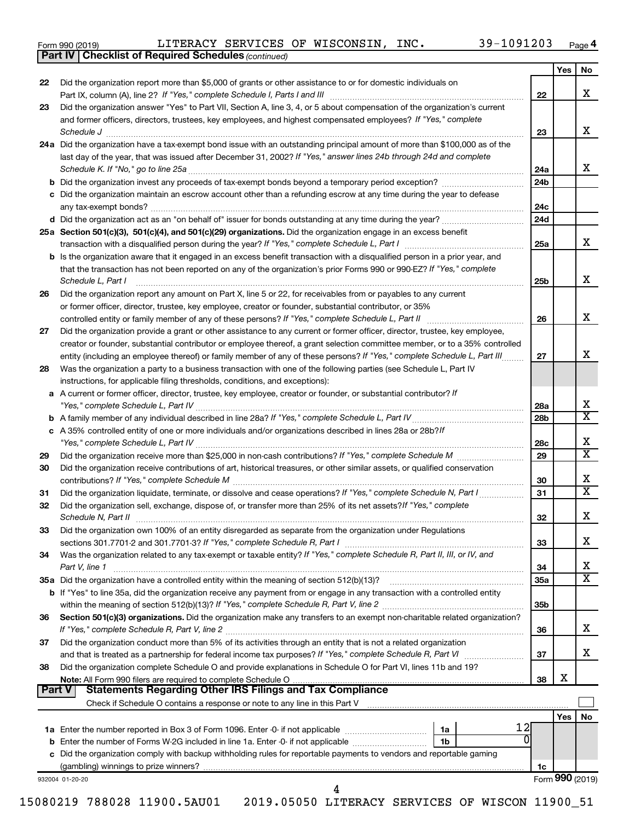| Form 990 (2019) |  |  |  |
|-----------------|--|--|--|
|-----------------|--|--|--|

**Part IV Checklist of Required Schedules**

*(continued)*

|        |                                                                                                                                                                                                                                              |                 | Yes             | No                      |
|--------|----------------------------------------------------------------------------------------------------------------------------------------------------------------------------------------------------------------------------------------------|-----------------|-----------------|-------------------------|
| 22     | Did the organization report more than \$5,000 of grants or other assistance to or for domestic individuals on                                                                                                                                |                 |                 | x                       |
| 23     | Part IX, column (A), line 2? If "Yes," complete Schedule I, Parts I and III [11]] [11]] [11] [11] [11] [11] [1<br>Did the organization answer "Yes" to Part VII, Section A, line 3, 4, or 5 about compensation of the organization's current | 22              |                 |                         |
|        | and former officers, directors, trustees, key employees, and highest compensated employees? If "Yes," complete<br>Schedule J                                                                                                                 | 23              |                 | x                       |
|        | 24a Did the organization have a tax-exempt bond issue with an outstanding principal amount of more than \$100,000 as of the                                                                                                                  |                 |                 |                         |
|        | last day of the year, that was issued after December 31, 2002? If "Yes," answer lines 24b through 24d and complete                                                                                                                           | 24a             |                 | x                       |
|        |                                                                                                                                                                                                                                              | 24b             |                 |                         |
|        | c Did the organization maintain an escrow account other than a refunding escrow at any time during the year to defease                                                                                                                       | 24c             |                 |                         |
|        |                                                                                                                                                                                                                                              | 24d             |                 |                         |
|        | 25a Section 501(c)(3), 501(c)(4), and 501(c)(29) organizations. Did the organization engage in an excess benefit                                                                                                                             | 25a             |                 | x                       |
|        | <b>b</b> Is the organization aware that it engaged in an excess benefit transaction with a disqualified person in a prior year, and                                                                                                          |                 |                 |                         |
|        | that the transaction has not been reported on any of the organization's prior Forms 990 or 990-EZ? If "Yes," complete<br>Schedule L, Part I                                                                                                  | 25b             |                 | x                       |
| 26     | Did the organization report any amount on Part X, line 5 or 22, for receivables from or payables to any current<br>or former officer, director, trustee, key employee, creator or founder, substantial contributor, or 35%                   |                 |                 |                         |
|        |                                                                                                                                                                                                                                              | 26              |                 | X                       |
| 27     | Did the organization provide a grant or other assistance to any current or former officer, director, trustee, key employee,                                                                                                                  |                 |                 |                         |
|        | creator or founder, substantial contributor or employee thereof, a grant selection committee member, or to a 35% controlled                                                                                                                  |                 |                 |                         |
|        | entity (including an employee thereof) or family member of any of these persons? If "Yes," complete Schedule L, Part III                                                                                                                     | 27              |                 | x                       |
| 28     | Was the organization a party to a business transaction with one of the following parties (see Schedule L, Part IV<br>instructions, for applicable filing thresholds, conditions, and exceptions):                                            |                 |                 |                         |
|        | a A current or former officer, director, trustee, key employee, creator or founder, or substantial contributor? If                                                                                                                           | 28a             |                 | Х                       |
|        |                                                                                                                                                                                                                                              | 28b             |                 | $\overline{\text{x}}$   |
|        | c A 35% controlled entity of one or more individuals and/or organizations described in lines 28a or 28b?/f                                                                                                                                   | 28c             |                 | x                       |
| 29     |                                                                                                                                                                                                                                              | 29              |                 | $\overline{\texttt{x}}$ |
| 30     | Did the organization receive contributions of art, historical treasures, or other similar assets, or qualified conservation                                                                                                                  | 30              |                 | х                       |
| 31     | Did the organization liquidate, terminate, or dissolve and cease operations? If "Yes," complete Schedule N, Part I                                                                                                                           | 31              |                 | $\overline{\text{x}}$   |
| 32     | Did the organization sell, exchange, dispose of, or transfer more than 25% of its net assets? If "Yes," complete                                                                                                                             | 32              |                 | Х                       |
| 33     | Did the organization own 100% of an entity disregarded as separate from the organization under Regulations                                                                                                                                   | 33              |                 | х                       |
| 34     | Was the organization related to any tax-exempt or taxable entity? If "Yes," complete Schedule R, Part II, III, or IV, and<br>Part V, line 1                                                                                                  | 34              |                 | х                       |
|        |                                                                                                                                                                                                                                              | 35a             |                 | $\overline{\texttt{x}}$ |
|        | <b>b</b> If "Yes" to line 35a, did the organization receive any payment from or engage in any transaction with a controlled entity                                                                                                           | 35 <sub>b</sub> |                 |                         |
| 36     | Section 501(c)(3) organizations. Did the organization make any transfers to an exempt non-charitable related organization?                                                                                                                   | 36              |                 | x                       |
| 37     | Did the organization conduct more than 5% of its activities through an entity that is not a related organization                                                                                                                             | 37              |                 | x                       |
| 38     | Did the organization complete Schedule O and provide explanations in Schedule O for Part VI, lines 11b and 19?                                                                                                                               | 38              | Х               |                         |
| Part V | <b>Statements Regarding Other IRS Filings and Tax Compliance</b><br>Check if Schedule O contains a response or note to any line in this Part V [11] [12] Check if Schedule O contains a response or note to any line in this Part V          |                 |                 |                         |
|        |                                                                                                                                                                                                                                              |                 | Yes $ $         | No                      |
|        | 12<br>1 <sub>b</sub>                                                                                                                                                                                                                         |                 |                 |                         |
|        | c Did the organization comply with backup withholding rules for reportable payments to vendors and reportable gaming                                                                                                                         |                 |                 |                         |
|        |                                                                                                                                                                                                                                              | 1c              |                 |                         |
|        | 932004 01-20-20                                                                                                                                                                                                                              |                 | Form 990 (2019) |                         |
|        | 15080219 788028 11900.5AU01  2019.05050 LITERACY SERVICES OF WISCON 11900_51                                                                                                                                                                 |                 |                 |                         |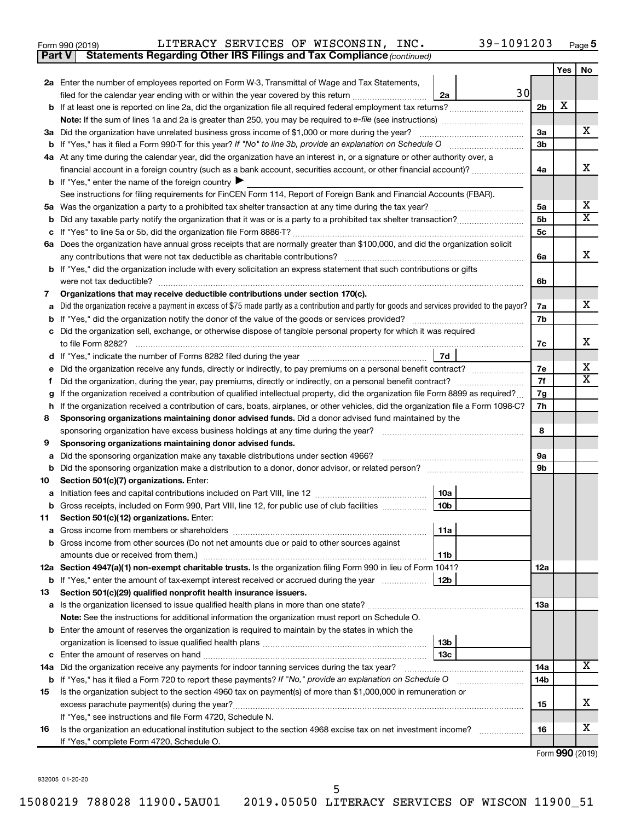| Form 990 (2019) |  |  |  |  | LITERACY SERVICES OF WISCONSIN, INC. |  | 39-1091203 | Page |  |
|-----------------|--|--|--|--|--------------------------------------|--|------------|------|--|
|-----------------|--|--|--|--|--------------------------------------|--|------------|------|--|

| Part V | Statements Regarding Other IRS Filings and Tax Compliance (continued)                                                                                                         |                |     |                         |
|--------|-------------------------------------------------------------------------------------------------------------------------------------------------------------------------------|----------------|-----|-------------------------|
|        |                                                                                                                                                                               |                | Yes | No                      |
|        | 2a Enter the number of employees reported on Form W-3, Transmittal of Wage and Tax Statements,                                                                                |                |     |                         |
|        | 30<br>filed for the calendar year ending with or within the year covered by this return<br>2a                                                                                 |                |     |                         |
|        | b If at least one is reported on line 2a, did the organization file all required federal employment tax returns?                                                              | 2 <sub>b</sub> | X   |                         |
|        |                                                                                                                                                                               |                |     |                         |
|        | 3a Did the organization have unrelated business gross income of \$1,000 or more during the year?                                                                              | За             |     | х                       |
|        |                                                                                                                                                                               | 3b             |     |                         |
|        | 4a At any time during the calendar year, did the organization have an interest in, or a signature or other authority over, a                                                  |                |     |                         |
|        | financial account in a foreign country (such as a bank account, securities account, or other financial account)?                                                              | 4a             |     | х                       |
|        | <b>b</b> If "Yes," enter the name of the foreign country $\blacktriangleright$                                                                                                |                |     |                         |
|        | See instructions for filing requirements for FinCEN Form 114, Report of Foreign Bank and Financial Accounts (FBAR).                                                           |                |     |                         |
| 5а     |                                                                                                                                                                               | 5a             |     | x                       |
| b      |                                                                                                                                                                               | 5b             |     | $\overline{\textbf{x}}$ |
|        |                                                                                                                                                                               | 5с             |     |                         |
|        | 6a Does the organization have annual gross receipts that are normally greater than \$100,000, and did the organization solicit                                                |                |     |                         |
|        |                                                                                                                                                                               | 6a             |     | х                       |
|        | b If "Yes," did the organization include with every solicitation an express statement that such contributions or gifts                                                        |                |     |                         |
|        | were not tax deductible?                                                                                                                                                      | 6b             |     |                         |
| 7      | Organizations that may receive deductible contributions under section 170(c).                                                                                                 |                |     |                         |
| a      | Did the organization receive a payment in excess of \$75 made partly as a contribution and partly for goods and services provided to the payor?                               | 7a             |     | х                       |
| b      |                                                                                                                                                                               | 7b             |     |                         |
|        | Did the organization sell, exchange, or otherwise dispose of tangible personal property for which it was required                                                             |                |     |                         |
|        | to file Form 8282?                                                                                                                                                            | 7c             |     | х                       |
|        | 7d                                                                                                                                                                            |                |     |                         |
|        | Did the organization receive any funds, directly or indirectly, to pay premiums on a personal benefit contract?                                                               | 7e             |     | х                       |
| f      |                                                                                                                                                                               | 7f             |     | $\overline{\mathbf{X}}$ |
| g      | If the organization received a contribution of qualified intellectual property, did the organization file Form 8899 as required?                                              | 7g             |     |                         |
| h      | If the organization received a contribution of cars, boats, airplanes, or other vehicles, did the organization file a Form 1098-C?                                            | 7h             |     |                         |
| 8      | Sponsoring organizations maintaining donor advised funds. Did a donor advised fund maintained by the                                                                          |                |     |                         |
|        |                                                                                                                                                                               | 8              |     |                         |
| 9      | Sponsoring organizations maintaining donor advised funds.                                                                                                                     |                |     |                         |
| а      | Did the sponsoring organization make any taxable distributions under section 4966?                                                                                            | 9а             |     |                         |
| b      |                                                                                                                                                                               | 9b             |     |                         |
| 10     | Section 501(c)(7) organizations. Enter:                                                                                                                                       |                |     |                         |
|        | 10a                                                                                                                                                                           |                |     |                         |
|        | 10 <sub>b</sub><br>b Gross receipts, included on Form 990, Part VIII, line 12, for public use of club facilities                                                              |                |     |                         |
| 11     | Section 501(c)(12) organizations. Enter:                                                                                                                                      |                |     |                         |
|        | 11a                                                                                                                                                                           |                |     |                         |
|        | b Gross income from other sources (Do not net amounts due or paid to other sources against                                                                                    |                |     |                         |
|        | amounts due or received from them.)<br>11b                                                                                                                                    |                |     |                         |
|        | 12a Section 4947(a)(1) non-exempt charitable trusts. Is the organization filing Form 990 in lieu of Form 1041?                                                                | 12a            |     |                         |
|        | b If "Yes," enter the amount of tax-exempt interest received or accrued during the year<br>12b                                                                                |                |     |                         |
| 13     | Section 501(c)(29) qualified nonprofit health insurance issuers.                                                                                                              |                |     |                         |
|        | a Is the organization licensed to issue qualified health plans in more than one state?                                                                                        | 1За            |     |                         |
|        | Note: See the instructions for additional information the organization must report on Schedule O.                                                                             |                |     |                         |
|        | <b>b</b> Enter the amount of reserves the organization is required to maintain by the states in which the                                                                     |                |     |                         |
|        | 13b                                                                                                                                                                           |                |     |                         |
|        | 13c<br>14a Did the organization receive any payments for indoor tanning services during the tax year?                                                                         |                |     | x                       |
|        |                                                                                                                                                                               | 14a<br>14b     |     |                         |
|        | <b>b</b> If "Yes," has it filed a Form 720 to report these payments? If "No," provide an explanation on Schedule O                                                            |                |     |                         |
| 15     | Is the organization subject to the section 4960 tax on payment(s) of more than \$1,000,000 in remuneration or                                                                 |                |     | х                       |
|        |                                                                                                                                                                               | 15             |     |                         |
| 16     | If "Yes," see instructions and file Form 4720, Schedule N.<br>Is the organization an educational institution subject to the section 4968 excise tax on net investment income? | 16             |     | x                       |
|        | If "Yes," complete Form 4720, Schedule O.                                                                                                                                     |                |     |                         |
|        |                                                                                                                                                                               |                |     |                         |

Form (2019) **990**

932005 01-20-20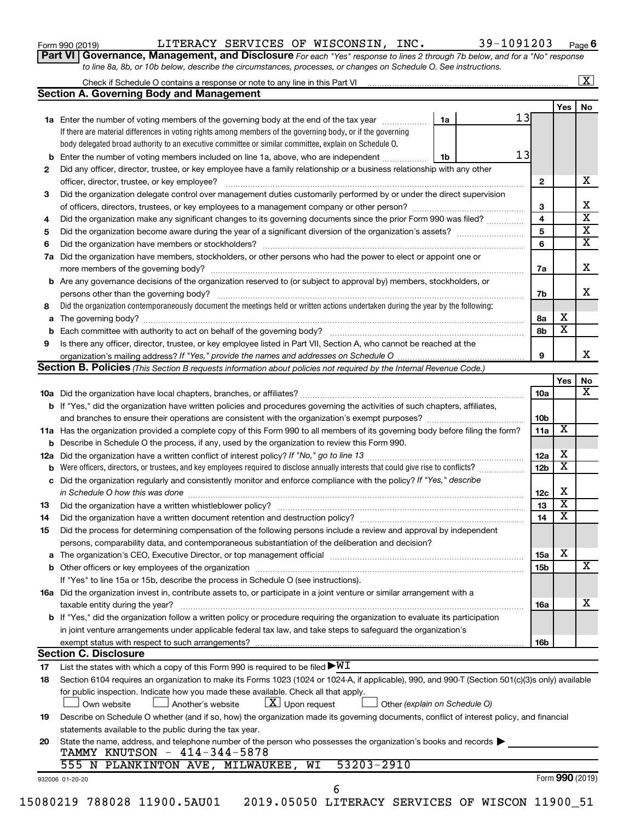|  |  | Form 990 (2019) |  |
|--|--|-----------------|--|
|--|--|-----------------|--|

Form 990 (2019)  ${\tt LITERACY}$  SERVICES OF WISCONSIN, INC.  $39-1091203$  Page

Check if Schedule O contains a response or note to any line in this Part VI

**6**

 $\boxed{\text{X}}$ 

**Part VI** Governance, Management, and Disclosure For each "Yes" response to lines 2 through 7b below, and for a "No" response *to line 8a, 8b, or 10b below, describe the circumstances, processes, or changes on Schedule O. See instructions.*

|     |                                                                                                                                                                                                                                |    |    |                 | <b>Yes</b>      | No                      |
|-----|--------------------------------------------------------------------------------------------------------------------------------------------------------------------------------------------------------------------------------|----|----|-----------------|-----------------|-------------------------|
|     | 1a Enter the number of voting members of the governing body at the end of the tax year                                                                                                                                         | 1a | 13 |                 |                 |                         |
|     | If there are material differences in voting rights among members of the governing body, or if the governing                                                                                                                    |    |    |                 |                 |                         |
|     | body delegated broad authority to an executive committee or similar committee, explain on Schedule O.                                                                                                                          |    |    |                 |                 |                         |
| b   | Enter the number of voting members included on line 1a, above, who are independent                                                                                                                                             | 1b | 13 |                 |                 |                         |
| 2   | Did any officer, director, trustee, or key employee have a family relationship or a business relationship with any other                                                                                                       |    |    |                 |                 |                         |
|     | officer, director, trustee, or key employee?                                                                                                                                                                                   |    |    | 2               |                 | х                       |
| 3   | Did the organization delegate control over management duties customarily performed by or under the direct supervision                                                                                                          |    |    |                 |                 |                         |
|     |                                                                                                                                                                                                                                |    |    | 3               |                 | х                       |
| 4   | Did the organization make any significant changes to its governing documents since the prior Form 990 was filed?                                                                                                               |    |    | 4               |                 | $\overline{\textbf{x}}$ |
| 5   |                                                                                                                                                                                                                                |    |    | 5               |                 | $\overline{\mathbf{X}}$ |
| 6   |                                                                                                                                                                                                                                |    |    | 6               |                 | $\overline{\textbf{x}}$ |
| 7a  | Did the organization have members, stockholders, or other persons who had the power to elect or appoint one or                                                                                                                 |    |    |                 |                 |                         |
|     |                                                                                                                                                                                                                                |    |    | 7a              |                 | х                       |
| b   | Are any governance decisions of the organization reserved to (or subject to approval by) members, stockholders, or                                                                                                             |    |    |                 |                 |                         |
|     |                                                                                                                                                                                                                                |    |    | 7b              |                 | х                       |
| 8   | Did the organization contemporaneously document the meetings held or written actions undertaken during the vear by the following:                                                                                              |    |    |                 |                 |                         |
| а   |                                                                                                                                                                                                                                |    |    | 8a              | х               |                         |
| b   |                                                                                                                                                                                                                                |    |    | 8b              | X               |                         |
| 9   | Is there any officer, director, trustee, or key employee listed in Part VII, Section A, who cannot be reached at the                                                                                                           |    |    |                 |                 |                         |
|     |                                                                                                                                                                                                                                |    |    | 9               |                 | x                       |
|     | <b>Section B. Policies</b> (This Section B requests information about policies not required by the Internal Revenue Code.)                                                                                                     |    |    |                 |                 |                         |
|     |                                                                                                                                                                                                                                |    |    |                 | Yes             | No                      |
|     |                                                                                                                                                                                                                                |    |    | 10a             |                 | X                       |
|     | b If "Yes," did the organization have written policies and procedures governing the activities of such chapters, affiliates,                                                                                                   |    |    |                 |                 |                         |
|     |                                                                                                                                                                                                                                |    |    | 10 <sub>b</sub> |                 |                         |
|     | 11a Has the organization provided a complete copy of this Form 990 to all members of its governing body before filing the form?                                                                                                |    |    | 11a             | X               |                         |
|     |                                                                                                                                                                                                                                |    |    |                 |                 |                         |
| b   | Describe in Schedule O the process, if any, used by the organization to review this Form 990.                                                                                                                                  |    |    | 12a             | х               |                         |
| 12a |                                                                                                                                                                                                                                |    |    | 12 <sub>b</sub> | х               |                         |
| b   | Did the organization regularly and consistently monitor and enforce compliance with the policy? If "Yes," describe                                                                                                             |    |    |                 |                 |                         |
| с   |                                                                                                                                                                                                                                |    |    |                 | х               |                         |
|     | in Schedule O how this was done [11, 2010] with the set of the state of the state of the state of the state of the state of the state of the state of the state of the state of the state of the state of the state of the sta |    |    | 12c             | X               |                         |
| 13  |                                                                                                                                                                                                                                |    |    | 13              | X               |                         |
| 14  | Did the organization have a written document retention and destruction policy? [11] manufaction manufaction in                                                                                                                 |    |    | 14              |                 |                         |
| 15  | Did the process for determining compensation of the following persons include a review and approval by independent                                                                                                             |    |    |                 |                 |                         |
|     | persons, comparability data, and contemporaneous substantiation of the deliberation and decision?                                                                                                                              |    |    |                 | X               |                         |
|     | The organization's CEO, Executive Director, or top management official [111] [11] manuscription or continuum manuscription of the organization's CEO, Executive Director, or top management official [11] manuscription or con |    |    | 15a             |                 | $\overline{\textbf{X}}$ |
|     |                                                                                                                                                                                                                                |    |    | 15b             |                 |                         |
|     | If "Yes" to line 15a or 15b, describe the process in Schedule O (see instructions).                                                                                                                                            |    |    |                 |                 |                         |
|     | 16a Did the organization invest in, contribute assets to, or participate in a joint venture or similar arrangement with a                                                                                                      |    |    |                 |                 |                         |
|     | taxable entity during the year?                                                                                                                                                                                                |    |    | 16a             |                 | x                       |
|     | b If "Yes," did the organization follow a written policy or procedure requiring the organization to evaluate its participation                                                                                                 |    |    |                 |                 |                         |
|     | in joint venture arrangements under applicable federal tax law, and take steps to safeguard the organization's                                                                                                                 |    |    |                 |                 |                         |
|     | exempt status with respect to such arrangements?                                                                                                                                                                               |    |    | 16b             |                 |                         |
|     | <b>Section C. Disclosure</b>                                                                                                                                                                                                   |    |    |                 |                 |                         |
| 17  | List the states with which a copy of this Form 990 is required to be filed $\blacktriangleright\!\!\mathsf{W}\mathbf{I}$                                                                                                       |    |    |                 |                 |                         |
| 18  | Section 6104 requires an organization to make its Forms 1023 (1024 or 1024-A, if applicable), 990, and 990-T (Section 501(c)(3)s only) available                                                                               |    |    |                 |                 |                         |
|     | for public inspection. Indicate how you made these available. Check all that apply.                                                                                                                                            |    |    |                 |                 |                         |
|     | $\lfloor X \rfloor$ Upon request<br>Another's website<br>Own website<br>Other (explain on Schedule O)                                                                                                                          |    |    |                 |                 |                         |
| 19  | Describe on Schedule O whether (and if so, how) the organization made its governing documents, conflict of interest policy, and financial                                                                                      |    |    |                 |                 |                         |
|     | statements available to the public during the tax year.                                                                                                                                                                        |    |    |                 |                 |                         |
| 20  | State the name, address, and telephone number of the person who possesses the organization's books and records                                                                                                                 |    |    |                 |                 |                         |
|     | TAMMY KNUTSON - 414-344-5878                                                                                                                                                                                                   |    |    |                 |                 |                         |
|     | 53203-2910<br>555 N PLANKINTON AVE, MILWAUKEE, WI                                                                                                                                                                              |    |    |                 |                 |                         |
|     |                                                                                                                                                                                                                                |    |    |                 | Form 990 (2019) |                         |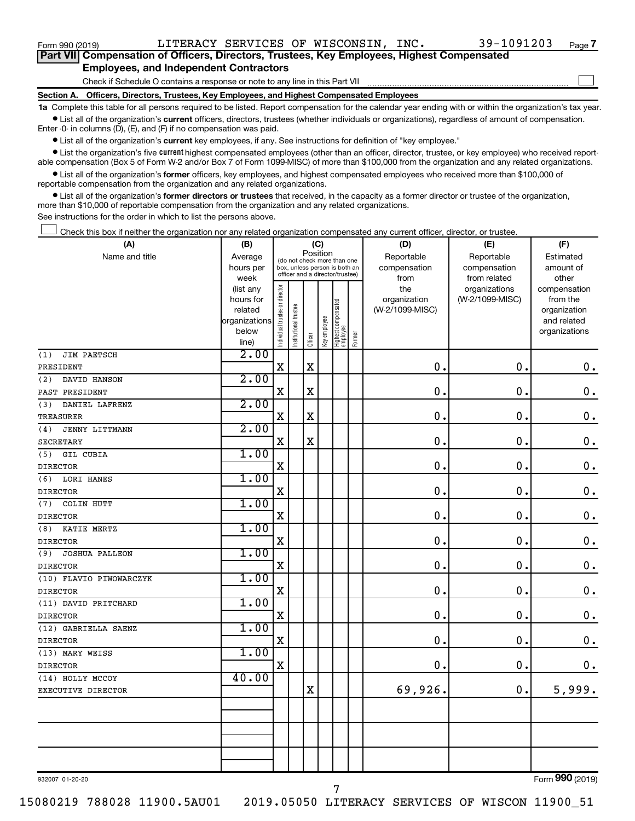Form 990 (2019)  ${\tt LITERACY}$  SERVICES OF WISCONSIN, INC.  $39-1091203$  Page

 $\Box$ 

| Part VII Compensation of Officers, Directors, Trustees, Key Employees, Highest Compensated |
|--------------------------------------------------------------------------------------------|
| <b>Employees, and Independent Contractors</b>                                              |

Check if Schedule O contains a response or note to any line in this Part VII

**Section A. Officers, Directors, Trustees, Key Employees, and Highest Compensated Employees**

**1a**  Complete this table for all persons required to be listed. Report compensation for the calendar year ending with or within the organization's tax year.  $\bullet$  List all of the organization's current officers, directors, trustees (whether individuals or organizations), regardless of amount of compensation.

Enter -0- in columns (D), (E), and (F) if no compensation was paid.

**•** List all of the organization's current key employees, if any. See instructions for definition of "key employee."

**•** List the organization's five *current* highest compensated employees (other than an officer, director, trustee, or key employee) who received reportable compensation (Box 5 of Form W-2 and/or Box 7 of Form 1099-MISC) of more than \$100,000 from the organization and any related organizations.

 $\bullet$  List all of the organization's former officers, key employees, and highest compensated employees who received more than \$100,000 of reportable compensation from the organization and any related organizations.

**•** List all of the organization's former directors or trustees that received, in the capacity as a former director or trustee of the organization, more than \$10,000 of reportable compensation from the organization and any related organizations.

See instructions for the order in which to list the persons above.

Check this box if neither the organization nor any related organization compensated any current officer, director, or trustee.  $\Box$ 

| (A)                          | (B)               | (C)                            |                                                                  |             |              |                                 |        | (D)                  | (E)                          | (F)                |  |
|------------------------------|-------------------|--------------------------------|------------------------------------------------------------------|-------------|--------------|---------------------------------|--------|----------------------|------------------------------|--------------------|--|
| Name and title               | Average           |                                | (do not check more than one                                      | Position    |              |                                 |        | Reportable           | Reportable                   | Estimated          |  |
|                              | hours per<br>week |                                | box, unless person is both an<br>officer and a director/trustee) |             |              |                                 |        | compensation<br>from | compensation<br>from related | amount of<br>other |  |
|                              | (list any         |                                |                                                                  |             |              |                                 |        | the                  | organizations                | compensation       |  |
|                              | hours for         |                                |                                                                  |             |              |                                 |        | organization         | (W-2/1099-MISC)              | from the           |  |
|                              | related           |                                |                                                                  |             |              |                                 |        | (W-2/1099-MISC)      |                              | organization       |  |
|                              | organizations     |                                |                                                                  |             |              |                                 |        |                      |                              | and related        |  |
|                              | below<br>line)    | Individual trustee or director | Institutional trustee                                            | Officer     | Key employee | Highest compensated<br>employee | Former |                      |                              | organizations      |  |
| (1)<br>JIM PAETSCH           | 2.00              |                                |                                                                  |             |              |                                 |        |                      |                              |                    |  |
| PRESIDENT                    |                   | X                              |                                                                  | $\mathbf X$ |              |                                 |        | $\mathbf 0$ .        | 0.                           | $\mathbf 0$ .      |  |
| (2)<br>DAVID HANSON          | 2.00              |                                |                                                                  |             |              |                                 |        |                      |                              |                    |  |
| PAST PRESIDENT               |                   | X                              |                                                                  | $\mathbf X$ |              |                                 |        | 0                    | $\mathbf 0$ .                | $\mathbf 0$ .      |  |
| DANIEL LAFRENZ<br>(3)        | 2.00              |                                |                                                                  |             |              |                                 |        |                      |                              |                    |  |
| <b>TREASURER</b>             |                   | $\mathbf X$                    |                                                                  | $\mathbf X$ |              |                                 |        | 0                    | 0.                           | $\mathbf 0$ .      |  |
| <b>JENNY LITTMANN</b><br>(4) | 2.00              |                                |                                                                  |             |              |                                 |        |                      |                              |                    |  |
| SECRETARY                    |                   | $\mathbf X$                    |                                                                  | $\mathbf X$ |              |                                 |        | 0.                   | $\mathbf 0$ .                | $\mathbf 0$ .      |  |
| <b>GIL CUBIA</b><br>(5)      | 1.00              |                                |                                                                  |             |              |                                 |        |                      |                              |                    |  |
| <b>DIRECTOR</b>              |                   | $\mathbf X$                    |                                                                  |             |              |                                 |        | $\mathbf 0$          | $\mathbf 0$ .                | $\mathbf 0$ .      |  |
| <b>LORI HANES</b><br>(6)     | 1.00              |                                |                                                                  |             |              |                                 |        |                      |                              |                    |  |
| <b>DIRECTOR</b>              |                   | $\mathbf X$                    |                                                                  |             |              |                                 |        | 0                    | $\mathbf 0$ .                | $\mathbf 0$ .      |  |
| <b>COLIN HUTT</b><br>(7)     | 1.00              |                                |                                                                  |             |              |                                 |        |                      |                              |                    |  |
| <b>DIRECTOR</b>              |                   | $\mathbf X$                    |                                                                  |             |              |                                 |        | $\mathbf 0$          | $\mathbf 0$ .                | $\mathbf 0$ .      |  |
| KATIE MERTZ<br>(8)           | 1.00              |                                |                                                                  |             |              |                                 |        |                      |                              |                    |  |
| <b>DIRECTOR</b>              |                   | $\mathbf X$                    |                                                                  |             |              |                                 |        | 0.                   | $\mathbf 0$ .                | $\mathbf 0$ .      |  |
| <b>JOSHUA PALLEON</b><br>(9) | 1.00              |                                |                                                                  |             |              |                                 |        |                      |                              |                    |  |
| <b>DIRECTOR</b>              |                   | $\mathbf X$                    |                                                                  |             |              |                                 |        | 0.                   | $\mathbf 0$ .                | $\mathbf 0$ .      |  |
| (10) FLAVIO PIWOWARCZYK      | 1.00              |                                |                                                                  |             |              |                                 |        |                      |                              |                    |  |
| <b>DIRECTOR</b>              |                   | $\mathbf X$                    |                                                                  |             |              |                                 |        | $\mathbf 0$          | $\mathbf 0$ .                | $\mathbf 0$ .      |  |
| (11) DAVID PRITCHARD         | 1.00              |                                |                                                                  |             |              |                                 |        |                      |                              |                    |  |
| <b>DIRECTOR</b>              |                   | $\mathbf X$                    |                                                                  |             |              |                                 |        | 0.                   | $\mathbf 0$ .                | $\mathbf 0$ .      |  |
| (12) GABRIELLA SAENZ         | 1.00              |                                |                                                                  |             |              |                                 |        |                      |                              |                    |  |
| <b>DIRECTOR</b>              |                   | $\rm X$                        |                                                                  |             |              |                                 |        | 0.                   | $\mathbf 0$ .                | $\mathbf 0$ .      |  |
| (13) MARY WEISS              | 1.00              |                                |                                                                  |             |              |                                 |        |                      |                              |                    |  |
| <b>DIRECTOR</b>              |                   | $\mathbf X$                    |                                                                  |             |              |                                 |        | $\mathbf 0$          | 0.                           | $\mathbf 0$ .      |  |
| (14) HOLLY MCCOY             | 40.00             |                                |                                                                  |             |              |                                 |        |                      |                              |                    |  |
| EXECUTIVE DIRECTOR           |                   |                                |                                                                  | $\mathbf X$ |              |                                 |        | 69,926.              | 0.                           | 5,999.             |  |
|                              |                   |                                |                                                                  |             |              |                                 |        |                      |                              |                    |  |
|                              |                   |                                |                                                                  |             |              |                                 |        |                      |                              |                    |  |
|                              |                   |                                |                                                                  |             |              |                                 |        |                      |                              |                    |  |
|                              |                   |                                |                                                                  |             |              |                                 |        |                      |                              |                    |  |
|                              |                   |                                |                                                                  |             |              |                                 |        |                      |                              |                    |  |
|                              |                   |                                |                                                                  |             |              |                                 |        |                      |                              |                    |  |

932007 01-20-20

7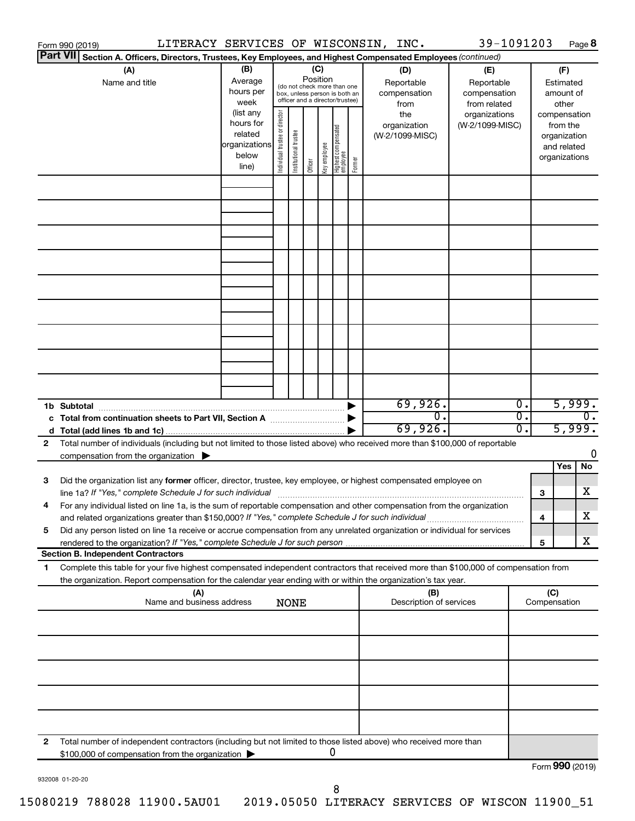|                 | Form 990 (2019)                                                                                                                      |                   |                                |                                                                  |         |              |                                   |        | LITERACY SERVICES OF WISCONSIN, INC. | 39-1091203                       |   |                          | Page 8          |
|-----------------|--------------------------------------------------------------------------------------------------------------------------------------|-------------------|--------------------------------|------------------------------------------------------------------|---------|--------------|-----------------------------------|--------|--------------------------------------|----------------------------------|---|--------------------------|-----------------|
| <b>Part VII</b> | Section A. Officers, Directors, Trustees, Key Employees, and Highest Compensated Employees (continued)                               |                   |                                |                                                                  |         |              |                                   |        |                                      |                                  |   |                          |                 |
|                 | (A)                                                                                                                                  | (B)               |                                |                                                                  |         | (C)          |                                   |        | (D)                                  | (E)                              |   | (F)                      |                 |
|                 | Name and title                                                                                                                       | Average           |                                | (do not check more than one                                      |         | Position     |                                   |        | Reportable                           | Reportable                       |   | Estimated                |                 |
|                 |                                                                                                                                      | hours per         |                                | box, unless person is both an<br>officer and a director/trustee) |         |              |                                   |        | compensation                         | compensation                     |   | amount of                |                 |
|                 |                                                                                                                                      | week<br>(list any |                                |                                                                  |         |              |                                   |        | from                                 | from related                     |   | other                    |                 |
|                 |                                                                                                                                      | hours for         | Individual trustee or director |                                                                  |         |              |                                   |        | the<br>organization                  | organizations<br>(W-2/1099-MISC) |   | compensation<br>from the |                 |
|                 |                                                                                                                                      | related           |                                |                                                                  |         |              |                                   |        | (W-2/1099-MISC)                      |                                  |   | organization             |                 |
|                 |                                                                                                                                      | organizations     |                                | Institutional trustee                                            |         |              |                                   |        |                                      |                                  |   | and related              |                 |
|                 |                                                                                                                                      | below             |                                |                                                                  |         | Key employee |                                   |        |                                      |                                  |   | organizations            |                 |
|                 |                                                                                                                                      | line)             |                                |                                                                  | Officer |              | Highest compensated<br>  employee | Former |                                      |                                  |   |                          |                 |
|                 |                                                                                                                                      |                   |                                |                                                                  |         |              |                                   |        |                                      |                                  |   |                          |                 |
|                 |                                                                                                                                      |                   |                                |                                                                  |         |              |                                   |        |                                      |                                  |   |                          |                 |
|                 |                                                                                                                                      |                   |                                |                                                                  |         |              |                                   |        |                                      |                                  |   |                          |                 |
|                 |                                                                                                                                      |                   |                                |                                                                  |         |              |                                   |        |                                      |                                  |   |                          |                 |
|                 |                                                                                                                                      |                   |                                |                                                                  |         |              |                                   |        |                                      |                                  |   |                          |                 |
|                 |                                                                                                                                      |                   |                                |                                                                  |         |              |                                   |        |                                      |                                  |   |                          |                 |
|                 |                                                                                                                                      |                   |                                |                                                                  |         |              |                                   |        |                                      |                                  |   |                          |                 |
|                 |                                                                                                                                      |                   |                                |                                                                  |         |              |                                   |        |                                      |                                  |   |                          |                 |
|                 |                                                                                                                                      |                   |                                |                                                                  |         |              |                                   |        |                                      |                                  |   |                          |                 |
|                 |                                                                                                                                      |                   |                                |                                                                  |         |              |                                   |        |                                      |                                  |   |                          |                 |
|                 |                                                                                                                                      |                   |                                |                                                                  |         |              |                                   |        |                                      |                                  |   |                          |                 |
|                 |                                                                                                                                      |                   |                                |                                                                  |         |              |                                   |        |                                      |                                  |   |                          |                 |
|                 |                                                                                                                                      |                   |                                |                                                                  |         |              |                                   |        |                                      |                                  |   |                          |                 |
|                 |                                                                                                                                      |                   |                                |                                                                  |         |              |                                   |        |                                      |                                  |   |                          |                 |
|                 |                                                                                                                                      |                   |                                |                                                                  |         |              |                                   |        |                                      |                                  |   |                          |                 |
|                 |                                                                                                                                      |                   |                                |                                                                  |         |              |                                   |        |                                      |                                  |   |                          |                 |
|                 |                                                                                                                                      |                   |                                |                                                                  |         |              |                                   |        |                                      |                                  |   |                          |                 |
|                 |                                                                                                                                      |                   |                                |                                                                  |         |              |                                   |        | 69,926.                              | Ο.                               |   |                          | 5,999.          |
|                 |                                                                                                                                      |                   |                                |                                                                  |         |              |                                   |        | σ.                                   | σ.                               |   |                          |                 |
|                 |                                                                                                                                      |                   |                                |                                                                  |         |              |                                   |        | 69,926.                              | О.                               |   |                          | 5,999.          |
| 2               | Total number of individuals (including but not limited to those listed above) who received more than \$100,000 of reportable         |                   |                                |                                                                  |         |              |                                   |        |                                      |                                  |   |                          |                 |
|                 | compensation from the organization $\blacktriangleright$                                                                             |                   |                                |                                                                  |         |              |                                   |        |                                      |                                  |   |                          | 0               |
|                 |                                                                                                                                      |                   |                                |                                                                  |         |              |                                   |        |                                      |                                  |   | Yes                      | No              |
| 3               | Did the organization list any former officer, director, trustee, key employee, or highest compensated employee on                    |                   |                                |                                                                  |         |              |                                   |        |                                      |                                  |   |                          |                 |
|                 |                                                                                                                                      |                   |                                |                                                                  |         |              |                                   |        |                                      |                                  | 3 |                          | х               |
|                 | For any individual listed on line 1a, is the sum of reportable compensation and other compensation from the organization             |                   |                                |                                                                  |         |              |                                   |        |                                      |                                  |   |                          |                 |
|                 | and related organizations greater than \$150,000? If "Yes," complete Schedule J for such individual                                  |                   |                                |                                                                  |         |              |                                   |        |                                      |                                  | 4 |                          | х               |
| 5               | Did any person listed on line 1a receive or accrue compensation from any unrelated organization or individual for services           |                   |                                |                                                                  |         |              |                                   |        |                                      |                                  |   |                          |                 |
|                 | rendered to the organization? If "Yes," complete Schedule J for such person                                                          |                   |                                |                                                                  |         |              |                                   |        |                                      |                                  | 5 |                          | х               |
|                 | <b>Section B. Independent Contractors</b>                                                                                            |                   |                                |                                                                  |         |              |                                   |        |                                      |                                  |   |                          |                 |
| 1.              | Complete this table for your five highest compensated independent contractors that received more than \$100,000 of compensation from |                   |                                |                                                                  |         |              |                                   |        |                                      |                                  |   |                          |                 |
|                 | the organization. Report compensation for the calendar year ending with or within the organization's tax year.                       |                   |                                |                                                                  |         |              |                                   |        |                                      |                                  |   |                          |                 |
|                 | (A)<br>Name and business address                                                                                                     |                   |                                | <b>NONE</b>                                                      |         |              |                                   |        | (B)<br>Description of services       |                                  |   | (C)<br>Compensation      |                 |
|                 |                                                                                                                                      |                   |                                |                                                                  |         |              |                                   |        |                                      |                                  |   |                          |                 |
|                 |                                                                                                                                      |                   |                                |                                                                  |         |              |                                   |        |                                      |                                  |   |                          |                 |
|                 |                                                                                                                                      |                   |                                |                                                                  |         |              |                                   |        |                                      |                                  |   |                          |                 |
|                 |                                                                                                                                      |                   |                                |                                                                  |         |              |                                   |        |                                      |                                  |   |                          |                 |
|                 |                                                                                                                                      |                   |                                |                                                                  |         |              |                                   |        |                                      |                                  |   |                          |                 |
|                 |                                                                                                                                      |                   |                                |                                                                  |         |              |                                   |        |                                      |                                  |   |                          |                 |
|                 |                                                                                                                                      |                   |                                |                                                                  |         |              |                                   |        |                                      |                                  |   |                          |                 |
|                 |                                                                                                                                      |                   |                                |                                                                  |         |              |                                   |        |                                      |                                  |   |                          |                 |
|                 |                                                                                                                                      |                   |                                |                                                                  |         |              |                                   |        |                                      |                                  |   |                          |                 |
|                 |                                                                                                                                      |                   |                                |                                                                  |         |              |                                   |        |                                      |                                  |   |                          |                 |
| 2               | Total number of independent contractors (including but not limited to those listed above) who received more than                     |                   |                                |                                                                  |         |              |                                   |        |                                      |                                  |   |                          |                 |
|                 | \$100,000 of compensation from the organization                                                                                      |                   |                                |                                                                  |         |              | 0                                 |        |                                      |                                  |   |                          |                 |
|                 |                                                                                                                                      |                   |                                |                                                                  |         |              |                                   |        |                                      |                                  |   |                          | Form 990 (2019) |

932008 01-20-20

Form 990 (2019)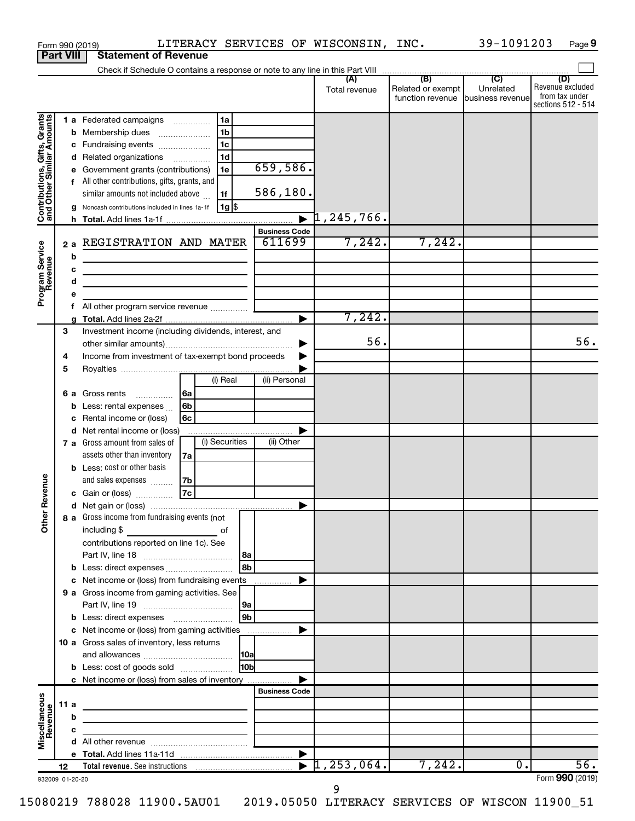|                                                           |      |        | LITERACY SERVICES OF WISCONSIN, INC.<br>Form 990 (2019)                                                              |                 |                                |   |               |                                       | 39-1091203                    | Page 9                                                          |
|-----------------------------------------------------------|------|--------|----------------------------------------------------------------------------------------------------------------------|-----------------|--------------------------------|---|---------------|---------------------------------------|-------------------------------|-----------------------------------------------------------------|
| <b>Part VIII</b>                                          |      |        | <b>Statement of Revenue</b>                                                                                          |                 |                                |   |               |                                       |                               |                                                                 |
|                                                           |      |        |                                                                                                                      |                 |                                |   |               |                                       |                               |                                                                 |
|                                                           |      |        |                                                                                                                      |                 |                                |   | Total revenue | Related or exempt<br>function revenue | Unrelated<br>business revenue | (D)<br>Revenue excluded<br>from tax under<br>sections 512 - 514 |
|                                                           |      |        | l 1a<br>1 a Federated campaigns                                                                                      |                 |                                |   |               |                                       |                               |                                                                 |
|                                                           |      | b      | 1 <sub>b</sub><br>Membership dues<br>$\ldots \ldots \ldots \ldots \ldots$                                            |                 |                                |   |               |                                       |                               |                                                                 |
|                                                           |      |        | 1 <sub>c</sub><br>c Fundraising events                                                                               |                 |                                |   |               |                                       |                               |                                                                 |
|                                                           |      | d      | 1 <sub>d</sub><br>Related organizations                                                                              |                 |                                |   |               |                                       |                               |                                                                 |
|                                                           |      | е      | Government grants (contributions)<br>1e                                                                              |                 | 659,586.                       |   |               |                                       |                               |                                                                 |
| Contributions, Gifts, Grants<br>and Other Similar Amounts |      |        | f All other contributions, gifts, grants, and<br>similar amounts not included above<br>1f                            |                 | 586,180.                       |   |               |                                       |                               |                                                                 |
|                                                           |      |        | 1g <br>Noncash contributions included in lines 1a-1f                                                                 |                 |                                |   |               |                                       |                               |                                                                 |
|                                                           |      |        |                                                                                                                      |                 |                                |   |               |                                       |                               |                                                                 |
|                                                           |      |        | REGISTRATION AND MATER                                                                                               |                 | <b>Business Code</b><br>611699 |   | 7,242.        | 7,242.                                |                               |                                                                 |
|                                                           | 2a   |        |                                                                                                                      |                 |                                |   |               |                                       |                               |                                                                 |
|                                                           |      | b      |                                                                                                                      |                 |                                |   |               |                                       |                               |                                                                 |
|                                                           |      | с<br>d | the control of the control of the control of the control of the                                                      |                 |                                |   |               |                                       |                               |                                                                 |
| Program Service<br>Revenue                                |      | е      | the contract of the contract of the contract of                                                                      |                 |                                |   |               |                                       |                               |                                                                 |
|                                                           |      | f      |                                                                                                                      |                 |                                |   |               |                                       |                               |                                                                 |
|                                                           |      | a      |                                                                                                                      |                 |                                | ▶ | 7,242.        |                                       |                               |                                                                 |
|                                                           | 3    |        | Investment income (including dividends, interest, and                                                                |                 |                                |   |               |                                       |                               |                                                                 |
|                                                           |      |        |                                                                                                                      |                 |                                | ▶ | 56.           |                                       |                               | 56.                                                             |
|                                                           | 4    |        | Income from investment of tax-exempt bond proceeds                                                                   |                 |                                |   |               |                                       |                               |                                                                 |
|                                                           | 5    |        |                                                                                                                      |                 |                                |   |               |                                       |                               |                                                                 |
|                                                           |      |        | (i) Real                                                                                                             |                 | (ii) Personal                  |   |               |                                       |                               |                                                                 |
|                                                           |      |        | 6a<br>6 a Gross rents                                                                                                |                 |                                |   |               |                                       |                               |                                                                 |
|                                                           |      | b      | 6b<br>Less: rental expenses                                                                                          |                 |                                |   |               |                                       |                               |                                                                 |
|                                                           |      | с      | 6с<br>Rental income or (loss)                                                                                        |                 |                                |   |               |                                       |                               |                                                                 |
|                                                           |      | d      | Net rental income or (loss)                                                                                          |                 |                                | ▶ |               |                                       |                               |                                                                 |
|                                                           |      |        | (i) Securities<br>7 a Gross amount from sales of                                                                     |                 | (ii) Other                     |   |               |                                       |                               |                                                                 |
|                                                           |      |        | assets other than inventory<br>7a                                                                                    |                 |                                |   |               |                                       |                               |                                                                 |
|                                                           |      |        | <b>b</b> Less: cost or other basis                                                                                   |                 |                                |   |               |                                       |                               |                                                                 |
| evenue                                                    |      |        | and sales expenses<br>7b                                                                                             |                 |                                |   |               |                                       |                               |                                                                 |
|                                                           |      |        | 7c<br>c Gain or (loss)                                                                                               |                 |                                |   |               |                                       |                               |                                                                 |
|                                                           |      |        |                                                                                                                      |                 |                                |   |               |                                       |                               |                                                                 |
| Other <sub>R</sub>                                        |      |        | 8 a Gross income from fundraising events (not<br>including $$$                                                       |                 |                                |   |               |                                       |                               |                                                                 |
|                                                           |      |        | <u>of</u> of<br>contributions reported on line 1c). See                                                              |                 |                                |   |               |                                       |                               |                                                                 |
|                                                           |      |        |                                                                                                                      |                 |                                |   |               |                                       |                               |                                                                 |
|                                                           |      | b      | Less: direct expenses                                                                                                | l 8b            |                                |   |               |                                       |                               |                                                                 |
|                                                           |      | с      | Net income or (loss) from fundraising events                                                                         |                 |                                | ▶ |               |                                       |                               |                                                                 |
|                                                           |      |        | 9 a Gross income from gaming activities. See                                                                         |                 |                                |   |               |                                       |                               |                                                                 |
|                                                           |      |        |                                                                                                                      |                 |                                |   |               |                                       |                               |                                                                 |
|                                                           |      |        |                                                                                                                      | 9b              |                                |   |               |                                       |                               |                                                                 |
|                                                           |      |        | c Net income or (loss) from gaming activities                                                                        |                 |                                | ▶ |               |                                       |                               |                                                                 |
|                                                           |      |        | 10 a Gross sales of inventory, less returns                                                                          |                 |                                |   |               |                                       |                               |                                                                 |
|                                                           |      |        |                                                                                                                      |                 |                                |   |               |                                       |                               |                                                                 |
|                                                           |      |        | <b>b</b> Less: cost of goods sold                                                                                    | 10 <sub>b</sub> |                                |   |               |                                       |                               |                                                                 |
|                                                           |      |        | c Net income or (loss) from sales of inventory                                                                       |                 |                                | ▶ |               |                                       |                               |                                                                 |
|                                                           |      |        |                                                                                                                      |                 | <b>Business Code</b>           |   |               |                                       |                               |                                                                 |
|                                                           | 11 a |        | <u> 1989 - Johann John Stein, markin fan it ferstjer fan it ferstjer fan it ferstjer fan it ferstjer fan it fers</u> |                 |                                |   |               |                                       |                               |                                                                 |
|                                                           |      | b      | the control of the control of the control of the control of the control of                                           |                 |                                |   |               |                                       |                               |                                                                 |
| Miscellaneous<br>Revenue                                  |      | c      |                                                                                                                      |                 |                                |   |               |                                       |                               |                                                                 |
|                                                           |      |        |                                                                                                                      |                 |                                |   |               |                                       |                               |                                                                 |
|                                                           | 12   |        |                                                                                                                      |                 |                                |   |               | 7,242.                                | $\overline{0}$ .              | $\overline{56}$ .                                               |
| 932009 01-20-20                                           |      |        |                                                                                                                      |                 |                                |   |               |                                       |                               | Form 990 (2019)                                                 |
|                                                           |      |        |                                                                                                                      |                 |                                |   |               |                                       |                               |                                                                 |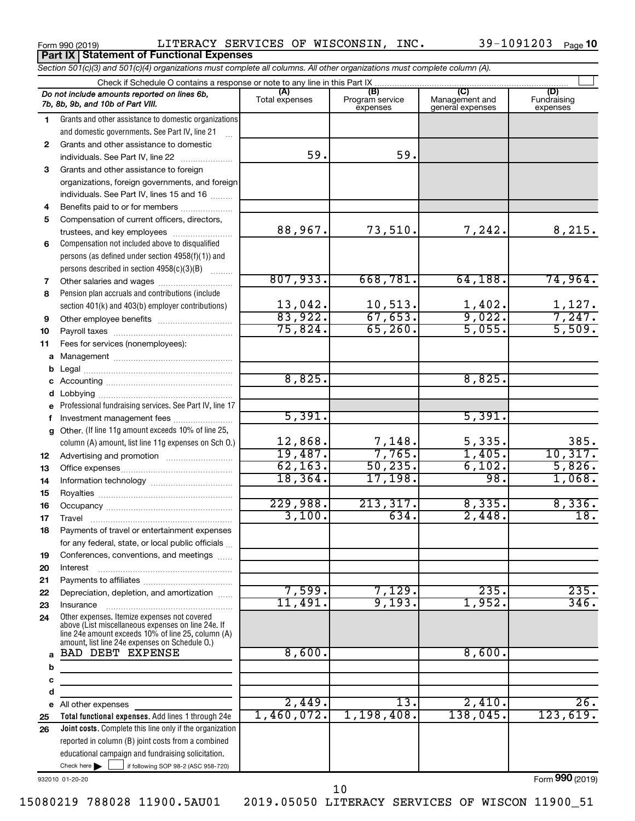Form 990 (2019)  $LITERACY$  SERVICES OF WISCONSIN, INC.  $39-1091203$  Page **Part IX Statement of Functional Expenses**

|              | Section 501(c)(3) and 501(c)(4) organizations must complete all columns. All other organizations must complete column (A).                                 |                     |                             |                                    |                         |
|--------------|------------------------------------------------------------------------------------------------------------------------------------------------------------|---------------------|-----------------------------|------------------------------------|-------------------------|
|              | Check if Schedule O contains a response or note to any line in this Part IX                                                                                | (A)                 | (B)                         | (C)                                | (D)                     |
|              | Do not include amounts reported on lines 6b,<br>7b, 8b, 9b, and 10b of Part VIII.                                                                          | Total expenses      | Program service<br>expenses | Management and<br>general expenses | Fundraising<br>expenses |
| 1.           | Grants and other assistance to domestic organizations                                                                                                      |                     |                             |                                    |                         |
|              | and domestic governments. See Part IV, line 21                                                                                                             |                     |                             |                                    |                         |
| $\mathbf{2}$ | Grants and other assistance to domestic                                                                                                                    |                     |                             |                                    |                         |
|              | individuals. See Part IV, line 22                                                                                                                          | 59.                 | 59.                         |                                    |                         |
| 3            | Grants and other assistance to foreign                                                                                                                     |                     |                             |                                    |                         |
|              | organizations, foreign governments, and foreign                                                                                                            |                     |                             |                                    |                         |
|              | individuals. See Part IV, lines 15 and 16                                                                                                                  |                     |                             |                                    |                         |
| 4            | Benefits paid to or for members                                                                                                                            |                     |                             |                                    |                         |
| 5            | Compensation of current officers, directors,                                                                                                               |                     |                             |                                    |                         |
|              | trustees, and key employees                                                                                                                                | 88,967.             | 73,510.                     | 7,242.                             | 8,215.                  |
| 6            | Compensation not included above to disqualified                                                                                                            |                     |                             |                                    |                         |
|              | persons (as defined under section 4958(f)(1)) and                                                                                                          |                     |                             |                                    |                         |
|              | persons described in section 4958(c)(3)(B)                                                                                                                 |                     |                             |                                    |                         |
| 7            |                                                                                                                                                            | 807,933.            | 668,781.                    | 64, 188.                           | 74,964.                 |
| 8            | Pension plan accruals and contributions (include                                                                                                           |                     |                             |                                    |                         |
|              | section 401(k) and 403(b) employer contributions)                                                                                                          | 13,042.             | 10,513.                     | $\frac{1,402}{9,022}$              | $\frac{1,127}{7,247}$   |
| 9            |                                                                                                                                                            | 83,922.             | 67,653.                     |                                    |                         |
| 10           |                                                                                                                                                            | 75,824.             | 65, 260.                    | 5,055.                             | 5,509.                  |
| 11           | Fees for services (nonemployees):                                                                                                                          |                     |                             |                                    |                         |
| а            |                                                                                                                                                            |                     |                             |                                    |                         |
| b            |                                                                                                                                                            |                     |                             |                                    |                         |
| с            |                                                                                                                                                            | 8,825.              |                             | 8,825.                             |                         |
| d            |                                                                                                                                                            |                     |                             |                                    |                         |
| е            | Professional fundraising services. See Part IV, line 17                                                                                                    |                     |                             |                                    |                         |
| f            | Investment management fees                                                                                                                                 | 5,391.              |                             | 5,391.                             |                         |
| g            | Other. (If line 11g amount exceeds 10% of line 25,                                                                                                         |                     |                             |                                    | 385.                    |
|              | column (A) amount, list line 11g expenses on Sch O.)                                                                                                       | 12,868.             | 7,148.<br>7,765.            | 5,335.<br>1,405.                   |                         |
| 12           |                                                                                                                                                            | 19,487.<br>62, 163. |                             |                                    | 10,317.                 |
| 13           |                                                                                                                                                            | 18, 364.            | 50, 235.                    | 6,102.<br>98.                      | 5,826.                  |
| 14           |                                                                                                                                                            |                     | 17,198.                     |                                    | 1,068.                  |
| 15           |                                                                                                                                                            | 229,988.            | 213,317.                    | 8,335.                             | 8,336.                  |
| 16           |                                                                                                                                                            | 3,100.              | 634.                        | 2,448.                             | 18.                     |
| 17           |                                                                                                                                                            |                     |                             |                                    |                         |
| 18           | Payments of travel or entertainment expenses                                                                                                               |                     |                             |                                    |                         |
|              | for any federal, state, or local public officials                                                                                                          |                     |                             |                                    |                         |
| 19           | Conferences, conventions, and meetings                                                                                                                     |                     |                             |                                    |                         |
| 20           | Interest                                                                                                                                                   |                     |                             |                                    |                         |
| 21           | Depreciation, depletion, and amortization                                                                                                                  | 7,599.              | 7,129.                      | 235.                               | 235.                    |
| 22           |                                                                                                                                                            | 11,491.             | 9,193.                      | 1,952.                             | 346.                    |
| 23           | Insurance<br>Other expenses. Itemize expenses not covered                                                                                                  |                     |                             |                                    |                         |
| 24           | above (List miscellaneous expenses on line 24e. If<br>line 24e amount exceeds 10% of line 25, column (A)<br>amount, list line 24e expenses on Schedule O.) |                     |                             |                                    |                         |
| a            | <b>BAD DEBT EXPENSE</b>                                                                                                                                    | 8,600.              |                             | 8,600.                             |                         |
| b            |                                                                                                                                                            |                     |                             |                                    |                         |
| c            | the control of the control of the control of the control of the control of                                                                                 |                     |                             |                                    |                         |
| d            |                                                                                                                                                            |                     |                             |                                    |                         |
| е            | All other expenses                                                                                                                                         | 2,449.              | 13.                         | 2,410.                             | 26.                     |
| 25           | Total functional expenses. Add lines 1 through 24e                                                                                                         | 1,460,072.          | 1,198,408.                  | 138,045.                           | 123,619.                |
| 26           | <b>Joint costs.</b> Complete this line only if the organization                                                                                            |                     |                             |                                    |                         |
|              | reported in column (B) joint costs from a combined                                                                                                         |                     |                             |                                    |                         |
|              | educational campaign and fundraising solicitation.                                                                                                         |                     |                             |                                    |                         |
|              | Check here       if following SOP 98-2 (ASC 958-720)                                                                                                       |                     |                             |                                    |                         |

932010 01-20-20

Form (2019) **990**

10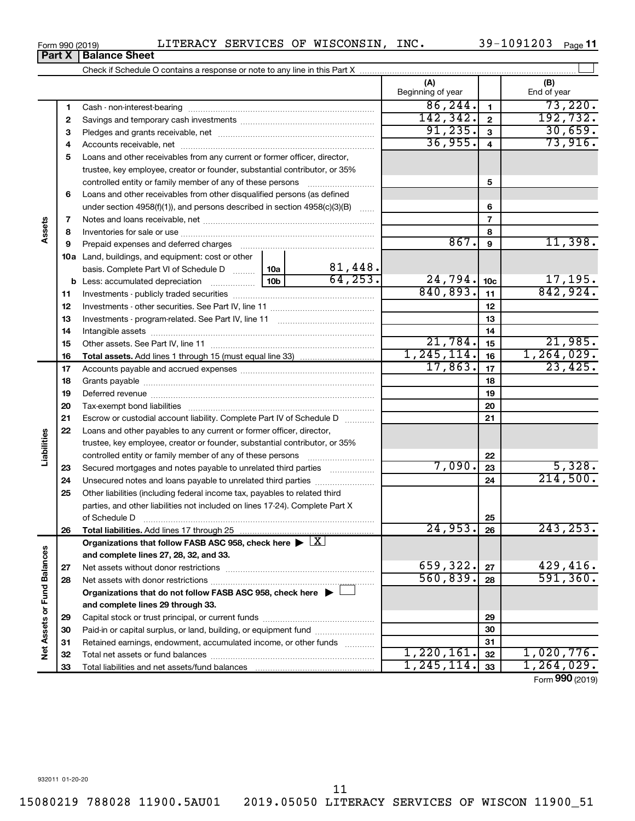15080219 788028 11900.5AU01 2019.05050 LITERACY SERVICES OF WISCON 11900\_51

### Form 990 (2019)  $LITERACY$  SERVICES OF WISCONSIN, INC.  $39-1091203$  Page

39-1091203 Page 11

|                             | Part X   | <b>Balance Sheet</b>                                                                                                                                                                                                           |                                                                           |          |                          |                 |                          |  |  |  |  |  |
|-----------------------------|----------|--------------------------------------------------------------------------------------------------------------------------------------------------------------------------------------------------------------------------------|---------------------------------------------------------------------------|----------|--------------------------|-----------------|--------------------------|--|--|--|--|--|
|                             |          |                                                                                                                                                                                                                                |                                                                           |          |                          |                 |                          |  |  |  |  |  |
|                             |          |                                                                                                                                                                                                                                |                                                                           |          | (A)<br>Beginning of year |                 | (B)<br>End of year       |  |  |  |  |  |
|                             | 1        |                                                                                                                                                                                                                                |                                                                           |          | 86, 244.                 | $\mathbf{1}$    | 73,220.                  |  |  |  |  |  |
|                             | 2        |                                                                                                                                                                                                                                |                                                                           |          | 142,342.                 | $\mathbf{2}$    | 192, 732.                |  |  |  |  |  |
|                             | з        |                                                                                                                                                                                                                                |                                                                           |          | 91, 235.                 | $\mathbf{3}$    | $\frac{30,659}{73,916}$  |  |  |  |  |  |
|                             | 4        |                                                                                                                                                                                                                                |                                                                           |          | 36,955.                  | $\overline{4}$  |                          |  |  |  |  |  |
|                             | 5        | Loans and other receivables from any current or former officer, director,                                                                                                                                                      |                                                                           |          |                          |                 |                          |  |  |  |  |  |
|                             |          | trustee, key employee, creator or founder, substantial contributor, or 35%                                                                                                                                                     |                                                                           |          |                          |                 |                          |  |  |  |  |  |
|                             |          | controlled entity or family member of any of these persons                                                                                                                                                                     |                                                                           |          |                          | 5               |                          |  |  |  |  |  |
| Assets                      | 6        | Loans and other receivables from other disqualified persons (as defined                                                                                                                                                        |                                                                           |          |                          |                 |                          |  |  |  |  |  |
|                             |          |                                                                                                                                                                                                                                | under section 4958(f)(1)), and persons described in section 4958(c)(3)(B) |          |                          |                 |                          |  |  |  |  |  |
|                             | 7        |                                                                                                                                                                                                                                |                                                                           |          |                          | $\overline{7}$  |                          |  |  |  |  |  |
|                             | 8        |                                                                                                                                                                                                                                |                                                                           |          |                          | 8               |                          |  |  |  |  |  |
|                             | 9        | Prepaid expenses and deferred charges [11] [11] prepaid expenses and deferred charges [11] [11] presummation and the Prepaid expension and the Prepaid expension and the Prepaid experiment of Prepaid experiment and the Prep |                                                                           |          | 867.                     | 9               | 11,398.                  |  |  |  |  |  |
|                             |          | <b>10a</b> Land, buildings, and equipment: cost or other                                                                                                                                                                       |                                                                           |          |                          |                 |                          |  |  |  |  |  |
|                             |          | basis. Complete Part VI of Schedule D  10a                                                                                                                                                                                     |                                                                           | 81,448.  |                          |                 |                          |  |  |  |  |  |
|                             |          |                                                                                                                                                                                                                                | 10 <sub>b</sub>                                                           | 64, 253. | 24,794.                  | 10 <sub>c</sub> | $\frac{17,195}{842,924}$ |  |  |  |  |  |
|                             | 11       |                                                                                                                                                                                                                                |                                                                           | 840,893. | 11                       |                 |                          |  |  |  |  |  |
|                             | 12       |                                                                                                                                                                                                                                |                                                                           | 12       |                          |                 |                          |  |  |  |  |  |
|                             | 13       |                                                                                                                                                                                                                                |                                                                           | 13       |                          |                 |                          |  |  |  |  |  |
|                             | 14       |                                                                                                                                                                                                                                |                                                                           |          | 14                       |                 |                          |  |  |  |  |  |
|                             | 15       |                                                                                                                                                                                                                                |                                                                           |          | 21,784.                  | 15              | 21,985.                  |  |  |  |  |  |
|                             | 16       |                                                                                                                                                                                                                                |                                                                           |          | 1, 245, 114.             | 16              | 1, 264, 029.             |  |  |  |  |  |
|                             | 17       |                                                                                                                                                                                                                                |                                                                           |          | 17,863.                  | 17              | 23,425.                  |  |  |  |  |  |
|                             | 18       |                                                                                                                                                                                                                                |                                                                           |          | 18                       |                 |                          |  |  |  |  |  |
|                             | 19       |                                                                                                                                                                                                                                |                                                                           | 19       |                          |                 |                          |  |  |  |  |  |
|                             | 20       |                                                                                                                                                                                                                                |                                                                           | 20       |                          |                 |                          |  |  |  |  |  |
|                             | 21       | Escrow or custodial account liability. Complete Part IV of Schedule D                                                                                                                                                          |                                                                           |          | 21                       |                 |                          |  |  |  |  |  |
| Liabilities                 | 22       | Loans and other payables to any current or former officer, director,                                                                                                                                                           |                                                                           |          |                          |                 |                          |  |  |  |  |  |
|                             |          | trustee, key employee, creator or founder, substantial contributor, or 35%                                                                                                                                                     |                                                                           |          |                          |                 |                          |  |  |  |  |  |
|                             |          | controlled entity or family member of any of these persons                                                                                                                                                                     |                                                                           | 7,090.   | 22                       | 5,328.          |                          |  |  |  |  |  |
|                             | 23       | Secured mortgages and notes payable to unrelated third parties                                                                                                                                                                 |                                                                           |          |                          | 23<br>24        | 214,500.                 |  |  |  |  |  |
|                             | 24<br>25 | Unsecured notes and loans payable to unrelated third parties                                                                                                                                                                   |                                                                           |          |                          |                 |                          |  |  |  |  |  |
|                             |          | Other liabilities (including federal income tax, payables to related third<br>parties, and other liabilities not included on lines 17-24). Complete Part X                                                                     |                                                                           |          |                          |                 |                          |  |  |  |  |  |
|                             |          | of Schedule D                                                                                                                                                                                                                  |                                                                           |          |                          | 25              |                          |  |  |  |  |  |
|                             | 26       | <b>Total liabilities.</b> Add lines 17 through 25                                                                                                                                                                              |                                                                           |          | 24,953.                  | 26              | 243, 253.                |  |  |  |  |  |
|                             |          | Organizations that follow FASB ASC 958, check here $\blacktriangleright \lfloor \underline{X} \rfloor$                                                                                                                         |                                                                           |          |                          |                 |                          |  |  |  |  |  |
|                             |          | and complete lines 27, 28, 32, and 33.                                                                                                                                                                                         |                                                                           |          |                          |                 |                          |  |  |  |  |  |
|                             | 27       |                                                                                                                                                                                                                                |                                                                           |          | 659,322.                 | 27              | 429,416.                 |  |  |  |  |  |
|                             | 28       |                                                                                                                                                                                                                                |                                                                           |          | 560,839.                 | 28              | 591, 360.                |  |  |  |  |  |
|                             |          | Organizations that do not follow FASB ASC 958, check here $\blacktriangleright$                                                                                                                                                |                                                                           |          |                          |                 |                          |  |  |  |  |  |
|                             |          | and complete lines 29 through 33.                                                                                                                                                                                              |                                                                           |          |                          |                 |                          |  |  |  |  |  |
| Net Assets or Fund Balances | 29       |                                                                                                                                                                                                                                |                                                                           |          |                          | 29              |                          |  |  |  |  |  |
|                             | 30       | Paid-in or capital surplus, or land, building, or equipment fund                                                                                                                                                               |                                                                           |          |                          | 30              |                          |  |  |  |  |  |
|                             | 31       | Retained earnings, endowment, accumulated income, or other funds                                                                                                                                                               |                                                                           |          |                          | 31              |                          |  |  |  |  |  |
|                             | 32       |                                                                                                                                                                                                                                |                                                                           |          | 1,220,161.               | 32              | 1,020,776.               |  |  |  |  |  |
|                             | 33       |                                                                                                                                                                                                                                |                                                                           |          | 1,245,114.               | 33              | 1,264,029.               |  |  |  |  |  |
|                             |          |                                                                                                                                                                                                                                |                                                                           |          |                          |                 | $000 \times 10^{-1}$     |  |  |  |  |  |

11

Form (2019) **990**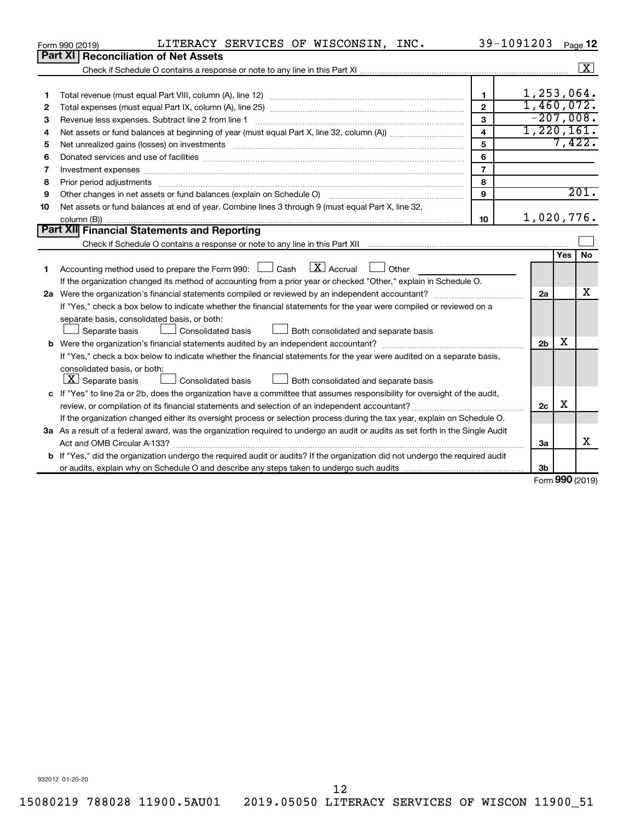|    | LITERACY SERVICES OF WISCONSIN, INC.<br>Form 990 (2019)                                                                                                               |                         | 39-1091203     |     | Page 12              |  |  |  |  |
|----|-----------------------------------------------------------------------------------------------------------------------------------------------------------------------|-------------------------|----------------|-----|----------------------|--|--|--|--|
|    | <b>Part XI   Reconciliation of Net Assets</b>                                                                                                                         |                         |                |     |                      |  |  |  |  |
|    |                                                                                                                                                                       |                         |                |     | $\boxed{\textbf{X}}$ |  |  |  |  |
|    |                                                                                                                                                                       |                         |                |     |                      |  |  |  |  |
| 1  |                                                                                                                                                                       | $\mathbf 1$             | 1, 253, 064.   |     |                      |  |  |  |  |
| 2  |                                                                                                                                                                       | $\overline{2}$          | 1,460,072.     |     |                      |  |  |  |  |
| з  |                                                                                                                                                                       | $\mathbf{3}$            | $-207,008.$    |     |                      |  |  |  |  |
| 4  |                                                                                                                                                                       | $\overline{\mathbf{4}}$ | 1,220,161.     |     | 7,422.               |  |  |  |  |
| 5  | 5<br>Net unrealized gains (losses) on investments [111] www.martime.community.community.community.community.communi                                                   |                         |                |     |                      |  |  |  |  |
| 6  |                                                                                                                                                                       | 6                       |                |     |                      |  |  |  |  |
| 7  | Investment expenses www.communication.com/www.communication.com/www.communication.com/www.com                                                                         | $\overline{7}$          |                |     |                      |  |  |  |  |
| 8  |                                                                                                                                                                       | 8                       |                |     |                      |  |  |  |  |
| 9  | Other changes in net assets or fund balances (explain on Schedule O) manual contraction control of the changes in net assets or fund balances (explain on Schedule O) | 9                       |                |     | 201.                 |  |  |  |  |
| 10 | Net assets or fund balances at end of year. Combine lines 3 through 9 (must equal Part X, line 32,                                                                    |                         |                |     |                      |  |  |  |  |
|    |                                                                                                                                                                       | 10                      | 1,020,776.     |     |                      |  |  |  |  |
|    | <b>Part XII</b> Financial Statements and Reporting                                                                                                                    |                         |                |     |                      |  |  |  |  |
|    |                                                                                                                                                                       |                         |                |     |                      |  |  |  |  |
|    |                                                                                                                                                                       |                         |                | Yes | No                   |  |  |  |  |
| 1  | $\lfloor \mathbf{X} \rfloor$ Accrual<br>Accounting method used to prepare the Form 990: [130] Cash<br>$\Box$ Other                                                    |                         |                |     |                      |  |  |  |  |
|    | If the organization changed its method of accounting from a prior year or checked "Other," explain in Schedule O.                                                     |                         |                |     | X                    |  |  |  |  |
|    |                                                                                                                                                                       |                         | 2a             |     |                      |  |  |  |  |
|    | If "Yes," check a box below to indicate whether the financial statements for the year were compiled or reviewed on a                                                  |                         |                |     |                      |  |  |  |  |
|    | separate basis, consolidated basis, or both:                                                                                                                          |                         |                |     |                      |  |  |  |  |
|    | Both consolidated and separate basis<br>Separate basis<br><b>Consolidated basis</b>                                                                                   |                         |                | x   |                      |  |  |  |  |
|    |                                                                                                                                                                       |                         | 2 <sub>b</sub> |     |                      |  |  |  |  |
|    | If "Yes," check a box below to indicate whether the financial statements for the year were audited on a separate basis,                                               |                         |                |     |                      |  |  |  |  |
|    | consolidated basis, or both:                                                                                                                                          |                         |                |     |                      |  |  |  |  |
|    | $\lfloor x \rfloor$ Separate basis<br>Consolidated basis<br>Both consolidated and separate basis                                                                      |                         |                |     |                      |  |  |  |  |
|    | c If "Yes" to line 2a or 2b, does the organization have a committee that assumes responsibility for oversight of the audit,                                           |                         |                | х   |                      |  |  |  |  |
|    |                                                                                                                                                                       |                         | 2c             |     |                      |  |  |  |  |
|    | If the organization changed either its oversight process or selection process during the tax year, explain on Schedule O.                                             |                         |                |     |                      |  |  |  |  |
|    | 3a As a result of a federal award, was the organization required to undergo an audit or audits as set forth in the Single Audit                                       |                         |                |     | x                    |  |  |  |  |
|    | Act and OMB Circular A-133?                                                                                                                                           |                         | 3a             |     |                      |  |  |  |  |
|    | <b>b</b> If "Yes," did the organization undergo the required audit or audits? If the organization did not undergo the required audit                                  |                         |                |     |                      |  |  |  |  |
|    |                                                                                                                                                                       |                         | 3b             |     | 000(0010)            |  |  |  |  |

Form (2019) **990**

932012 01-20-20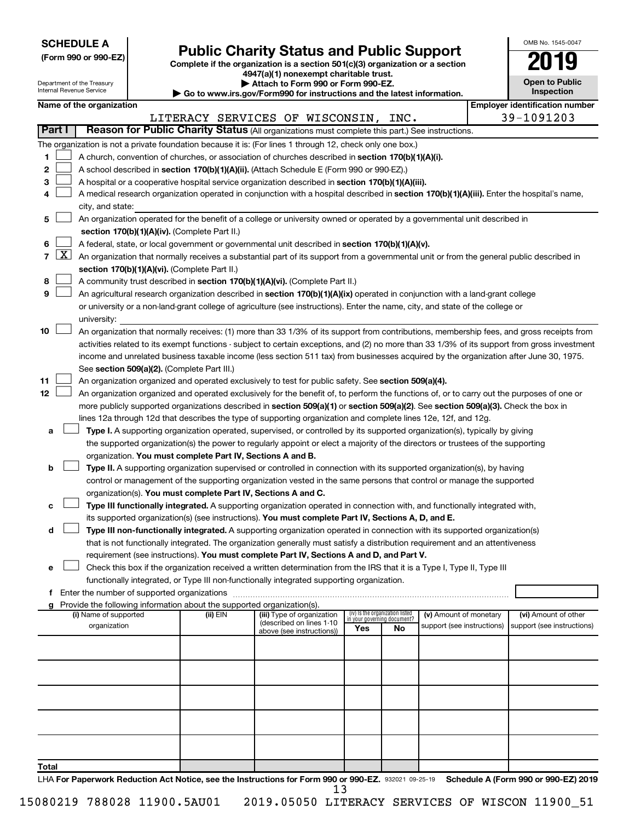| <b>SCHEDULE A</b> |  |
|-------------------|--|
|-------------------|--|

| (Form 990 or 990-EZ) |  |  |
|----------------------|--|--|
|                      |  |  |

Form 990 or 990-EZ)<br>
Complete if the organization is a section 501(c)(3) organization or a section<br> **Public Charity Status and Public Support 4947(a)(1) nonexempt charitable trust.**

| OMB No 1545-0047                    |
|-------------------------------------|
| 2019                                |
| <b>Open to Public</b><br>Inspection |

| Department of the Treasury<br>Internal Revenue Service |  |                          | Attach to Form 990 or Form 990-EZ.<br>Go to www.irs.gov/Form990 for instructions and the latest information. | <b>Open to Public</b><br>Inspection                                                                                                                                                                                                                                              |                                    |    |                            |  |                                       |
|--------------------------------------------------------|--|--------------------------|--------------------------------------------------------------------------------------------------------------|----------------------------------------------------------------------------------------------------------------------------------------------------------------------------------------------------------------------------------------------------------------------------------|------------------------------------|----|----------------------------|--|---------------------------------------|
|                                                        |  | Name of the organization |                                                                                                              |                                                                                                                                                                                                                                                                                  |                                    |    |                            |  | <b>Employer identification number</b> |
|                                                        |  |                          |                                                                                                              | LITERACY SERVICES OF WISCONSIN, INC.                                                                                                                                                                                                                                             |                                    |    |                            |  | 39-1091203                            |
| Part I                                                 |  |                          |                                                                                                              | Reason for Public Charity Status (All organizations must complete this part.) See instructions.                                                                                                                                                                                  |                                    |    |                            |  |                                       |
|                                                        |  |                          |                                                                                                              | The organization is not a private foundation because it is: (For lines 1 through 12, check only one box.)                                                                                                                                                                        |                                    |    |                            |  |                                       |
| 1.                                                     |  |                          |                                                                                                              | A church, convention of churches, or association of churches described in section 170(b)(1)(A)(i).                                                                                                                                                                               |                                    |    |                            |  |                                       |
| 2                                                      |  |                          |                                                                                                              | A school described in section 170(b)(1)(A)(ii). (Attach Schedule E (Form 990 or 990-EZ).)                                                                                                                                                                                        |                                    |    |                            |  |                                       |
| з                                                      |  |                          |                                                                                                              | A hospital or a cooperative hospital service organization described in section 170(b)(1)(A)(iii).                                                                                                                                                                                |                                    |    |                            |  |                                       |
| 4                                                      |  |                          |                                                                                                              | A medical research organization operated in conjunction with a hospital described in section 170(b)(1)(A)(iii). Enter the hospital's name,                                                                                                                                       |                                    |    |                            |  |                                       |
|                                                        |  | city, and state:         |                                                                                                              |                                                                                                                                                                                                                                                                                  |                                    |    |                            |  |                                       |
| 5                                                      |  |                          |                                                                                                              | An organization operated for the benefit of a college or university owned or operated by a governmental unit described in                                                                                                                                                        |                                    |    |                            |  |                                       |
|                                                        |  |                          | section 170(b)(1)(A)(iv). (Complete Part II.)                                                                |                                                                                                                                                                                                                                                                                  |                                    |    |                            |  |                                       |
| 6                                                      |  |                          |                                                                                                              | A federal, state, or local government or governmental unit described in section 170(b)(1)(A)(v).                                                                                                                                                                                 |                                    |    |                            |  |                                       |
| $7 \mid X \mid$                                        |  |                          |                                                                                                              | An organization that normally receives a substantial part of its support from a governmental unit or from the general public described in                                                                                                                                        |                                    |    |                            |  |                                       |
|                                                        |  |                          | section 170(b)(1)(A)(vi). (Complete Part II.)                                                                |                                                                                                                                                                                                                                                                                  |                                    |    |                            |  |                                       |
| 8                                                      |  |                          |                                                                                                              | A community trust described in section 170(b)(1)(A)(vi). (Complete Part II.)                                                                                                                                                                                                     |                                    |    |                            |  |                                       |
| 9                                                      |  |                          |                                                                                                              | An agricultural research organization described in section 170(b)(1)(A)(ix) operated in conjunction with a land-grant college                                                                                                                                                    |                                    |    |                            |  |                                       |
|                                                        |  |                          |                                                                                                              | or university or a non-land-grant college of agriculture (see instructions). Enter the name, city, and state of the college or                                                                                                                                                   |                                    |    |                            |  |                                       |
|                                                        |  | university:              |                                                                                                              |                                                                                                                                                                                                                                                                                  |                                    |    |                            |  |                                       |
| 10                                                     |  |                          |                                                                                                              | An organization that normally receives: (1) more than 33 1/3% of its support from contributions, membership fees, and gross receipts from                                                                                                                                        |                                    |    |                            |  |                                       |
|                                                        |  |                          |                                                                                                              | activities related to its exempt functions - subject to certain exceptions, and (2) no more than 33 1/3% of its support from gross investment                                                                                                                                    |                                    |    |                            |  |                                       |
|                                                        |  |                          |                                                                                                              | income and unrelated business taxable income (less section 511 tax) from businesses acquired by the organization after June 30, 1975.                                                                                                                                            |                                    |    |                            |  |                                       |
|                                                        |  |                          | See section 509(a)(2). (Complete Part III.)                                                                  |                                                                                                                                                                                                                                                                                  |                                    |    |                            |  |                                       |
| 11<br>12 <sub>2</sub>                                  |  |                          |                                                                                                              | An organization organized and operated exclusively to test for public safety. See section 509(a)(4).                                                                                                                                                                             |                                    |    |                            |  |                                       |
|                                                        |  |                          |                                                                                                              | An organization organized and operated exclusively for the benefit of, to perform the functions of, or to carry out the purposes of one or<br>more publicly supported organizations described in section 509(a)(1) or section 509(a)(2). See section 509(a)(3). Check the box in |                                    |    |                            |  |                                       |
|                                                        |  |                          |                                                                                                              | lines 12a through 12d that describes the type of supporting organization and complete lines 12e, 12f, and 12g.                                                                                                                                                                   |                                    |    |                            |  |                                       |
| а                                                      |  |                          |                                                                                                              | Type I. A supporting organization operated, supervised, or controlled by its supported organization(s), typically by giving                                                                                                                                                      |                                    |    |                            |  |                                       |
|                                                        |  |                          |                                                                                                              | the supported organization(s) the power to regularly appoint or elect a majority of the directors or trustees of the supporting                                                                                                                                                  |                                    |    |                            |  |                                       |
|                                                        |  |                          | organization. You must complete Part IV, Sections A and B.                                                   |                                                                                                                                                                                                                                                                                  |                                    |    |                            |  |                                       |
| b                                                      |  |                          |                                                                                                              | Type II. A supporting organization supervised or controlled in connection with its supported organization(s), by having                                                                                                                                                          |                                    |    |                            |  |                                       |
|                                                        |  |                          |                                                                                                              | control or management of the supporting organization vested in the same persons that control or manage the supported                                                                                                                                                             |                                    |    |                            |  |                                       |
|                                                        |  |                          | organization(s). You must complete Part IV, Sections A and C.                                                |                                                                                                                                                                                                                                                                                  |                                    |    |                            |  |                                       |
| с                                                      |  |                          |                                                                                                              | Type III functionally integrated. A supporting organization operated in connection with, and functionally integrated with,                                                                                                                                                       |                                    |    |                            |  |                                       |
|                                                        |  |                          |                                                                                                              | its supported organization(s) (see instructions). You must complete Part IV, Sections A, D, and E.                                                                                                                                                                               |                                    |    |                            |  |                                       |
| d                                                      |  |                          |                                                                                                              | Type III non-functionally integrated. A supporting organization operated in connection with its supported organization(s)                                                                                                                                                        |                                    |    |                            |  |                                       |
|                                                        |  |                          |                                                                                                              | that is not functionally integrated. The organization generally must satisfy a distribution requirement and an attentiveness                                                                                                                                                     |                                    |    |                            |  |                                       |
|                                                        |  |                          |                                                                                                              | requirement (see instructions). You must complete Part IV, Sections A and D, and Part V.                                                                                                                                                                                         |                                    |    |                            |  |                                       |
| e                                                      |  |                          |                                                                                                              | Check this box if the organization received a written determination from the IRS that it is a Type I, Type II, Type III                                                                                                                                                          |                                    |    |                            |  |                                       |
|                                                        |  |                          |                                                                                                              | functionally integrated, or Type III non-functionally integrated supporting organization.                                                                                                                                                                                        |                                    |    |                            |  |                                       |
|                                                        |  |                          |                                                                                                              |                                                                                                                                                                                                                                                                                  |                                    |    |                            |  |                                       |
|                                                        |  | (i) Name of supported    | Provide the following information about the supported organization(s).<br>(ii) EIN                           | (iii) Type of organization                                                                                                                                                                                                                                                       | (iv) Is the organization listed    |    | (v) Amount of monetary     |  | (vi) Amount of other                  |
|                                                        |  | organization             |                                                                                                              | (described on lines 1-10                                                                                                                                                                                                                                                         | in your governing document?<br>Yes | No | support (see instructions) |  | support (see instructions)            |
|                                                        |  |                          |                                                                                                              | above (see instructions))                                                                                                                                                                                                                                                        |                                    |    |                            |  |                                       |
|                                                        |  |                          |                                                                                                              |                                                                                                                                                                                                                                                                                  |                                    |    |                            |  |                                       |
|                                                        |  |                          |                                                                                                              |                                                                                                                                                                                                                                                                                  |                                    |    |                            |  |                                       |
|                                                        |  |                          |                                                                                                              |                                                                                                                                                                                                                                                                                  |                                    |    |                            |  |                                       |
|                                                        |  |                          |                                                                                                              |                                                                                                                                                                                                                                                                                  |                                    |    |                            |  |                                       |
|                                                        |  |                          |                                                                                                              |                                                                                                                                                                                                                                                                                  |                                    |    |                            |  |                                       |
|                                                        |  |                          |                                                                                                              |                                                                                                                                                                                                                                                                                  |                                    |    |                            |  |                                       |
|                                                        |  |                          |                                                                                                              |                                                                                                                                                                                                                                                                                  |                                    |    |                            |  |                                       |
|                                                        |  |                          |                                                                                                              |                                                                                                                                                                                                                                                                                  |                                    |    |                            |  |                                       |
|                                                        |  |                          |                                                                                                              |                                                                                                                                                                                                                                                                                  |                                    |    |                            |  |                                       |
| <b>Total</b>                                           |  |                          |                                                                                                              |                                                                                                                                                                                                                                                                                  |                                    |    |                            |  |                                       |

LHA For Paperwork Reduction Act Notice, see the Instructions for Form 990 or 990-EZ. 932021 09-25-19 Schedule A (Form 990 or 990-EZ) 2019 13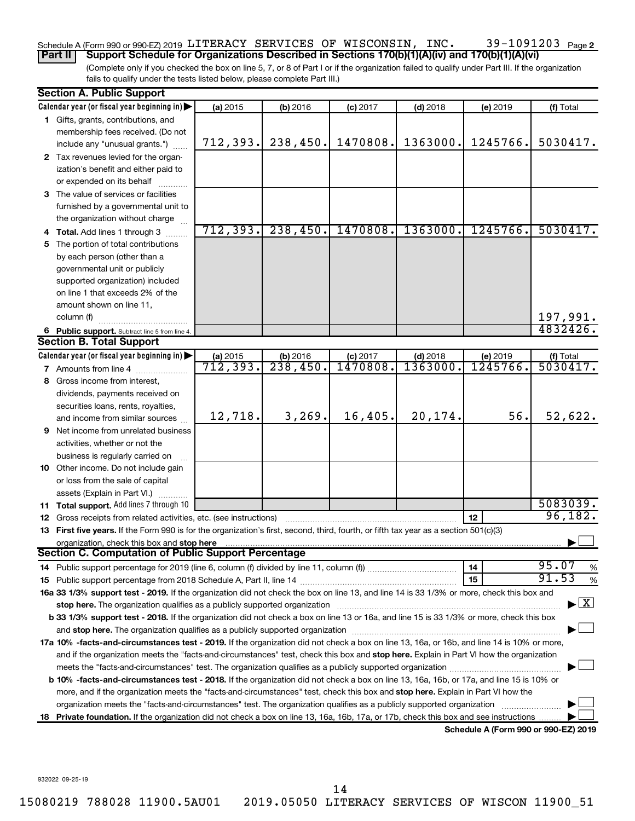#### 39-1091203 Page 2 Schedule A (Form 990 or 990-EZ) 2019 <code>LITERACY SERVICES OF WISCONSIN</code> , <code>INC. 39–1091203</code> <code>Page</code>

(Complete only if you checked the box on line 5, 7, or 8 of Part I or if the organization failed to qualify under Part III. If the organization fails to qualify under the tests listed below, please complete Part III.) **Part II** | Support Schedule for Organizations Described in Sections 170(b)(1)(A)(iv) and 170(b)(1)(A)(vi)

|    | <b>Section A. Public Support</b>                                                                                                           |                       |          |            |            |          |                                    |
|----|--------------------------------------------------------------------------------------------------------------------------------------------|-----------------------|----------|------------|------------|----------|------------------------------------|
|    | Calendar year (or fiscal year beginning in)                                                                                                | (a) 2015              | (b) 2016 | $(c)$ 2017 | $(d)$ 2018 | (e) 2019 | (f) Total                          |
|    | 1 Gifts, grants, contributions, and                                                                                                        |                       |          |            |            |          |                                    |
|    | membership fees received. (Do not                                                                                                          |                       |          |            |            |          |                                    |
|    | include any "unusual grants.")                                                                                                             | 712,393.              | 238,450. | 1470808.   | 1363000.   | 1245766. | 5030417.                           |
|    | 2 Tax revenues levied for the organ-                                                                                                       |                       |          |            |            |          |                                    |
|    | ization's benefit and either paid to                                                                                                       |                       |          |            |            |          |                                    |
|    | or expended on its behalf                                                                                                                  |                       |          |            |            |          |                                    |
|    | 3 The value of services or facilities                                                                                                      |                       |          |            |            |          |                                    |
|    | furnished by a governmental unit to                                                                                                        |                       |          |            |            |          |                                    |
|    | the organization without charge                                                                                                            |                       |          |            |            |          |                                    |
|    | 4 Total. Add lines 1 through 3                                                                                                             | 712,393.              | 238,450. | 1470808.   | 1363000.   | 1245766. | 5030417.                           |
| 5. | The portion of total contributions                                                                                                         |                       |          |            |            |          |                                    |
|    | by each person (other than a                                                                                                               |                       |          |            |            |          |                                    |
|    | governmental unit or publicly                                                                                                              |                       |          |            |            |          |                                    |
|    | supported organization) included                                                                                                           |                       |          |            |            |          |                                    |
|    | on line 1 that exceeds 2% of the                                                                                                           |                       |          |            |            |          |                                    |
|    | amount shown on line 11,                                                                                                                   |                       |          |            |            |          |                                    |
|    | column (f)                                                                                                                                 |                       |          |            |            |          | 197,991.                           |
|    | 6 Public support. Subtract line 5 from line 4.                                                                                             |                       |          |            |            |          | 4832426.                           |
|    | <b>Section B. Total Support</b>                                                                                                            |                       |          |            |            |          |                                    |
|    | Calendar year (or fiscal year beginning in)                                                                                                |                       | (b) 2016 | $(c)$ 2017 | $(d)$ 2018 | (e) 2019 | (f) Total                          |
|    | 7 Amounts from line 4                                                                                                                      | (a) 2015<br>712, 393. | 238,450. | 1470808    | 1363000    | 1245766. | 5030417.                           |
|    | Gross income from interest,                                                                                                                |                       |          |            |            |          |                                    |
| 8  |                                                                                                                                            |                       |          |            |            |          |                                    |
|    | dividends, payments received on                                                                                                            |                       |          |            |            |          |                                    |
|    | securities loans, rents, royalties,                                                                                                        | 12,718.               | 3, 269.  | 16,405.    | 20,174.    | 56.      | 52,622.                            |
|    | and income from similar sources                                                                                                            |                       |          |            |            |          |                                    |
| 9  | Net income from unrelated business                                                                                                         |                       |          |            |            |          |                                    |
|    | activities, whether or not the                                                                                                             |                       |          |            |            |          |                                    |
|    | business is regularly carried on                                                                                                           |                       |          |            |            |          |                                    |
|    | <b>10</b> Other income. Do not include gain                                                                                                |                       |          |            |            |          |                                    |
|    | or loss from the sale of capital                                                                                                           |                       |          |            |            |          |                                    |
|    | assets (Explain in Part VI.)                                                                                                               |                       |          |            |            |          | 5083039.                           |
|    | 11 Total support. Add lines 7 through 10                                                                                                   |                       |          |            |            |          | 96,182.                            |
|    | 12 Gross receipts from related activities, etc. (see instructions)                                                                         |                       |          |            |            | 12       |                                    |
|    | 13 First five years. If the Form 990 is for the organization's first, second, third, fourth, or fifth tax year as a section 501(c)(3)      |                       |          |            |            |          |                                    |
|    | organization, check this box and stop here<br><b>Section C. Computation of Public Support Percentage</b>                                   |                       |          |            |            |          |                                    |
|    |                                                                                                                                            |                       |          |            |            |          |                                    |
|    |                                                                                                                                            |                       |          |            |            | 14       | 95.07<br>%<br>91.53                |
|    |                                                                                                                                            |                       |          |            |            | 15       | %                                  |
|    | 16a 33 1/3% support test - 2019. If the organization did not check the box on line 13, and line 14 is 33 1/3% or more, check this box and  |                       |          |            |            |          |                                    |
|    | stop here. The organization qualifies as a publicly supported organization manufactured content and the organization                       |                       |          |            |            |          | $\blacktriangleright$ $\mathbf{X}$ |
|    | b 33 1/3% support test - 2018. If the organization did not check a box on line 13 or 16a, and line 15 is 33 1/3% or more, check this box   |                       |          |            |            |          |                                    |
|    |                                                                                                                                            |                       |          |            |            |          |                                    |
|    | 17a 10% -facts-and-circumstances test - 2019. If the organization did not check a box on line 13, 16a, or 16b, and line 14 is 10% or more, |                       |          |            |            |          |                                    |
|    | and if the organization meets the "facts-and-circumstances" test, check this box and stop here. Explain in Part VI how the organization    |                       |          |            |            |          |                                    |
|    | meets the "facts-and-circumstances" test. The organization qualifies as a publicly supported organization <i>manumumum</i>                 |                       |          |            |            |          |                                    |
|    | b 10% -facts-and-circumstances test - 2018. If the organization did not check a box on line 13, 16a, 16b, or 17a, and line 15 is 10% or    |                       |          |            |            |          |                                    |
|    | more, and if the organization meets the "facts-and-circumstances" test, check this box and stop here. Explain in Part VI how the           |                       |          |            |            |          |                                    |
|    | organization meets the "facts-and-circumstances" test. The organization qualifies as a publicly supported organization                     |                       |          |            |            |          |                                    |
| 18 | Private foundation. If the organization did not check a box on line 13, 16a, 16b, 17a, or 17b, check this box and see instructions         |                       |          |            |            |          |                                    |
|    |                                                                                                                                            |                       |          |            |            |          |                                    |

**Schedule A (Form 990 or 990-EZ) 2019**

932022 09-25-19

14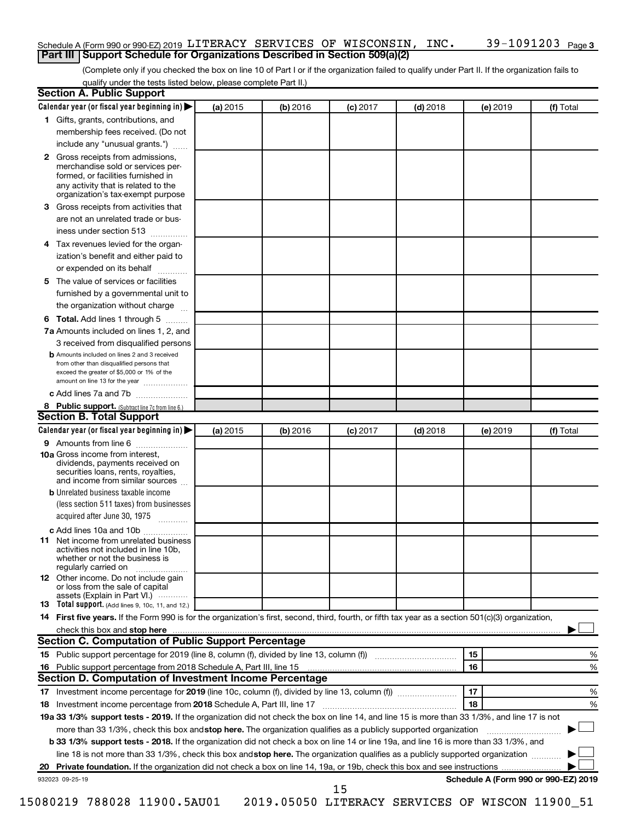#### Schedule A (Form 990 or 990-EZ) 2019 <code>LITERACY SERVICES OF WISCONSIN</code> , <code>INC. 39–1091203</code> <code>Page</code> **Part III | Support Schedule for Organizations Described in Section 509(a)(2)**

(Complete only if you checked the box on line 10 of Part I or if the organization failed to qualify under Part II. If the organization fails to qualify under the tests listed below, please complete Part II.)

| <b>Section A. Public Support</b>                                                                                                                                                                                                         |          |          |            |            |          |                                      |
|------------------------------------------------------------------------------------------------------------------------------------------------------------------------------------------------------------------------------------------|----------|----------|------------|------------|----------|--------------------------------------|
| Calendar year (or fiscal year beginning in)                                                                                                                                                                                              | (a) 2015 | (b) 2016 | $(c)$ 2017 | $(d)$ 2018 | (e) 2019 | (f) Total                            |
| 1 Gifts, grants, contributions, and                                                                                                                                                                                                      |          |          |            |            |          |                                      |
| membership fees received. (Do not                                                                                                                                                                                                        |          |          |            |            |          |                                      |
| include any "unusual grants.")                                                                                                                                                                                                           |          |          |            |            |          |                                      |
| <b>2</b> Gross receipts from admissions,<br>merchandise sold or services per-<br>formed, or facilities furnished in<br>any activity that is related to the<br>organization's tax-exempt purpose                                          |          |          |            |            |          |                                      |
| 3 Gross receipts from activities that                                                                                                                                                                                                    |          |          |            |            |          |                                      |
| are not an unrelated trade or bus-                                                                                                                                                                                                       |          |          |            |            |          |                                      |
| iness under section 513                                                                                                                                                                                                                  |          |          |            |            |          |                                      |
| 4 Tax revenues levied for the organ-                                                                                                                                                                                                     |          |          |            |            |          |                                      |
| ization's benefit and either paid to<br>or expended on its behalf                                                                                                                                                                        |          |          |            |            |          |                                      |
| 5 The value of services or facilities                                                                                                                                                                                                    |          |          |            |            |          |                                      |
| furnished by a governmental unit to                                                                                                                                                                                                      |          |          |            |            |          |                                      |
| the organization without charge                                                                                                                                                                                                          |          |          |            |            |          |                                      |
| 6 Total. Add lines 1 through 5                                                                                                                                                                                                           |          |          |            |            |          |                                      |
| 7a Amounts included on lines 1, 2, and                                                                                                                                                                                                   |          |          |            |            |          |                                      |
| 3 received from disqualified persons                                                                                                                                                                                                     |          |          |            |            |          |                                      |
| <b>b</b> Amounts included on lines 2 and 3 received<br>from other than disqualified persons that<br>exceed the greater of \$5,000 or 1% of the<br>amount on line 13 for the year                                                         |          |          |            |            |          |                                      |
| c Add lines 7a and 7b                                                                                                                                                                                                                    |          |          |            |            |          |                                      |
| 8 Public support. (Subtract line 7c from line 6.)                                                                                                                                                                                        |          |          |            |            |          |                                      |
| <b>Section B. Total Support</b>                                                                                                                                                                                                          |          |          |            |            |          |                                      |
| Calendar year (or fiscal year beginning in)                                                                                                                                                                                              | (a) 2015 | (b) 2016 | $(c)$ 2017 | $(d)$ 2018 | (e) 2019 | (f) Total                            |
| 9 Amounts from line 6                                                                                                                                                                                                                    |          |          |            |            |          |                                      |
| <b>10a</b> Gross income from interest,<br>dividends, payments received on<br>securities loans, rents, royalties,<br>and income from similar sources                                                                                      |          |          |            |            |          |                                      |
| <b>b</b> Unrelated business taxable income<br>(less section 511 taxes) from businesses                                                                                                                                                   |          |          |            |            |          |                                      |
| acquired after June 30, 1975                                                                                                                                                                                                             |          |          |            |            |          |                                      |
| c Add lines 10a and 10b                                                                                                                                                                                                                  |          |          |            |            |          |                                      |
| <b>11</b> Net income from unrelated business<br>activities not included in line 10b.<br>whether or not the business is<br>regularly carried on                                                                                           |          |          |            |            |          |                                      |
| 12 Other income. Do not include gain<br>or loss from the sale of capital<br>assets (Explain in Part VI.)                                                                                                                                 |          |          |            |            |          |                                      |
| <b>13</b> Total support. (Add lines 9, 10c, 11, and 12.)                                                                                                                                                                                 |          |          |            |            |          |                                      |
| 14 First five years. If the Form 990 is for the organization's first, second, third, fourth, or fifth tax year as a section 501(c)(3) organization,                                                                                      |          |          |            |            |          |                                      |
| check this box and stop here <b>contained and the contained and stop here</b> check this box and stop here <b>contained and stop here</b> contained and stop here contained and stop here contained and stop here contained and stop her |          |          |            |            |          |                                      |
| Section C. Computation of Public Support Percentage                                                                                                                                                                                      |          |          |            |            |          |                                      |
| 15 Public support percentage for 2019 (line 8, column (f), divided by line 13, column (f) <i></i>                                                                                                                                        |          |          |            |            | 15       | ℅                                    |
|                                                                                                                                                                                                                                          |          |          |            |            | 16       | %                                    |
| Section D. Computation of Investment Income Percentage                                                                                                                                                                                   |          |          |            |            |          |                                      |
|                                                                                                                                                                                                                                          |          |          |            |            | 17       | %                                    |
| 18 Investment income percentage from 2018 Schedule A, Part III, line 17                                                                                                                                                                  |          |          |            |            | 18       | %                                    |
| 19a 33 1/3% support tests - 2019. If the organization did not check the box on line 14, and line 15 is more than 33 1/3%, and line 17 is not                                                                                             |          |          |            |            |          |                                      |
| more than 33 1/3%, check this box and stop here. The organization qualifies as a publicly supported organization                                                                                                                         |          |          |            |            |          |                                      |
| b 33 1/3% support tests - 2018. If the organization did not check a box on line 14 or line 19a, and line 16 is more than 33 1/3%, and                                                                                                    |          |          |            |            |          |                                      |
| line 18 is not more than 33 1/3%, check this box and stop here. The organization qualifies as a publicly supported organization                                                                                                          |          |          |            |            |          |                                      |
|                                                                                                                                                                                                                                          |          |          |            |            |          |                                      |
| 932023 09-25-19                                                                                                                                                                                                                          |          |          | 15         |            |          | Schedule A (Form 990 or 990-EZ) 2019 |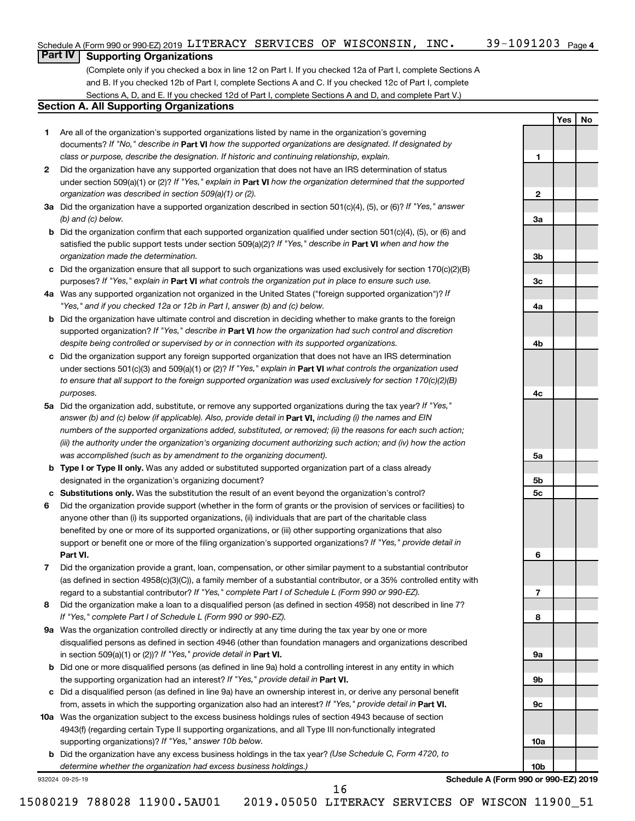**1**

**2**

**3a**

**3b**

**3c**

**4a**

**4b**

**4c**

**5a**

**5b 5c**

**6**

**7**

**8**

**9a**

**9b**

**9c**

**10a**

**10b**

**Yes No**

## **Part IV Supporting Organizations**

(Complete only if you checked a box in line 12 on Part I. If you checked 12a of Part I, complete Sections A and B. If you checked 12b of Part I, complete Sections A and C. If you checked 12c of Part I, complete Sections A, D, and E. If you checked 12d of Part I, complete Sections A and D, and complete Part V.)

#### **Section A. All Supporting Organizations**

- **1** Are all of the organization's supported organizations listed by name in the organization's governing documents? If "No," describe in Part VI how the supported organizations are designated. If designated by *class or purpose, describe the designation. If historic and continuing relationship, explain.*
- **2** Did the organization have any supported organization that does not have an IRS determination of status under section 509(a)(1) or (2)? If "Yes," explain in Part **VI** how the organization determined that the supported *organization was described in section 509(a)(1) or (2).*
- **3a** Did the organization have a supported organization described in section 501(c)(4), (5), or (6)? If "Yes," answer *(b) and (c) below.*
- **b** Did the organization confirm that each supported organization qualified under section 501(c)(4), (5), or (6) and satisfied the public support tests under section 509(a)(2)? If "Yes," describe in Part VI when and how the *organization made the determination.*
- **c** Did the organization ensure that all support to such organizations was used exclusively for section 170(c)(2)(B) purposes? If "Yes," explain in Part VI what controls the organization put in place to ensure such use.
- **4 a** *If* Was any supported organization not organized in the United States ("foreign supported organization")? *"Yes," and if you checked 12a or 12b in Part I, answer (b) and (c) below.*
- **b** Did the organization have ultimate control and discretion in deciding whether to make grants to the foreign supported organization? If "Yes," describe in Part VI how the organization had such control and discretion *despite being controlled or supervised by or in connection with its supported organizations.*
- **c** Did the organization support any foreign supported organization that does not have an IRS determination under sections 501(c)(3) and 509(a)(1) or (2)? If "Yes," explain in Part VI what controls the organization used *to ensure that all support to the foreign supported organization was used exclusively for section 170(c)(2)(B) purposes.*
- **5a** Did the organization add, substitute, or remove any supported organizations during the tax year? If "Yes," answer (b) and (c) below (if applicable). Also, provide detail in **Part VI,** including (i) the names and EIN *numbers of the supported organizations added, substituted, or removed; (ii) the reasons for each such action; (iii) the authority under the organization's organizing document authorizing such action; and (iv) how the action was accomplished (such as by amendment to the organizing document).*
- **b Type I or Type II only.** Was any added or substituted supported organization part of a class already designated in the organization's organizing document?
- **c Substitutions only.**  Was the substitution the result of an event beyond the organization's control?
- **6** Did the organization provide support (whether in the form of grants or the provision of services or facilities) to **Part VI.** support or benefit one or more of the filing organization's supported organizations? If "Yes," provide detail in anyone other than (i) its supported organizations, (ii) individuals that are part of the charitable class benefited by one or more of its supported organizations, or (iii) other supporting organizations that also
- **7** Did the organization provide a grant, loan, compensation, or other similar payment to a substantial contributor regard to a substantial contributor? If "Yes," complete Part I of Schedule L (Form 990 or 990-EZ). (as defined in section 4958(c)(3)(C)), a family member of a substantial contributor, or a 35% controlled entity with
- **8** Did the organization make a loan to a disqualified person (as defined in section 4958) not described in line 7? *If "Yes," complete Part I of Schedule L (Form 990 or 990-EZ).*
- **9 a** Was the organization controlled directly or indirectly at any time during the tax year by one or more in section 509(a)(1) or (2))? If "Yes," provide detail in **Part VI.** disqualified persons as defined in section 4946 (other than foundation managers and organizations described
- **b** Did one or more disqualified persons (as defined in line 9a) hold a controlling interest in any entity in which the supporting organization had an interest? If "Yes," provide detail in Part VI.
- **c** Did a disqualified person (as defined in line 9a) have an ownership interest in, or derive any personal benefit from, assets in which the supporting organization also had an interest? If "Yes," provide detail in Part VI.
- **10 a** Was the organization subject to the excess business holdings rules of section 4943 because of section supporting organizations)? If "Yes," answer 10b below. 4943(f) (regarding certain Type II supporting organizations, and all Type III non-functionally integrated
	- **b** Did the organization have any excess business holdings in the tax year? (Use Schedule C, Form 4720, to *determine whether the organization had excess business holdings.)*

932024 09-25-19

**Schedule A (Form 990 or 990-EZ) 2019**

16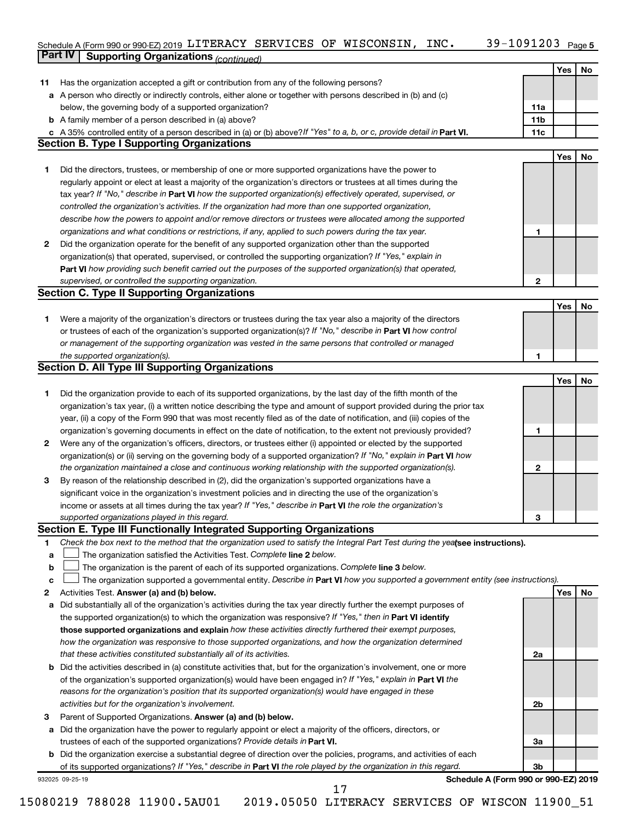#### 39-1091203 Page 5 Schedule A (Form 990 or 990-EZ) 2019 LITERACY SERVICES OF WISCONSIN, INC.  $39-1091203$  Page LITERACY SERVICES OF WISCONSIN, INC. 39-1091203

|    | <b>Part IV</b>  | <b>Supporting Organizations (continued)</b>                                                                                     |                 |            |    |
|----|-----------------|---------------------------------------------------------------------------------------------------------------------------------|-----------------|------------|----|
|    |                 |                                                                                                                                 |                 | Yes        | No |
| 11 |                 | Has the organization accepted a gift or contribution from any of the following persons?                                         |                 |            |    |
| а  |                 | A person who directly or indirectly controls, either alone or together with persons described in (b) and (c)                    |                 |            |    |
|    |                 | below, the governing body of a supported organization?                                                                          | 11a             |            |    |
|    |                 | <b>b</b> A family member of a person described in (a) above?                                                                    | 11 <sub>b</sub> |            |    |
|    |                 | c A 35% controlled entity of a person described in (a) or (b) above? If "Yes" to a, b, or c, provide detail in Part VI.         | 11c             |            |    |
|    |                 | <b>Section B. Type I Supporting Organizations</b>                                                                               |                 |            |    |
|    |                 |                                                                                                                                 |                 | <b>Yes</b> | No |
| 1. |                 | Did the directors, trustees, or membership of one or more supported organizations have the power to                             |                 |            |    |
|    |                 | regularly appoint or elect at least a majority of the organization's directors or trustees at all times during the              |                 |            |    |
|    |                 | tax year? If "No," describe in Part VI how the supported organization(s) effectively operated, supervised, or                   |                 |            |    |
|    |                 |                                                                                                                                 |                 |            |    |
|    |                 | controlled the organization's activities. If the organization had more than one supported organization,                         |                 |            |    |
|    |                 | describe how the powers to appoint and/or remove directors or trustees were allocated among the supported                       |                 |            |    |
|    |                 | organizations and what conditions or restrictions, if any, applied to such powers during the tax year.                          | 1               |            |    |
| 2  |                 | Did the organization operate for the benefit of any supported organization other than the supported                             |                 |            |    |
|    |                 | organization(s) that operated, supervised, or controlled the supporting organization? If "Yes," explain in                      |                 |            |    |
|    |                 | Part VI how providing such benefit carried out the purposes of the supported organization(s) that operated,                     |                 |            |    |
|    |                 | supervised, or controlled the supporting organization.                                                                          | $\mathbf{2}$    |            |    |
|    |                 | <b>Section C. Type II Supporting Organizations</b>                                                                              |                 |            |    |
|    |                 |                                                                                                                                 |                 | Yes        | No |
| 1. |                 | Were a majority of the organization's directors or trustees during the tax year also a majority of the directors                |                 |            |    |
|    |                 | or trustees of each of the organization's supported organization(s)? If "No," describe in Part VI how control                   |                 |            |    |
|    |                 | or management of the supporting organization was vested in the same persons that controlled or managed                          |                 |            |    |
|    |                 | the supported organization(s).                                                                                                  | 1               |            |    |
|    |                 | <b>Section D. All Type III Supporting Organizations</b>                                                                         |                 |            |    |
|    |                 |                                                                                                                                 |                 | Yes        | No |
| 1  |                 | Did the organization provide to each of its supported organizations, by the last day of the fifth month of the                  |                 |            |    |
|    |                 | organization's tax year, (i) a written notice describing the type and amount of support provided during the prior tax           |                 |            |    |
|    |                 | year, (ii) a copy of the Form 990 that was most recently filed as of the date of notification, and (iii) copies of the          |                 |            |    |
|    |                 | organization's governing documents in effect on the date of notification, to the extent not previously provided?                | 1               |            |    |
| 2  |                 | Were any of the organization's officers, directors, or trustees either (i) appointed or elected by the supported                |                 |            |    |
|    |                 | organization(s) or (ii) serving on the governing body of a supported organization? If "No," explain in Part VI how              |                 |            |    |
|    |                 | the organization maintained a close and continuous working relationship with the supported organization(s).                     | $\mathbf{2}$    |            |    |
| 3  |                 | By reason of the relationship described in (2), did the organization's supported organizations have a                           |                 |            |    |
|    |                 | significant voice in the organization's investment policies and in directing the use of the organization's                      |                 |            |    |
|    |                 | income or assets at all times during the tax year? If "Yes," describe in Part VI the role the organization's                    |                 |            |    |
|    |                 | supported organizations played in this regard.                                                                                  | З               |            |    |
|    |                 | Section E. Type III Functionally Integrated Supporting Organizations                                                            |                 |            |    |
|    |                 | Check the box next to the method that the organization used to satisfy the Integral Part Test during the yealsee instructions). |                 |            |    |
| 1  |                 | The organization satisfied the Activities Test. Complete line 2 below.                                                          |                 |            |    |
| a  |                 |                                                                                                                                 |                 |            |    |
| b  |                 | The organization is the parent of each of its supported organizations. Complete line 3 below.                                   |                 |            |    |
| c  |                 | The organization supported a governmental entity. Describe in Part VI how you supported a government entity (see instructions). |                 |            |    |
| 2  |                 | Activities Test. Answer (a) and (b) below.                                                                                      |                 | Yes        | No |
| а  |                 | Did substantially all of the organization's activities during the tax year directly further the exempt purposes of              |                 |            |    |
|    |                 | the supported organization(s) to which the organization was responsive? If "Yes," then in Part VI identify                      |                 |            |    |
|    |                 | those supported organizations and explain how these activities directly furthered their exempt purposes,                        |                 |            |    |
|    |                 | how the organization was responsive to those supported organizations, and how the organization determined                       |                 |            |    |
|    |                 | that these activities constituted substantially all of its activities.                                                          | 2a              |            |    |
| b  |                 | Did the activities described in (a) constitute activities that, but for the organization's involvement, one or more             |                 |            |    |
|    |                 | of the organization's supported organization(s) would have been engaged in? If "Yes," explain in Part VI the                    |                 |            |    |
|    |                 | reasons for the organization's position that its supported organization(s) would have engaged in these                          |                 |            |    |
|    |                 | activities but for the organization's involvement.                                                                              | 2b              |            |    |
| з  |                 | Parent of Supported Organizations. Answer (a) and (b) below.                                                                    |                 |            |    |
| а  |                 | Did the organization have the power to regularly appoint or elect a majority of the officers, directors, or                     |                 |            |    |
|    |                 | trustees of each of the supported organizations? Provide details in Part VI.                                                    | За              |            |    |
| b  |                 | Did the organization exercise a substantial degree of direction over the policies, programs, and activities of each             |                 |            |    |
|    |                 | of its supported organizations? If "Yes," describe in Part VI the role played by the organization in this regard.               | Зb              |            |    |
|    | 932025 09-25-19 | Schedule A (Form 990 or 990-EZ) 2019                                                                                            |                 |            |    |
|    |                 | 17                                                                                                                              |                 |            |    |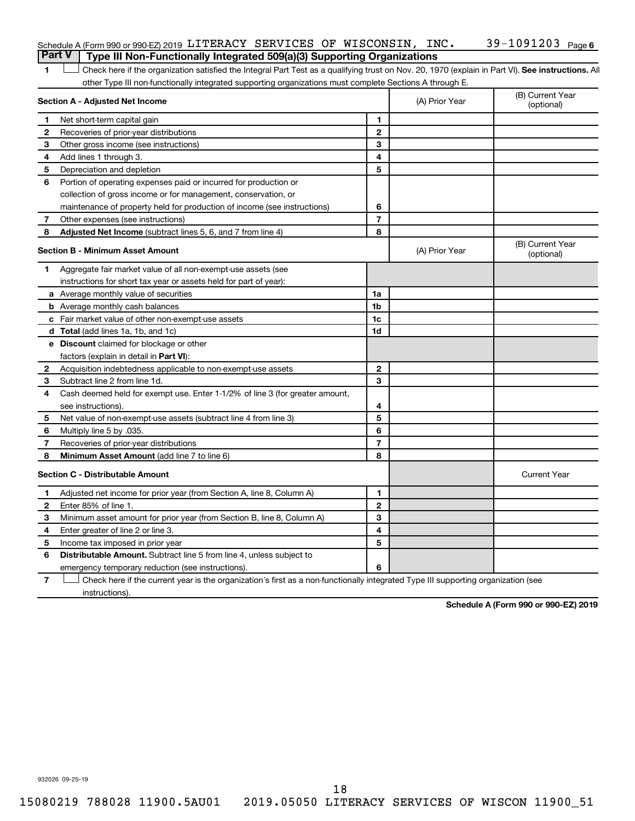| Schedule A (Form 990 or 990-EZ) 2019 LITERACY SERVICES OF WISCONSIN, |  | INC. | 39-1091203 <sub>Page 6</sub> |
|----------------------------------------------------------------------|--|------|------------------------------|
|                                                                      |  |      |                              |

1 **Letter See instructions.** All Check here if the organization satisfied the Integral Part Test as a qualifying trust on Nov. 20, 1970 (explain in Part VI). See instructions. All other Type III non-functionally integrated supporting organizations must complete Sections A through E. **Part V Type III Non-Functionally Integrated 509(a)(3) Supporting Organizations** 

|              | Section A - Adjusted Net Income                                              |                | (A) Prior Year | (B) Current Year<br>(optional) |
|--------------|------------------------------------------------------------------------------|----------------|----------------|--------------------------------|
| 1            | Net short-term capital gain                                                  | 1              |                |                                |
| 2            | Recoveries of prior-year distributions                                       | $\mathbf{2}$   |                |                                |
| 3            | Other gross income (see instructions)                                        | 3              |                |                                |
| 4            | Add lines 1 through 3.                                                       | 4              |                |                                |
| 5            | Depreciation and depletion                                                   | 5              |                |                                |
| 6            | Portion of operating expenses paid or incurred for production or             |                |                |                                |
|              | collection of gross income or for management, conservation, or               |                |                |                                |
|              | maintenance of property held for production of income (see instructions)     | 6              |                |                                |
| 7            | Other expenses (see instructions)                                            | $\overline{7}$ |                |                                |
| 8            | Adjusted Net Income (subtract lines 5, 6, and 7 from line 4)                 | 8              |                |                                |
|              | <b>Section B - Minimum Asset Amount</b>                                      |                | (A) Prior Year | (B) Current Year<br>(optional) |
| 1            | Aggregate fair market value of all non-exempt-use assets (see                |                |                |                                |
|              | instructions for short tax year or assets held for part of year):            |                |                |                                |
|              | <b>a</b> Average monthly value of securities                                 | 1a             |                |                                |
|              | <b>b</b> Average monthly cash balances                                       | 1 <sub>b</sub> |                |                                |
|              | c Fair market value of other non-exempt-use assets                           | 1c             |                |                                |
|              | d Total (add lines 1a, 1b, and 1c)                                           | 1d             |                |                                |
|              | e Discount claimed for blockage or other                                     |                |                |                                |
|              | factors (explain in detail in <b>Part VI</b> ):                              |                |                |                                |
| $\mathbf{2}$ | Acquisition indebtedness applicable to non-exempt-use assets                 | $\mathbf{2}$   |                |                                |
| 3            | Subtract line 2 from line 1d.                                                | 3              |                |                                |
| 4            | Cash deemed held for exempt use. Enter 1-1/2% of line 3 (for greater amount, |                |                |                                |
|              | see instructions).                                                           | 4              |                |                                |
| 5            | Net value of non-exempt-use assets (subtract line 4 from line 3)             | 5              |                |                                |
| 6            | Multiply line 5 by .035.                                                     | 6              |                |                                |
| 7            | Recoveries of prior-year distributions                                       | $\overline{7}$ |                |                                |
| 8            | Minimum Asset Amount (add line 7 to line 6)                                  | 8              |                |                                |
|              | <b>Section C - Distributable Amount</b>                                      |                |                | <b>Current Year</b>            |
| 1            | Adjusted net income for prior year (from Section A, line 8, Column A)        | 1              |                |                                |
| 2            | Enter 85% of line 1.                                                         | $\mathbf{2}$   |                |                                |
| З            | Minimum asset amount for prior year (from Section B, line 8, Column A)       | 3              |                |                                |
| 4            | Enter greater of line 2 or line 3.                                           | 4              |                |                                |
| 5            | Income tax imposed in prior year                                             | 5              |                |                                |
| 6            | <b>Distributable Amount.</b> Subtract line 5 from line 4, unless subject to  |                |                |                                |
|              | emergency temporary reduction (see instructions).                            | 6              |                |                                |
|              |                                                                              |                |                |                                |

**7** Check here if the current year is the organization's first as a non-functionally integrated Type III supporting organization (see † instructions).

**Schedule A (Form 990 or 990-EZ) 2019**

932026 09-25-19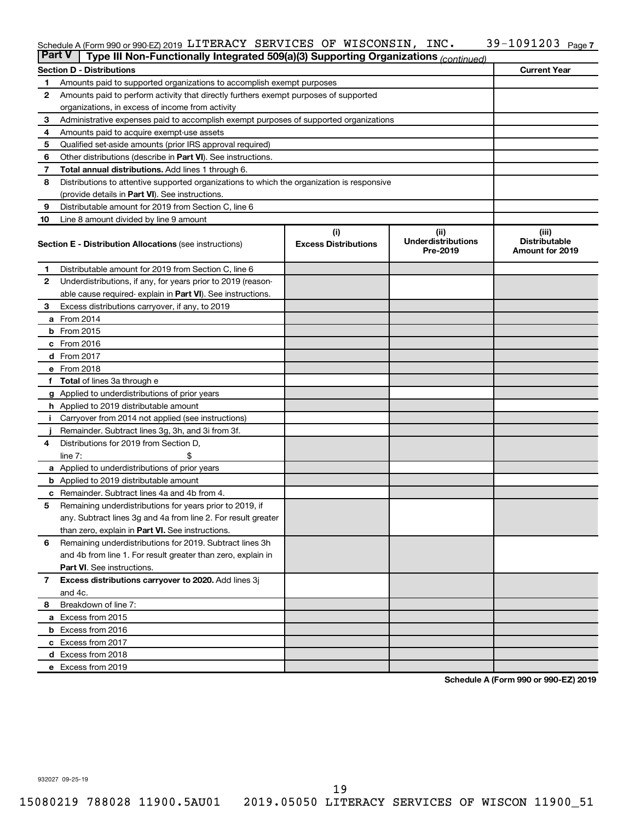#### Schedule A (Form 990 or 990-EZ) 2019 <code>LITERACY SERVICES OF WISCONSIN</code> , <code>INC</code> .  $39\text{--}1091203$  <code>Page</code>

| <b>Part V</b> | Type III Non-Functionally Integrated 509(a)(3) Supporting Organizations (continued)        |                                    |                                               |                                                         |
|---------------|--------------------------------------------------------------------------------------------|------------------------------------|-----------------------------------------------|---------------------------------------------------------|
|               | <b>Section D - Distributions</b>                                                           |                                    |                                               | <b>Current Year</b>                                     |
| 1             | Amounts paid to supported organizations to accomplish exempt purposes                      |                                    |                                               |                                                         |
| $\mathbf{2}$  | Amounts paid to perform activity that directly furthers exempt purposes of supported       |                                    |                                               |                                                         |
|               | organizations, in excess of income from activity                                           |                                    |                                               |                                                         |
| 3             | Administrative expenses paid to accomplish exempt purposes of supported organizations      |                                    |                                               |                                                         |
| 4             | Amounts paid to acquire exempt-use assets                                                  |                                    |                                               |                                                         |
| 5             | Qualified set-aside amounts (prior IRS approval required)                                  |                                    |                                               |                                                         |
| 6             | Other distributions (describe in <b>Part VI</b> ). See instructions.                       |                                    |                                               |                                                         |
| 7             | Total annual distributions. Add lines 1 through 6.                                         |                                    |                                               |                                                         |
| 8             | Distributions to attentive supported organizations to which the organization is responsive |                                    |                                               |                                                         |
|               | (provide details in Part VI). See instructions.                                            |                                    |                                               |                                                         |
| 9             | Distributable amount for 2019 from Section C, line 6                                       |                                    |                                               |                                                         |
| 10            | Line 8 amount divided by line 9 amount                                                     |                                    |                                               |                                                         |
|               | <b>Section E - Distribution Allocations (see instructions)</b>                             | (i)<br><b>Excess Distributions</b> | (ii)<br><b>Underdistributions</b><br>Pre-2019 | (iii)<br><b>Distributable</b><br><b>Amount for 2019</b> |
| 1             | Distributable amount for 2019 from Section C, line 6                                       |                                    |                                               |                                                         |
| 2             | Underdistributions, if any, for years prior to 2019 (reason-                               |                                    |                                               |                                                         |
|               | able cause required-explain in Part VI). See instructions.                                 |                                    |                                               |                                                         |
| 3             | Excess distributions carryover, if any, to 2019                                            |                                    |                                               |                                                         |
|               | a From 2014                                                                                |                                    |                                               |                                                         |
|               | <b>b</b> From 2015                                                                         |                                    |                                               |                                                         |
|               | c From 2016                                                                                |                                    |                                               |                                                         |
|               | <b>d</b> From 2017                                                                         |                                    |                                               |                                                         |
|               | e From 2018                                                                                |                                    |                                               |                                                         |
|               | f Total of lines 3a through e                                                              |                                    |                                               |                                                         |
|               | <b>g</b> Applied to underdistributions of prior years                                      |                                    |                                               |                                                         |
|               | <b>h</b> Applied to 2019 distributable amount                                              |                                    |                                               |                                                         |
| Ť.            | Carryover from 2014 not applied (see instructions)                                         |                                    |                                               |                                                         |
|               | Remainder. Subtract lines 3g, 3h, and 3i from 3f.                                          |                                    |                                               |                                                         |
| 4             | Distributions for 2019 from Section D,                                                     |                                    |                                               |                                                         |
|               | line $7:$                                                                                  |                                    |                                               |                                                         |
|               | a Applied to underdistributions of prior years                                             |                                    |                                               |                                                         |
|               | <b>b</b> Applied to 2019 distributable amount                                              |                                    |                                               |                                                         |
| c             | Remainder. Subtract lines 4a and 4b from 4.                                                |                                    |                                               |                                                         |
| 5             | Remaining underdistributions for years prior to 2019, if                                   |                                    |                                               |                                                         |
|               | any. Subtract lines 3g and 4a from line 2. For result greater                              |                                    |                                               |                                                         |
|               | than zero, explain in Part VI. See instructions.                                           |                                    |                                               |                                                         |
| 6             | Remaining underdistributions for 2019. Subtract lines 3h                                   |                                    |                                               |                                                         |
|               | and 4b from line 1. For result greater than zero, explain in                               |                                    |                                               |                                                         |
|               | <b>Part VI.</b> See instructions.                                                          |                                    |                                               |                                                         |
| $\mathbf{7}$  | Excess distributions carryover to 2020. Add lines 3j                                       |                                    |                                               |                                                         |
|               | and 4c.                                                                                    |                                    |                                               |                                                         |
| 8             | Breakdown of line 7:                                                                       |                                    |                                               |                                                         |
|               | a Excess from 2015                                                                         |                                    |                                               |                                                         |
|               | <b>b</b> Excess from 2016                                                                  |                                    |                                               |                                                         |
|               | c Excess from 2017                                                                         |                                    |                                               |                                                         |
|               | d Excess from 2018                                                                         |                                    |                                               |                                                         |
|               | e Excess from 2019                                                                         |                                    |                                               |                                                         |

**Schedule A (Form 990 or 990-EZ) 2019**

932027 09-25-19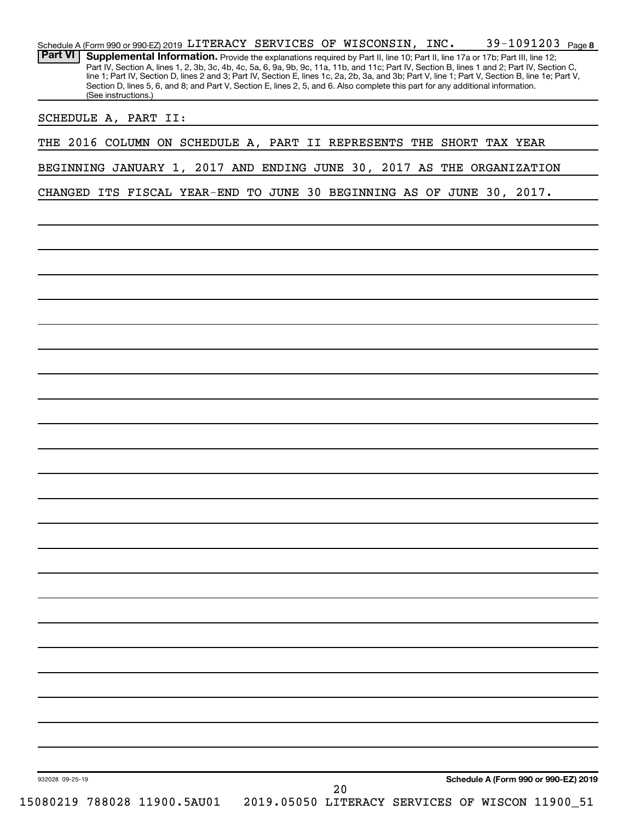| (See instructions.)<br>SCHEDULE A, PART II:                            | Supplemental Information. Provide the explanations required by Part II, line 10; Part II, line 17a or 17b; Part III, line 12;<br>Part IV, Section A, lines 1, 2, 3b, 3c, 4b, 4c, 5a, 6, 9a, 9b, 9c, 11a, 11b, and 11c; Part IV, Section B, lines 1 and 2; Part IV, Section C,<br>line 1; Part IV, Section D, lines 2 and 3; Part IV, Section E, lines 1c, 2a, 2b, 3a, and 3b; Part V, line 1; Part V, Section B, line 1e; Part V,<br>Section D, lines 5, 6, and 8; and Part V, Section E, lines 2, 5, and 6. Also complete this part for any additional information. |  |    |  |                                                                                         |  |
|------------------------------------------------------------------------|----------------------------------------------------------------------------------------------------------------------------------------------------------------------------------------------------------------------------------------------------------------------------------------------------------------------------------------------------------------------------------------------------------------------------------------------------------------------------------------------------------------------------------------------------------------------|--|----|--|-----------------------------------------------------------------------------------------|--|
|                                                                        |                                                                                                                                                                                                                                                                                                                                                                                                                                                                                                                                                                      |  |    |  |                                                                                         |  |
|                                                                        |                                                                                                                                                                                                                                                                                                                                                                                                                                                                                                                                                                      |  |    |  |                                                                                         |  |
| THE 2016 COLUMN ON SCHEDULE A, PART II REPRESENTS THE SHORT TAX YEAR   |                                                                                                                                                                                                                                                                                                                                                                                                                                                                                                                                                                      |  |    |  |                                                                                         |  |
| BEGINNING JANUARY 1, 2017 AND ENDING JUNE 30, 2017 AS THE ORGANIZATION |                                                                                                                                                                                                                                                                                                                                                                                                                                                                                                                                                                      |  |    |  |                                                                                         |  |
| CHANGED ITS FISCAL YEAR-END TO JUNE 30 BEGINNING AS OF JUNE 30, 2017.  |                                                                                                                                                                                                                                                                                                                                                                                                                                                                                                                                                                      |  |    |  |                                                                                         |  |
|                                                                        |                                                                                                                                                                                                                                                                                                                                                                                                                                                                                                                                                                      |  |    |  |                                                                                         |  |
|                                                                        |                                                                                                                                                                                                                                                                                                                                                                                                                                                                                                                                                                      |  |    |  |                                                                                         |  |
|                                                                        |                                                                                                                                                                                                                                                                                                                                                                                                                                                                                                                                                                      |  |    |  |                                                                                         |  |
|                                                                        |                                                                                                                                                                                                                                                                                                                                                                                                                                                                                                                                                                      |  |    |  |                                                                                         |  |
|                                                                        |                                                                                                                                                                                                                                                                                                                                                                                                                                                                                                                                                                      |  |    |  |                                                                                         |  |
|                                                                        |                                                                                                                                                                                                                                                                                                                                                                                                                                                                                                                                                                      |  |    |  |                                                                                         |  |
|                                                                        |                                                                                                                                                                                                                                                                                                                                                                                                                                                                                                                                                                      |  |    |  |                                                                                         |  |
|                                                                        |                                                                                                                                                                                                                                                                                                                                                                                                                                                                                                                                                                      |  |    |  |                                                                                         |  |
|                                                                        |                                                                                                                                                                                                                                                                                                                                                                                                                                                                                                                                                                      |  |    |  |                                                                                         |  |
|                                                                        |                                                                                                                                                                                                                                                                                                                                                                                                                                                                                                                                                                      |  |    |  |                                                                                         |  |
|                                                                        |                                                                                                                                                                                                                                                                                                                                                                                                                                                                                                                                                                      |  |    |  |                                                                                         |  |
|                                                                        |                                                                                                                                                                                                                                                                                                                                                                                                                                                                                                                                                                      |  |    |  |                                                                                         |  |
|                                                                        |                                                                                                                                                                                                                                                                                                                                                                                                                                                                                                                                                                      |  |    |  |                                                                                         |  |
|                                                                        |                                                                                                                                                                                                                                                                                                                                                                                                                                                                                                                                                                      |  |    |  |                                                                                         |  |
|                                                                        |                                                                                                                                                                                                                                                                                                                                                                                                                                                                                                                                                                      |  |    |  |                                                                                         |  |
|                                                                        |                                                                                                                                                                                                                                                                                                                                                                                                                                                                                                                                                                      |  |    |  |                                                                                         |  |
|                                                                        |                                                                                                                                                                                                                                                                                                                                                                                                                                                                                                                                                                      |  |    |  |                                                                                         |  |
|                                                                        |                                                                                                                                                                                                                                                                                                                                                                                                                                                                                                                                                                      |  |    |  |                                                                                         |  |
|                                                                        |                                                                                                                                                                                                                                                                                                                                                                                                                                                                                                                                                                      |  |    |  |                                                                                         |  |
|                                                                        |                                                                                                                                                                                                                                                                                                                                                                                                                                                                                                                                                                      |  |    |  |                                                                                         |  |
|                                                                        |                                                                                                                                                                                                                                                                                                                                                                                                                                                                                                                                                                      |  |    |  |                                                                                         |  |
|                                                                        |                                                                                                                                                                                                                                                                                                                                                                                                                                                                                                                                                                      |  |    |  |                                                                                         |  |
|                                                                        |                                                                                                                                                                                                                                                                                                                                                                                                                                                                                                                                                                      |  |    |  |                                                                                         |  |
| 932028 09-25-19<br>15080219 788028 11900.5AU01                         |                                                                                                                                                                                                                                                                                                                                                                                                                                                                                                                                                                      |  | 20 |  | Schedule A (Form 990 or 990-EZ) 2019<br>2019.05050 LITERACY SERVICES OF WISCON 11900_51 |  |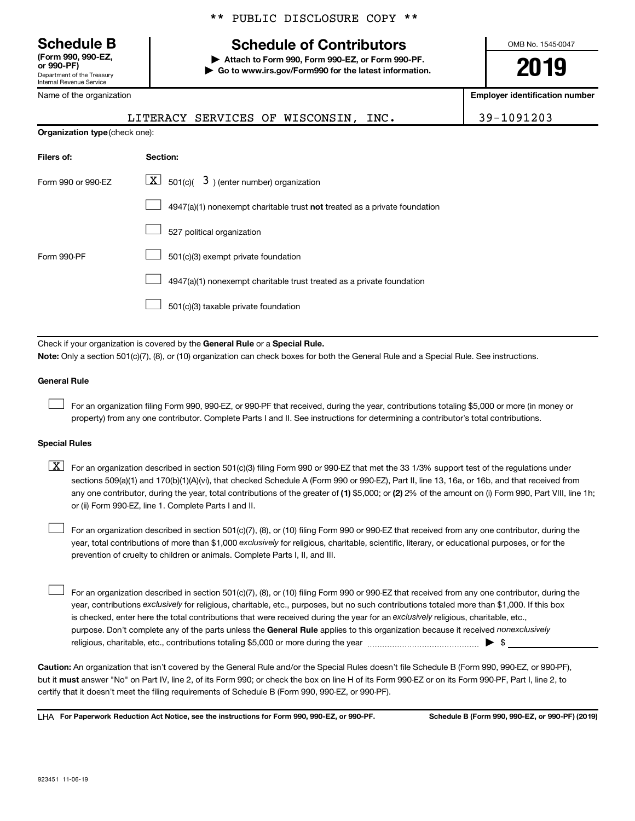Department of the Treasury Internal Revenue Service **(Form 990, 990-EZ,**

Name of the organization

# **Schedule B Schedule of Contributors**

**or 990-PF) | Attach to Form 990, Form 990-EZ, or Form 990-PF. | Go to www.irs.gov/Form990 for the latest information.** OMB No. 1545-0047

**2019**

**Employer identification number**

|                                | LITERACY SERVICES OF WISCONSIN, INC.                                      | 39-1091203 |
|--------------------------------|---------------------------------------------------------------------------|------------|
| Organization type (check one): |                                                                           |            |
| Filers of:                     | Section:                                                                  |            |
| Form 990 or 990-EZ             | $ \mathbf{X} $ 501(c)( 3) (enter number) organization                     |            |
|                                | 4947(a)(1) nonexempt charitable trust not treated as a private foundation |            |
|                                | 527 political organization                                                |            |
| Form 990-PF                    | 501(c)(3) exempt private foundation                                       |            |
|                                | 4947(a)(1) nonexempt charitable trust treated as a private foundation     |            |
|                                | 501(c)(3) taxable private foundation                                      |            |
|                                |                                                                           |            |

**Note:**  Only a section 501(c)(7), (8), or (10) organization can check boxes for both the General Rule and a Special Rule. See instructions.

#### **General Rule**

 $\mathcal{L}^{\text{eff}}$ 

For an organization filing Form 990, 990-EZ, or 990-PF that received, during the year, contributions totaling \$5,000 or more (in money or property) from any one contributor. Complete Parts I and II. See instructions for determining a contributor's total contributions.

#### **Special Rules**

any one contributor, during the year, total contributions of the greater of (1) \$5,000; or (2) 2% of the amount on (i) Form 990, Part VIII, line 1h;  $\boxed{\text{X}}$  For an organization described in section 501(c)(3) filing Form 990 or 990-EZ that met the 33 1/3% support test of the regulations under sections 509(a)(1) and 170(b)(1)(A)(vi), that checked Schedule A (Form 990 or 990-EZ), Part II, line 13, 16a, or 16b, and that received from or (ii) Form 990-EZ, line 1. Complete Parts I and II.

year, total contributions of more than \$1,000 *exclusively* for religious, charitable, scientific, literary, or educational purposes, or for the For an organization described in section 501(c)(7), (8), or (10) filing Form 990 or 990-EZ that received from any one contributor, during the prevention of cruelty to children or animals. Complete Parts I, II, and III.  $\mathcal{L}^{\text{eff}}$ 

purpose. Don't complete any of the parts unless the General Rule applies to this organization because it received nonexclusively year, contributions exclusively for religious, charitable, etc., purposes, but no such contributions totaled more than \$1,000. If this box is checked, enter here the total contributions that were received during the year for an exclusively religious, charitable, etc., For an organization described in section 501(c)(7), (8), or (10) filing Form 990 or 990-EZ that received from any one contributor, during the religious, charitable, etc., contributions totaling \$5,000 or more during the year  $~\ldots\ldots\ldots\ldots\ldots\ldots\ldots\ldots\ldots\blacktriangleright~$ \$  $\mathcal{L}^{\text{eff}}$ 

**Caution:**  An organization that isn't covered by the General Rule and/or the Special Rules doesn't file Schedule B (Form 990, 990-EZ, or 990-PF),  **must** but it answer "No" on Part IV, line 2, of its Form 990; or check the box on line H of its Form 990-EZ or on its Form 990-PF, Part I, line 2, to certify that it doesn't meet the filing requirements of Schedule B (Form 990, 990-EZ, or 990-PF).

**For Paperwork Reduction Act Notice, see the instructions for Form 990, 990-EZ, or 990-PF. Schedule B (Form 990, 990-EZ, or 990-PF) (2019)** LHA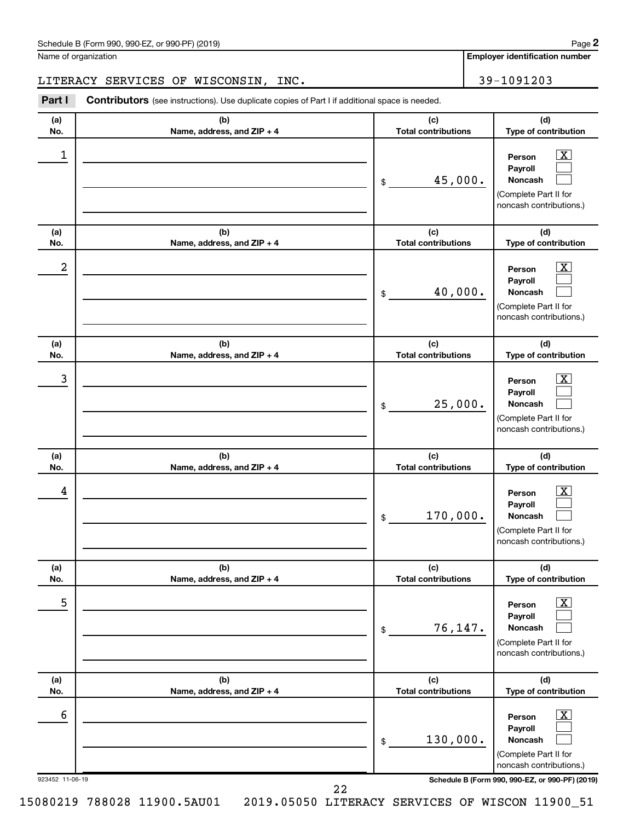| Schedule B (Form 990, 990-EZ, or 990-PF) (2019)<br>$\sqrt{2}$ and $\sqrt{2}$ and $\sqrt{2}$ and $\sqrt{2}$ and $\sqrt{2}$ and $\sqrt{2}$ and $\sqrt{2}$ and $\sqrt{2}$ and $\sqrt{2}$ and $\sqrt{2}$ and $\sqrt{2}$ and $\sqrt{2}$ and $\sqrt{2}$ and $\sqrt{2}$ and $\sqrt{2}$ and $\sqrt{2}$ and $\sqrt{2}$ and $\sqrt{2}$ and $\sqrt{2$ | Page |
|--------------------------------------------------------------------------------------------------------------------------------------------------------------------------------------------------------------------------------------------------------------------------------------------------------------------------------------------|------|
|--------------------------------------------------------------------------------------------------------------------------------------------------------------------------------------------------------------------------------------------------------------------------------------------------------------------------------------------|------|

### LITERACY SERVICES OF WISCONSIN, INC. 39-1091203

Part I Contributors (see instructions). Use duplicate copies of Part I if additional space is needed.

| (a)<br>No.           | (b)<br>Name, address, and ZIP + 4 | (c)<br><b>Total contributions</b> | (d)<br>Type of contribution                                                                                                                                 |
|----------------------|-----------------------------------|-----------------------------------|-------------------------------------------------------------------------------------------------------------------------------------------------------------|
| 1                    |                                   | 45,000.<br>\$                     | $\overline{\text{X}}$<br>Person<br>Payroll<br>Noncash<br>(Complete Part II for<br>noncash contributions.)                                                   |
| (a)<br>No.           | (b)<br>Name, address, and ZIP + 4 | (c)<br><b>Total contributions</b> | (d)<br>Type of contribution                                                                                                                                 |
| 2                    |                                   | 40,000.<br>\$                     | $\overline{\text{X}}$<br>Person<br>Payroll<br>Noncash<br>(Complete Part II for<br>noncash contributions.)                                                   |
| (a)<br>No.           | (b)<br>Name, address, and ZIP + 4 | (c)<br><b>Total contributions</b> | (d)<br>Type of contribution                                                                                                                                 |
| 3                    |                                   | 25,000.<br>\$                     | $\overline{\text{X}}$<br>Person<br>Payroll<br>Noncash<br>(Complete Part II for<br>noncash contributions.)                                                   |
| (a)<br>No.           | (b)<br>Name, address, and ZIP + 4 | (c)<br><b>Total contributions</b> | (d)<br>Type of contribution                                                                                                                                 |
| 4                    |                                   | 170,000.<br>\$                    | $\overline{\text{X}}$<br>Person<br>Payroll<br>Noncash<br>(Complete Part II for<br>noncash contributions.)                                                   |
| (a)<br>No.           | (b)<br>Name, address, and ZIP + 4 | (c)<br><b>Total contributions</b> | (d)<br>Type of contribution                                                                                                                                 |
| 5                    |                                   | 76, 147.<br>\$                    | $\boxed{\textbf{X}}$<br>Person<br>Payroll<br>Noncash<br>(Complete Part II for<br>noncash contributions.)                                                    |
| (a)<br>No.           | (b)<br>Name, address, and ZIP + 4 | (c)<br><b>Total contributions</b> | (d)<br>Type of contribution                                                                                                                                 |
| 6<br>923452 11-06-19 | 22                                | 130,000.<br>\$                    | $\boxed{\textbf{X}}$<br>Person<br>Payroll<br>Noncash<br>(Complete Part II for<br>noncash contributions.)<br>Schedule B (Form 990, 990-EZ, or 990-PF) (2019) |
|                      |                                   |                                   |                                                                                                                                                             |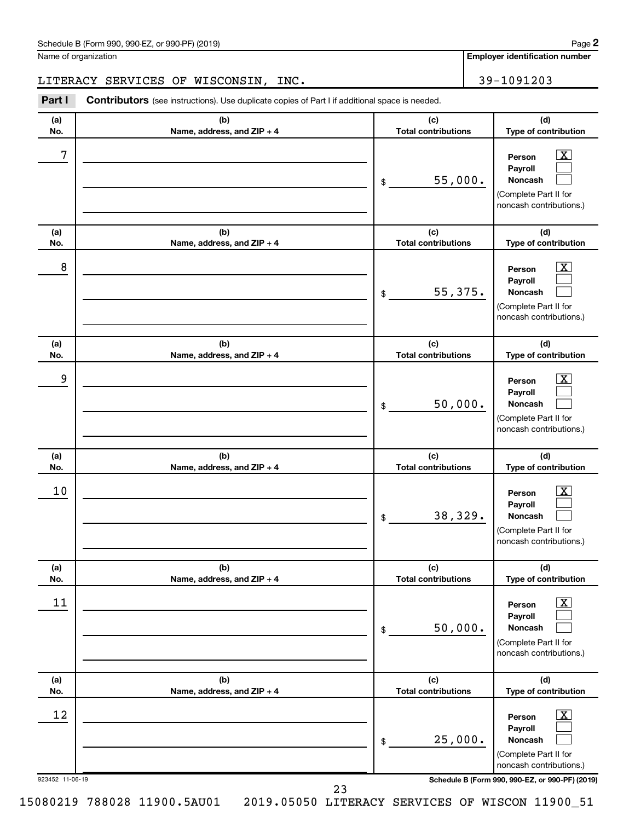#### LITERACY SERVICES OF WISCONSIN, INC. 49-1091203

Part I Contributors (see instructions). Use duplicate copies of Part I if additional space is needed.

| No.<br>Name, address, and ZIP + 4<br>7<br>\$<br>(a)<br>(b)<br>No.<br>Name, address, and ZIP + 4<br>8<br>\$<br>(a)<br>(b)<br>Name, address, and ZIP + 4<br>No.<br>9<br>\$<br>(a)<br>(b)<br>Name, address, and ZIP + 4<br>No.<br>10<br>\$<br>(b)<br>(a)<br>No.<br>Name, address, and $ZIP + 4$<br>11<br>\$<br>(b)<br>(a)<br>Name, address, and ZIP + 4<br>No. | <b>Total contributions</b>        | (d)                                                                                                       |
|-------------------------------------------------------------------------------------------------------------------------------------------------------------------------------------------------------------------------------------------------------------------------------------------------------------------------------------------------------------|-----------------------------------|-----------------------------------------------------------------------------------------------------------|
|                                                                                                                                                                                                                                                                                                                                                             |                                   | Type of contribution                                                                                      |
|                                                                                                                                                                                                                                                                                                                                                             | 55,000.                           | $\overline{\text{X}}$<br>Person<br>Payroll<br>Noncash<br>(Complete Part II for<br>noncash contributions.) |
|                                                                                                                                                                                                                                                                                                                                                             | (c)<br><b>Total contributions</b> | (d)<br>Type of contribution                                                                               |
|                                                                                                                                                                                                                                                                                                                                                             | 55,375.                           | X<br>Person<br>Payroll<br>Noncash<br>(Complete Part II for<br>noncash contributions.)                     |
|                                                                                                                                                                                                                                                                                                                                                             | (c)<br><b>Total contributions</b> | (d)<br>Type of contribution                                                                               |
|                                                                                                                                                                                                                                                                                                                                                             | 50,000.                           | x<br>Person<br>Payroll<br>Noncash<br>(Complete Part II for<br>noncash contributions.)                     |
|                                                                                                                                                                                                                                                                                                                                                             | (c)<br><b>Total contributions</b> | (d)<br>Type of contribution                                                                               |
|                                                                                                                                                                                                                                                                                                                                                             | 38,329.                           | x<br>Person<br>Payroll<br><b>Noncash</b><br>(Complete Part II for<br>noncash contributions.)              |
|                                                                                                                                                                                                                                                                                                                                                             | (c)<br><b>Total contributions</b> | (d)<br>Type of contribution                                                                               |
|                                                                                                                                                                                                                                                                                                                                                             |                                   | $\overline{\text{X}}$<br>Person<br>Payroll<br>Noncash<br>(Complete Part II for<br>noncash contributions.) |
|                                                                                                                                                                                                                                                                                                                                                             | 50,000.                           | (d)<br>Type of contribution                                                                               |
| 12<br>\$<br>923452 11-06-19<br>Schedule B (Form 990, 990-EZ, or 990-PF) (2019)<br>23                                                                                                                                                                                                                                                                        | (c)<br><b>Total contributions</b> | $\overline{\textbf{X}}$<br>Person<br>Payroll<br>Noncash<br>(Complete Part II for                          |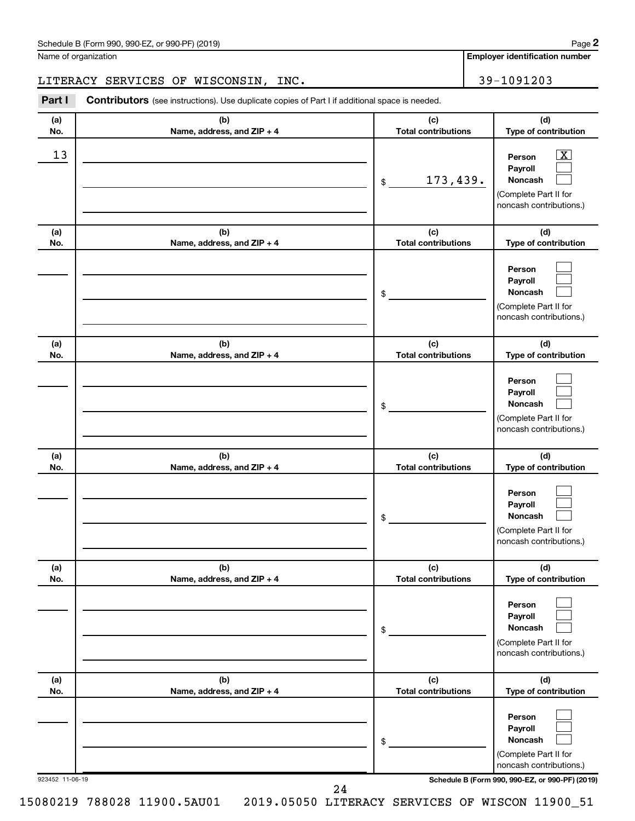#### LITERACY SERVICES OF WISCONSIN, INC. 49-1091203

Part I Contributors (see instructions). Use duplicate copies of Part I if additional space is needed.

| (a)<br>No.      | (b)<br>Name, address, and ZIP + 4 | (c)<br><b>Total contributions</b> | (d)<br>Type of contribution                                                                                                         |
|-----------------|-----------------------------------|-----------------------------------|-------------------------------------------------------------------------------------------------------------------------------------|
| 13              |                                   | 173,439.<br>\$                    | $\overline{\text{X}}$<br>Person<br>Payroll<br>Noncash<br>(Complete Part II for<br>noncash contributions.)                           |
| (a)<br>No.      | (b)<br>Name, address, and ZIP + 4 | (c)<br><b>Total contributions</b> | (d)<br>Type of contribution                                                                                                         |
|                 |                                   | \$                                | Person<br>Payroll<br>Noncash<br>(Complete Part II for<br>noncash contributions.)                                                    |
| (a)<br>No.      | (b)<br>Name, address, and ZIP + 4 | (c)<br><b>Total contributions</b> | (d)<br>Type of contribution                                                                                                         |
|                 |                                   | \$                                | Person<br>Payroll<br>Noncash<br>(Complete Part II for<br>noncash contributions.)                                                    |
| (a)<br>No.      | (b)<br>Name, address, and ZIP + 4 | (c)<br><b>Total contributions</b> | (d)<br>Type of contribution                                                                                                         |
|                 |                                   | \$                                | Person<br>Payroll<br>Noncash<br>(Complete Part II for<br>noncash contributions.)                                                    |
| (a)<br>No.      | (b)<br>Name, address, and ZIP + 4 | (c)<br><b>Total contributions</b> | (d)<br>Type of contribution                                                                                                         |
|                 |                                   | \$                                | Person<br>Payroll<br>Noncash<br>(Complete Part II for<br>noncash contributions.)                                                    |
| (a)<br>No.      | (b)<br>Name, address, and ZIP + 4 | (c)<br><b>Total contributions</b> | (d)<br>Type of contribution                                                                                                         |
| 923452 11-06-19 |                                   | \$                                | Person<br>Payroll<br>Noncash<br>(Complete Part II for<br>noncash contributions.)<br>Schedule B (Form 990, 990-EZ, or 990-PF) (2019) |
|                 | 24                                |                                   |                                                                                                                                     |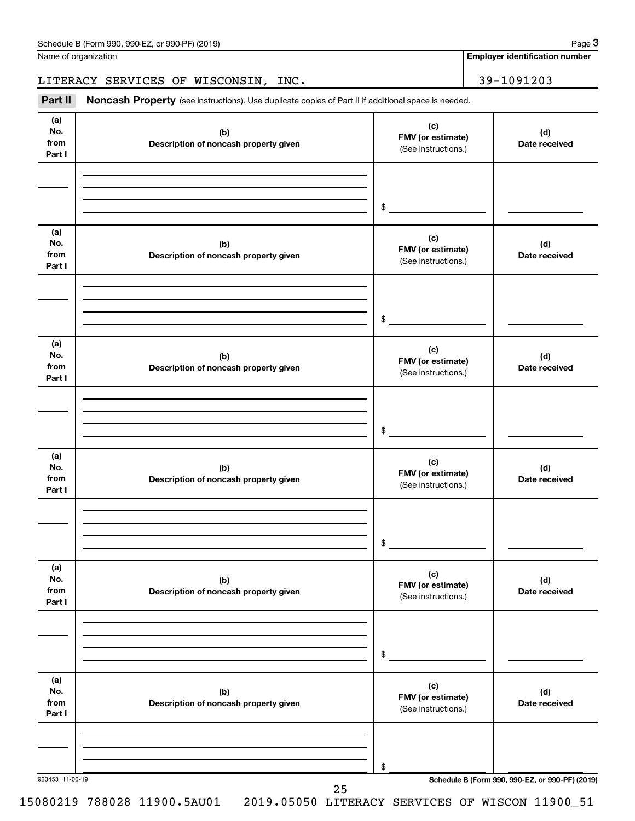**Employer identification number**

#### LITERACY SERVICES OF WISCONSIN, INC. 49-1091203

Part II Noncash Property (see instructions). Use duplicate copies of Part II if additional space is needed.

| (a)                          |                                              | (c)                                                                  |                                                 |
|------------------------------|----------------------------------------------|----------------------------------------------------------------------|-------------------------------------------------|
| No.<br>from<br>Part I        | (b)<br>Description of noncash property given | FMV (or estimate)<br>(See instructions.)                             | (d)<br>Date received                            |
|                              |                                              |                                                                      |                                                 |
|                              |                                              | $\begin{array}{c c} \updownarrow & \downarrow \\ \hline \end{array}$ |                                                 |
| (a)<br>No.<br>from<br>Part I | (b)<br>Description of noncash property given | (c)<br>FMV (or estimate)<br>(See instructions.)                      | (d)<br>Date received                            |
|                              |                                              | $\frac{1}{2}$                                                        |                                                 |
| (a)<br>No.<br>from<br>Part I | (b)<br>Description of noncash property given | (c)<br>FMV (or estimate)<br>(See instructions.)                      | (d)<br>Date received                            |
|                              |                                              | $\frac{1}{2}$                                                        |                                                 |
| (a)<br>No.<br>from<br>Part I | (b)<br>Description of noncash property given | (c)<br>FMV (or estimate)<br>(See instructions.)                      | (d)<br>Date received                            |
|                              |                                              | $\frac{1}{2}$                                                        |                                                 |
| (a)<br>No.<br>from<br>Part I | (b)<br>Description of noncash property given | (c)<br>FMV (or estimate)<br>(See instructions.)                      | (d)<br>Date received                            |
|                              |                                              | \$                                                                   |                                                 |
| (a)<br>No.<br>from<br>Part I | (b)<br>Description of noncash property given | (c)<br>FMV (or estimate)<br>(See instructions.)                      | (d)<br>Date received                            |
|                              |                                              | \$                                                                   |                                                 |
| 923453 11-06-19              | 25                                           |                                                                      | Schedule B (Form 990, 990-EZ, or 990-PF) (2019) |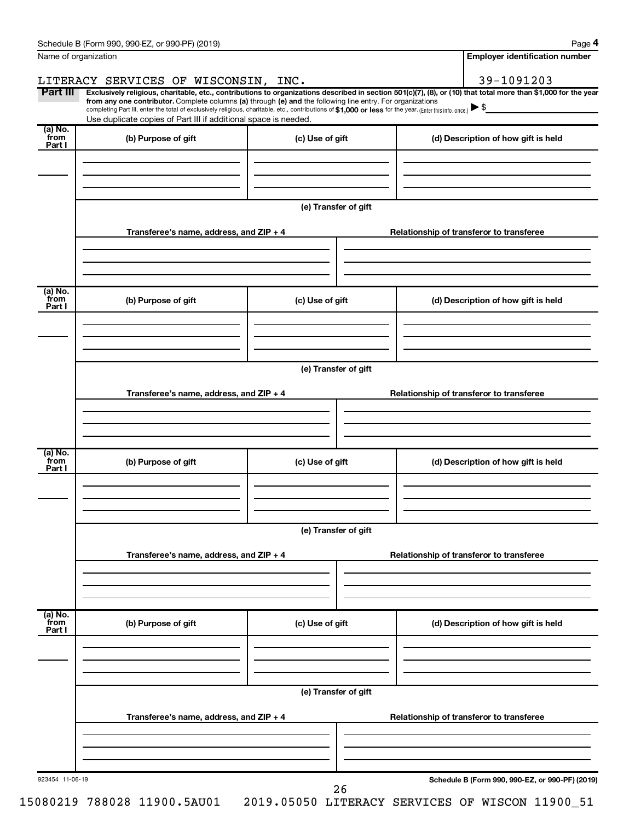| Name of organization      |                                                                                                                                                                                                                                                                                                                                                                                                                                                                                                             |                      |                                          | <b>Employer identification number</b>           |
|---------------------------|-------------------------------------------------------------------------------------------------------------------------------------------------------------------------------------------------------------------------------------------------------------------------------------------------------------------------------------------------------------------------------------------------------------------------------------------------------------------------------------------------------------|----------------------|------------------------------------------|-------------------------------------------------|
|                           | LITERACY SERVICES OF WISCONSIN, INC.                                                                                                                                                                                                                                                                                                                                                                                                                                                                        |                      |                                          | 39-1091203                                      |
| Part III                  | Exclusively religious, charitable, etc., contributions to organizations described in section 501(c)(7), (8), or (10) that total more than \$1,000 for the year<br>from any one contributor. Complete columns (a) through (e) and the following line entry. For organizations<br>completing Part III, enter the total of exclusively religious, charitable, etc., contributions of \$1,000 or less for the year. [Enter this info. once.]<br>Use duplicate copies of Part III if additional space is needed. |                      |                                          |                                                 |
| (a) No.<br>from<br>Part I | (b) Purpose of gift                                                                                                                                                                                                                                                                                                                                                                                                                                                                                         | (c) Use of gift      |                                          | (d) Description of how gift is held             |
|                           |                                                                                                                                                                                                                                                                                                                                                                                                                                                                                                             |                      |                                          |                                                 |
|                           |                                                                                                                                                                                                                                                                                                                                                                                                                                                                                                             | (e) Transfer of gift |                                          |                                                 |
|                           | Transferee's name, address, and ZIP + 4                                                                                                                                                                                                                                                                                                                                                                                                                                                                     |                      | Relationship of transferor to transferee |                                                 |
| (a) No.                   |                                                                                                                                                                                                                                                                                                                                                                                                                                                                                                             |                      |                                          |                                                 |
| `from<br>Part I           | (b) Purpose of gift                                                                                                                                                                                                                                                                                                                                                                                                                                                                                         | (c) Use of gift      |                                          | (d) Description of how gift is held             |
|                           |                                                                                                                                                                                                                                                                                                                                                                                                                                                                                                             | (e) Transfer of gift |                                          |                                                 |
|                           | Transferee's name, address, and ZIP + 4                                                                                                                                                                                                                                                                                                                                                                                                                                                                     |                      | Relationship of transferor to transferee |                                                 |
|                           |                                                                                                                                                                                                                                                                                                                                                                                                                                                                                                             |                      |                                          |                                                 |
| (a) No.<br>from<br>Part I | (b) Purpose of gift                                                                                                                                                                                                                                                                                                                                                                                                                                                                                         | (c) Use of gift      |                                          | (d) Description of how gift is held             |
|                           |                                                                                                                                                                                                                                                                                                                                                                                                                                                                                                             |                      |                                          |                                                 |
|                           | Transferee's name, address, and ZIP + 4                                                                                                                                                                                                                                                                                                                                                                                                                                                                     | (e) Transfer of gift | Relationship of transferor to transferee |                                                 |
|                           |                                                                                                                                                                                                                                                                                                                                                                                                                                                                                                             |                      |                                          |                                                 |
| (a) No.<br>from<br>Part I | (b) Purpose of gift                                                                                                                                                                                                                                                                                                                                                                                                                                                                                         | (c) Use of gift      |                                          | (d) Description of how gift is held             |
|                           |                                                                                                                                                                                                                                                                                                                                                                                                                                                                                                             | (e) Transfer of gift |                                          |                                                 |
|                           | Transferee's name, address, and ZIP + 4                                                                                                                                                                                                                                                                                                                                                                                                                                                                     |                      | Relationship of transferor to transferee |                                                 |
|                           |                                                                                                                                                                                                                                                                                                                                                                                                                                                                                                             |                      |                                          |                                                 |
| 923454 11-06-19           |                                                                                                                                                                                                                                                                                                                                                                                                                                                                                                             | 26                   |                                          | Schedule B (Form 990, 990-EZ, or 990-PF) (2019) |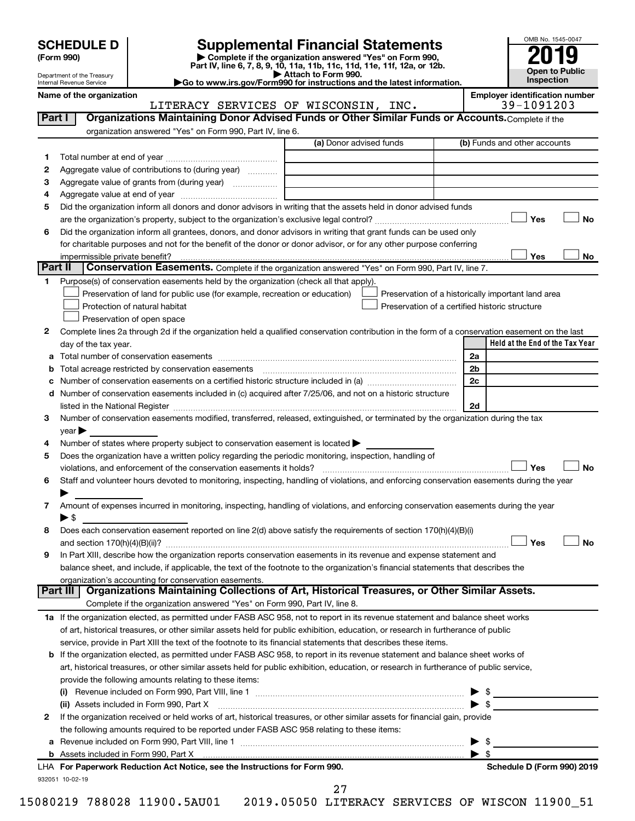| <b>SCHEDULE D</b> |  |
|-------------------|--|
|-------------------|--|

| (Form 990) |
|------------|
|            |

# **SCHEDULE D Supplemental Financial Statements**<br> **Form 990 2019**<br> **Part IV** line 6.7.8.9.10, 11a, 11b, 11d, 11d, 11d, 11d, 11d, 12a, 0r, 12b

**(Form 990) | Complete if the organization answered "Yes" on Form 990, Part IV, line 6, 7, 8, 9, 10, 11a, 11b, 11c, 11d, 11e, 11f, 12a, or 12b.**



Department of the Treasury Internal Revenue Service

**| Attach to Form 990. |Go to www.irs.gov/Form990 for instructions and the latest information. Name of the organization Employer identification number**

|         | LITERACY SERVICES OF WISCONSIN, INC.                                                                                                                                          |                         | 39-1091203                                         |
|---------|-------------------------------------------------------------------------------------------------------------------------------------------------------------------------------|-------------------------|----------------------------------------------------|
| Part I  | Organizations Maintaining Donor Advised Funds or Other Similar Funds or Accounts. Complete if the                                                                             |                         |                                                    |
|         | organization answered "Yes" on Form 990, Part IV, line 6.                                                                                                                     |                         |                                                    |
|         |                                                                                                                                                                               | (a) Donor advised funds | (b) Funds and other accounts                       |
| 1       |                                                                                                                                                                               |                         |                                                    |
| 2       | Aggregate value of contributions to (during year)                                                                                                                             |                         |                                                    |
| з       |                                                                                                                                                                               |                         |                                                    |
| 4       |                                                                                                                                                                               |                         |                                                    |
| 5       | Did the organization inform all donors and donor advisors in writing that the assets held in donor advised funds                                                              |                         |                                                    |
|         |                                                                                                                                                                               |                         | Yes<br>No                                          |
| 6       | Did the organization inform all grantees, donors, and donor advisors in writing that grant funds can be used only                                                             |                         |                                                    |
|         | for charitable purposes and not for the benefit of the donor or donor advisor, or for any other purpose conferring                                                            |                         |                                                    |
|         |                                                                                                                                                                               |                         | Yes<br>No                                          |
| Part II | Conservation Easements. Complete if the organization answered "Yes" on Form 990, Part IV, line 7.                                                                             |                         |                                                    |
| 1       | Purpose(s) of conservation easements held by the organization (check all that apply).                                                                                         |                         |                                                    |
|         | Preservation of land for public use (for example, recreation or education)                                                                                                    |                         | Preservation of a historically important land area |
|         | Protection of natural habitat                                                                                                                                                 |                         | Preservation of a certified historic structure     |
|         | Preservation of open space                                                                                                                                                    |                         |                                                    |
| 2       | Complete lines 2a through 2d if the organization held a qualified conservation contribution in the form of a conservation easement on the last                                |                         |                                                    |
|         |                                                                                                                                                                               |                         | Held at the End of the Tax Year                    |
|         | day of the tax year.                                                                                                                                                          |                         | 2a                                                 |
| а       |                                                                                                                                                                               |                         | 2 <sub>b</sub>                                     |
| b       | Total acreage restricted by conservation easements [11] [12] manufactured acreage restricted by conservation easements                                                        |                         | 2c                                                 |
|         |                                                                                                                                                                               |                         |                                                    |
|         | d Number of conservation easements included in (c) acquired after 7/25/06, and not on a historic structure                                                                    |                         |                                                    |
|         | listed in the National Register [11, 120] and the National Register [11, 120] and the National Register [11, 1                                                                |                         | 2d                                                 |
| З       | Number of conservation easements modified, transferred, released, extinguished, or terminated by the organization during the tax                                              |                         |                                                    |
|         | year                                                                                                                                                                          |                         |                                                    |
| 4       | Number of states where property subject to conservation easement is located >                                                                                                 |                         |                                                    |
| 5       | Does the organization have a written policy regarding the periodic monitoring, inspection, handling of<br>violations, and enforcement of the conservation easements it holds? |                         | Yes<br>No                                          |
| 6       | Staff and volunteer hours devoted to monitoring, inspecting, handling of violations, and enforcing conservation easements during the year                                     |                         |                                                    |
|         |                                                                                                                                                                               |                         |                                                    |
| 7       | Amount of expenses incurred in monitoring, inspecting, handling of violations, and enforcing conservation easements during the year                                           |                         |                                                    |
|         | ► \$                                                                                                                                                                          |                         |                                                    |
| 8       | Does each conservation easement reported on line 2(d) above satisfy the requirements of section 170(h)(4)(B)(i)                                                               |                         |                                                    |
|         |                                                                                                                                                                               |                         | Yes<br>No                                          |
| 9       | In Part XIII, describe how the organization reports conservation easements in its revenue and expense statement and                                                           |                         |                                                    |
|         | balance sheet, and include, if applicable, the text of the footnote to the organization's financial statements that describes the                                             |                         |                                                    |
|         | organization's accounting for conservation easements.                                                                                                                         |                         |                                                    |
|         | Organizations Maintaining Collections of Art, Historical Treasures, or Other Similar Assets.<br>Part III                                                                      |                         |                                                    |
|         | Complete if the organization answered "Yes" on Form 990, Part IV, line 8.                                                                                                     |                         |                                                    |
|         | 1a If the organization elected, as permitted under FASB ASC 958, not to report in its revenue statement and balance sheet works                                               |                         |                                                    |
|         | of art, historical treasures, or other similar assets held for public exhibition, education, or research in furtherance of public                                             |                         |                                                    |
|         | service, provide in Part XIII the text of the footnote to its financial statements that describes these items.                                                                |                         |                                                    |
|         | b If the organization elected, as permitted under FASB ASC 958, to report in its revenue statement and balance sheet works of                                                 |                         |                                                    |
|         | art, historical treasures, or other similar assets held for public exhibition, education, or research in furtherance of public service,                                       |                         |                                                    |
|         | provide the following amounts relating to these items:                                                                                                                        |                         |                                                    |
|         |                                                                                                                                                                               |                         | $\blacktriangleright$ \$                           |
|         | (ii) Assets included in Form 990, Part X                                                                                                                                      |                         | $\blacktriangleright$ \$                           |
| 2       | If the organization received or held works of art, historical treasures, or other similar assets for financial gain, provide                                                  |                         |                                                    |
|         | the following amounts required to be reported under FASB ASC 958 relating to these items:                                                                                     |                         |                                                    |
| a       |                                                                                                                                                                               |                         | ▶                                                  |
|         |                                                                                                                                                                               |                         | $\blacktriangleright$ s                            |
|         | LHA For Paperwork Reduction Act Notice, see the Instructions for Form 990.                                                                                                    |                         | Schedule D (Form 990) 2019                         |
|         | 932051 10-02-19                                                                                                                                                               |                         |                                                    |
|         |                                                                                                                                                                               | 27                      |                                                    |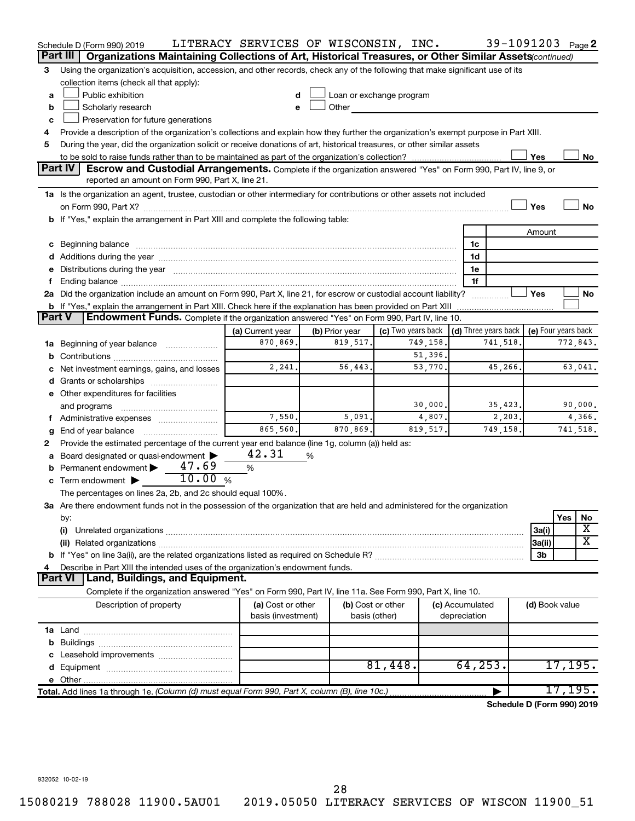|               | Schedule D (Form 990) 2019                                                                                                                                                                                                     | LITERACY SERVICES OF WISCONSIN, INC. |   |                          |                    |          |                 | 39-1091203 Page 2          |                     |          |           |
|---------------|--------------------------------------------------------------------------------------------------------------------------------------------------------------------------------------------------------------------------------|--------------------------------------|---|--------------------------|--------------------|----------|-----------------|----------------------------|---------------------|----------|-----------|
|               | Part III<br>Organizations Maintaining Collections of Art, Historical Treasures, or Other Similar Assets (continued)                                                                                                            |                                      |   |                          |                    |          |                 |                            |                     |          |           |
| 3             | Using the organization's acquisition, accession, and other records, check any of the following that make significant use of its                                                                                                |                                      |   |                          |                    |          |                 |                            |                     |          |           |
|               | collection items (check all that apply):                                                                                                                                                                                       |                                      |   |                          |                    |          |                 |                            |                     |          |           |
| a             | Public exhibition                                                                                                                                                                                                              |                                      |   | Loan or exchange program |                    |          |                 |                            |                     |          |           |
| b             | Scholarly research                                                                                                                                                                                                             | e                                    |   | Other                    |                    |          |                 |                            |                     |          |           |
| c             | Preservation for future generations                                                                                                                                                                                            |                                      |   |                          |                    |          |                 |                            |                     |          |           |
| 4             | Provide a description of the organization's collections and explain how they further the organization's exempt purpose in Part XIII.                                                                                           |                                      |   |                          |                    |          |                 |                            |                     |          |           |
| 5             | During the year, did the organization solicit or receive donations of art, historical treasures, or other similar assets                                                                                                       |                                      |   |                          |                    |          |                 |                            |                     |          |           |
|               |                                                                                                                                                                                                                                |                                      |   |                          |                    |          |                 |                            | Yes                 |          | No        |
|               | <b>Part IV</b><br><b>Escrow and Custodial Arrangements.</b> Complete if the organization answered "Yes" on Form 990, Part IV, line 9, or                                                                                       |                                      |   |                          |                    |          |                 |                            |                     |          |           |
|               | reported an amount on Form 990, Part X, line 21.                                                                                                                                                                               |                                      |   |                          |                    |          |                 |                            |                     |          |           |
|               | 1a Is the organization an agent, trustee, custodian or other intermediary for contributions or other assets not included                                                                                                       |                                      |   |                          |                    |          |                 |                            |                     |          |           |
|               |                                                                                                                                                                                                                                |                                      |   |                          |                    |          |                 |                            | Yes                 |          | <b>No</b> |
|               | b If "Yes," explain the arrangement in Part XIII and complete the following table:                                                                                                                                             |                                      |   |                          |                    |          |                 |                            |                     |          |           |
|               |                                                                                                                                                                                                                                |                                      |   |                          |                    |          |                 |                            |                     |          |           |
|               |                                                                                                                                                                                                                                |                                      |   |                          |                    |          |                 |                            | Amount              |          |           |
|               | c Beginning balance measurements and the contract of the contract of the contract of the contract of the contract of the contract of the contract of the contract of the contract of the contract of the contract of the contr |                                      |   |                          |                    |          | 1c              |                            |                     |          |           |
|               |                                                                                                                                                                                                                                |                                      |   |                          |                    |          | 1d              |                            |                     |          |           |
|               | e Distributions during the year manufactured and continuum and contained and the year manufactured and contained and the year manufactured and contained and contained and contained and contained and contained and contained |                                      |   |                          |                    |          | 1e              |                            |                     |          |           |
|               |                                                                                                                                                                                                                                |                                      |   |                          |                    |          | 1f              |                            | Yes                 |          |           |
|               | 2a Did the organization include an amount on Form 990, Part X, line 21, for escrow or custodial account liability?                                                                                                             |                                      |   |                          |                    |          |                 |                            |                     |          | No        |
| <b>Part V</b> | <b>b</b> If "Yes," explain the arrangement in Part XIII. Check here if the explanation has been provided on Part XIII<br>Endowment Funds. Complete if the organization answered "Yes" on Form 990, Part IV, line 10.           |                                      |   |                          |                    |          |                 |                            |                     |          |           |
|               |                                                                                                                                                                                                                                |                                      |   |                          | (c) Two years back |          |                 |                            |                     |          |           |
|               |                                                                                                                                                                                                                                | (a) Current year                     |   | (b) Prior year           |                    | 749,158. |                 | (d) Three years back       | (e) Four years back |          |           |
|               | 1a Beginning of year balance                                                                                                                                                                                                   | 870,869.                             |   | 819,517.                 |                    |          |                 | 741,518                    |                     |          | 772,843.  |
| b             |                                                                                                                                                                                                                                |                                      |   |                          |                    | 51,396.  |                 |                            |                     |          |           |
|               | Net investment earnings, gains, and losses                                                                                                                                                                                     | 2,241.                               |   | 56,443.                  |                    | 53,770.  |                 | 45,266.                    |                     |          | 63,041.   |
|               |                                                                                                                                                                                                                                |                                      |   |                          |                    |          |                 |                            |                     |          |           |
|               | e Other expenditures for facilities                                                                                                                                                                                            |                                      |   |                          |                    |          |                 |                            |                     |          |           |
|               | and programs                                                                                                                                                                                                                   |                                      |   |                          |                    | 30,000.  |                 | 35,423.                    |                     |          | 90,000.   |
|               | Administrative expenses                                                                                                                                                                                                        | 7,550.                               |   | 5,091.                   |                    | 4,807.   |                 | 2,203.                     |                     |          | 4,366.    |
| g             | End of year balance                                                                                                                                                                                                            | 865,560.                             |   | 870,869.                 |                    | 819,517. |                 | 749,158.                   |                     |          | 741,518.  |
| 2             | Provide the estimated percentage of the current year end balance (line 1g, column (a)) held as:                                                                                                                                |                                      |   |                          |                    |          |                 |                            |                     |          |           |
|               | Board designated or quasi-endowment                                                                                                                                                                                            | 42.31                                | % |                          |                    |          |                 |                            |                     |          |           |
|               | 47.69<br>Permanent endowment                                                                                                                                                                                                   | %                                    |   |                          |                    |          |                 |                            |                     |          |           |
|               | 10.00%<br>c Term endowment $\blacktriangleright$                                                                                                                                                                               |                                      |   |                          |                    |          |                 |                            |                     |          |           |
|               | The percentages on lines 2a, 2b, and 2c should equal 100%.                                                                                                                                                                     |                                      |   |                          |                    |          |                 |                            |                     |          |           |
|               | 3a Are there endowment funds not in the possession of the organization that are held and administered for the organization                                                                                                     |                                      |   |                          |                    |          |                 |                            |                     |          |           |
|               | by:                                                                                                                                                                                                                            |                                      |   |                          |                    |          |                 |                            |                     | Yes      | No        |
|               | (i)                                                                                                                                                                                                                            |                                      |   |                          |                    |          |                 |                            | 3a(i)               |          | х         |
|               |                                                                                                                                                                                                                                |                                      |   |                          |                    |          |                 |                            | 3a(ii)              |          | X         |
|               |                                                                                                                                                                                                                                |                                      |   |                          |                    |          |                 |                            | 3b                  |          |           |
| 4             | Describe in Part XIII the intended uses of the organization's endowment funds.                                                                                                                                                 |                                      |   |                          |                    |          |                 |                            |                     |          |           |
|               | Land, Buildings, and Equipment.<br>Part VI                                                                                                                                                                                     |                                      |   |                          |                    |          |                 |                            |                     |          |           |
|               | Complete if the organization answered "Yes" on Form 990, Part IV, line 11a. See Form 990, Part X, line 10.                                                                                                                     |                                      |   |                          |                    |          |                 |                            |                     |          |           |
|               | Description of property                                                                                                                                                                                                        | (a) Cost or other                    |   |                          | (b) Cost or other  |          | (c) Accumulated |                            | (d) Book value      |          |           |
|               |                                                                                                                                                                                                                                | basis (investment)                   |   |                          | basis (other)      |          | depreciation    |                            |                     |          |           |
|               |                                                                                                                                                                                                                                |                                      |   |                          |                    |          |                 |                            |                     |          |           |
|               |                                                                                                                                                                                                                                |                                      |   |                          |                    |          |                 |                            |                     |          |           |
|               |                                                                                                                                                                                                                                |                                      |   |                          |                    |          |                 |                            |                     |          |           |
|               |                                                                                                                                                                                                                                |                                      |   |                          | 81,448.            |          |                 | 64, 253.                   |                     | 17, 195. |           |
|               |                                                                                                                                                                                                                                |                                      |   |                          |                    |          |                 |                            |                     |          |           |
|               | Total. Add lines 1a through 1e. (Column (d) must equal Form 990, Part X, column (B), line 10c.)                                                                                                                                |                                      |   |                          |                    |          |                 |                            |                     | 17, 195. |           |
|               |                                                                                                                                                                                                                                |                                      |   |                          |                    |          |                 | Schedule D (Form 990) 2019 |                     |          |           |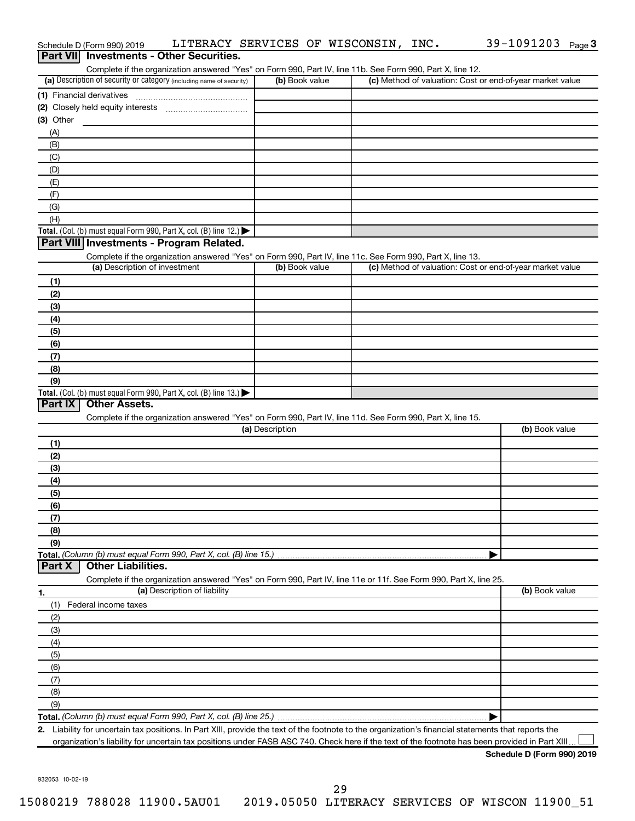| Part VII Investments - Other Securities.                                                                                                                                           |                 |                                                           |                |
|------------------------------------------------------------------------------------------------------------------------------------------------------------------------------------|-----------------|-----------------------------------------------------------|----------------|
| Complete if the organization answered "Yes" on Form 990, Part IV, line 11b. See Form 990, Part X, line 12.<br>(a) Description of security or category (including name of security) | (b) Book value  | (c) Method of valuation: Cost or end-of-year market value |                |
|                                                                                                                                                                                    |                 |                                                           |                |
|                                                                                                                                                                                    |                 |                                                           |                |
|                                                                                                                                                                                    |                 |                                                           |                |
| (3) Other                                                                                                                                                                          |                 |                                                           |                |
| (A)                                                                                                                                                                                |                 |                                                           |                |
| (B)                                                                                                                                                                                |                 |                                                           |                |
| (C)                                                                                                                                                                                |                 |                                                           |                |
| (D)                                                                                                                                                                                |                 |                                                           |                |
| (E)                                                                                                                                                                                |                 |                                                           |                |
| (F)                                                                                                                                                                                |                 |                                                           |                |
| (G)<br>(H)                                                                                                                                                                         |                 |                                                           |                |
| Total. (Col. (b) must equal Form 990, Part X, col. (B) line 12.) $\blacktriangleright$                                                                                             |                 |                                                           |                |
| Part VIII Investments - Program Related.                                                                                                                                           |                 |                                                           |                |
|                                                                                                                                                                                    |                 |                                                           |                |
| Complete if the organization answered "Yes" on Form 990, Part IV, line 11c. See Form 990, Part X, line 13.<br>(a) Description of investment                                        | (b) Book value  | (c) Method of valuation: Cost or end-of-year market value |                |
|                                                                                                                                                                                    |                 |                                                           |                |
| (1)                                                                                                                                                                                |                 |                                                           |                |
| (2)                                                                                                                                                                                |                 |                                                           |                |
| (3)                                                                                                                                                                                |                 |                                                           |                |
| (4)                                                                                                                                                                                |                 |                                                           |                |
| (5)                                                                                                                                                                                |                 |                                                           |                |
| (6)                                                                                                                                                                                |                 |                                                           |                |
| (7)                                                                                                                                                                                |                 |                                                           |                |
| (8)                                                                                                                                                                                |                 |                                                           |                |
| (9)                                                                                                                                                                                |                 |                                                           |                |
| Total. (Col. (b) must equal Form 990, Part X, col. (B) line 13.)<br>Part IX<br><b>Other Assets.</b>                                                                                |                 |                                                           |                |
| Complete if the organization answered "Yes" on Form 990, Part IV, line 11d. See Form 990, Part X, line 15.                                                                         |                 |                                                           |                |
|                                                                                                                                                                                    | (a) Description |                                                           | (b) Book value |
|                                                                                                                                                                                    |                 |                                                           |                |
| (1)                                                                                                                                                                                |                 |                                                           |                |
| (2)                                                                                                                                                                                |                 |                                                           |                |
| (3)                                                                                                                                                                                |                 |                                                           |                |
| (4)                                                                                                                                                                                |                 |                                                           |                |
| (5)                                                                                                                                                                                |                 |                                                           |                |
| (6)                                                                                                                                                                                |                 |                                                           |                |
| (7)                                                                                                                                                                                |                 |                                                           |                |
| (8)                                                                                                                                                                                |                 |                                                           |                |
| (9)<br>Total. (Column (b) must equal Form 990, Part X, col. (B) line 15.)                                                                                                          |                 |                                                           |                |
| <b>Other Liabilities.</b><br>Part X                                                                                                                                                |                 |                                                           |                |
| Complete if the organization answered "Yes" on Form 990, Part IV, line 11e or 11f. See Form 990, Part X, line 25.                                                                  |                 |                                                           |                |
| (a) Description of liability                                                                                                                                                       |                 |                                                           | (b) Book value |
| 1.                                                                                                                                                                                 |                 |                                                           |                |
| Federal income taxes<br>(1)                                                                                                                                                        |                 |                                                           |                |
| (2)                                                                                                                                                                                |                 |                                                           |                |
| (3)                                                                                                                                                                                |                 |                                                           |                |
| (4)                                                                                                                                                                                |                 |                                                           |                |
| (5)                                                                                                                                                                                |                 |                                                           |                |
| (6)                                                                                                                                                                                |                 |                                                           |                |
| (7)                                                                                                                                                                                |                 |                                                           |                |
| (8)                                                                                                                                                                                |                 |                                                           |                |
| (9)                                                                                                                                                                                |                 |                                                           |                |
|                                                                                                                                                                                    |                 |                                                           |                |
| 2. Liability for uncertain tax positions. In Part XIII, provide the text of the footnote to the organization's financial statements that reports the                               |                 |                                                           |                |
| organization's liability for uncertain tax positions under FASB ASC 740. Check here if the text of the footnote has been provided in Part XIII.                                    |                 |                                                           |                |

Schedule D (Form 990) 2019  $\;$  <code>LITERACY SERVICES OF WISCONSIN, INC.</code>  $\;$  <code>39–1091203</code> <code>Page</code>

39-1091203 Page 3

932053 10-02-19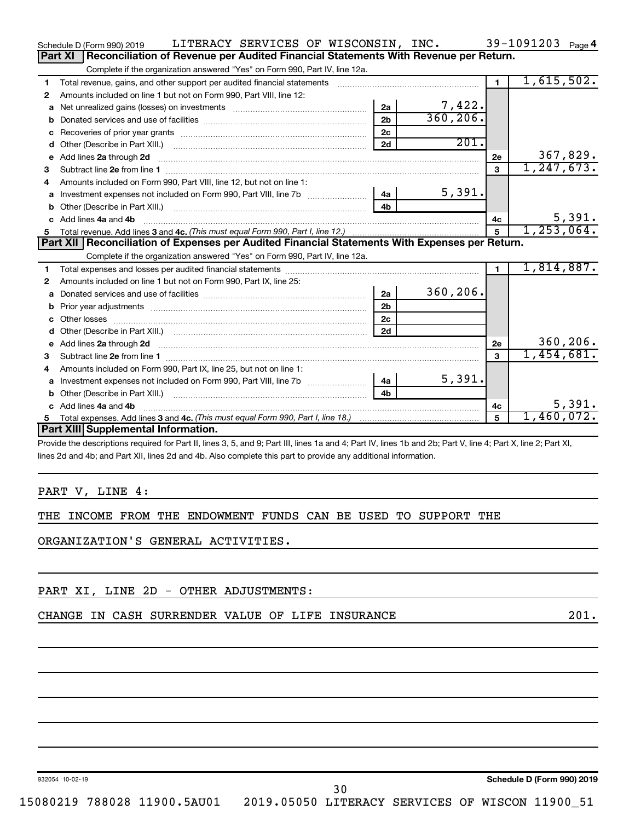|    | LITERACY SERVICES OF WISCONSIN, INC.<br>Schedule D (Form 990) 2019                                                                                                                                                                 |                |           |                | 39-1091203 $_{Page 4}$ |
|----|------------------------------------------------------------------------------------------------------------------------------------------------------------------------------------------------------------------------------------|----------------|-----------|----------------|------------------------|
|    | Reconciliation of Revenue per Audited Financial Statements With Revenue per Return.<br>Part XI                                                                                                                                     |                |           |                |                        |
|    | Complete if the organization answered "Yes" on Form 990, Part IV, line 12a.                                                                                                                                                        |                |           |                |                        |
| 1  | Total revenue, gains, and other support per audited financial statements                                                                                                                                                           |                |           | $\blacksquare$ | 1,615,502.             |
| 2  | Amounts included on line 1 but not on Form 990, Part VIII, line 12:                                                                                                                                                                |                |           |                |                        |
| a  |                                                                                                                                                                                                                                    | 2a             | 7,422.    |                |                        |
| b  |                                                                                                                                                                                                                                    | 2 <sub>b</sub> | 360, 206. |                |                        |
|    |                                                                                                                                                                                                                                    | 2c             |           |                |                        |
| d  |                                                                                                                                                                                                                                    | 2d             | 201.      |                |                        |
| e  | Add lines 2a through 2d                                                                                                                                                                                                            |                |           | 2e             | 367,829.               |
| 3  |                                                                                                                                                                                                                                    |                |           | 3              | 1, 247, 673.           |
| 4  | Amounts included on Form 990, Part VIII, line 12, but not on line 1:                                                                                                                                                               |                |           |                |                        |
| a  | Investment expenses not included on Form 990, Part VIII, line 7b [144]                                                                                                                                                             |                | 5,391.    |                |                        |
| b  |                                                                                                                                                                                                                                    | 4h.            |           |                |                        |
|    | c Add lines 4a and 4b                                                                                                                                                                                                              |                |           | 4c             | 5,391.                 |
| 5  |                                                                                                                                                                                                                                    |                |           | 5              | 1, 253, 064.           |
|    | Part XII   Reconciliation of Expenses per Audited Financial Statements With Expenses per Return.                                                                                                                                   |                |           |                |                        |
|    | Complete if the organization answered "Yes" on Form 990, Part IV, line 12a.                                                                                                                                                        |                |           |                |                        |
| 1  |                                                                                                                                                                                                                                    |                |           | $\blacksquare$ | 1,814,887.             |
| 2  | Amounts included on line 1 but not on Form 990, Part IX, line 25:                                                                                                                                                                  |                |           |                |                        |
| a  |                                                                                                                                                                                                                                    | 2a             | 360, 206. |                |                        |
| b  |                                                                                                                                                                                                                                    | 2 <sub>b</sub> |           |                |                        |
| c  |                                                                                                                                                                                                                                    | 2 <sub>c</sub> |           |                |                        |
| d  |                                                                                                                                                                                                                                    | 2d             |           |                |                        |
| e  | Add lines 2a through 2d <b>contained a contained a contained a contained a</b> contained a contained a contained a contained a contact a contact a contact a contact a contact a contact a contact a contact a contact a contact a |                |           | 2e             | 360, 206.              |
| 3  |                                                                                                                                                                                                                                    |                |           | 3              | 1,454,681.             |
| 4  | Amounts included on Form 990, Part IX, line 25, but not on line 1:                                                                                                                                                                 |                |           |                |                        |
| a  | Investment expenses not included on Form 990, Part VIII, line 7b [100] [200] 4a [                                                                                                                                                  |                | 5,391.    |                |                        |
| b  |                                                                                                                                                                                                                                    | 4 <sub>b</sub> |           |                |                        |
| c. | Add lines 4a and 4b                                                                                                                                                                                                                |                |           | 4c             | 5,391.                 |
| 5. |                                                                                                                                                                                                                                    |                |           | 5              | 1,460,072.             |
|    |                                                                                                                                                                                                                                    |                |           |                |                        |
|    | Part XIII Supplemental Information.                                                                                                                                                                                                |                |           |                |                        |

Provide the descriptions required for Part II, lines 3, 5, and 9; Part III, lines 1a and 4; Part IV, lines 1b and 2b; Part V, line 4; Part X, line 2; Part XI, lines 2d and 4b; and Part XII, lines 2d and 4b. Also complete this part to provide any additional information.

PART V, LINE 4:

THE INCOME FROM THE ENDOWMENT FUNDS CAN BE USED TO SUPPORT THE

ORGANIZATION'S GENERAL ACTIVITIES.

PART XI, LINE 2D - OTHER ADJUSTMENTS:

CHANGE IN CASH SURRENDER VALUE OF LIFE INSURANCE **All and SOST ASSESSMENT CHANGE** 201.

932054 10-02-19

**Schedule D (Form 990) 2019**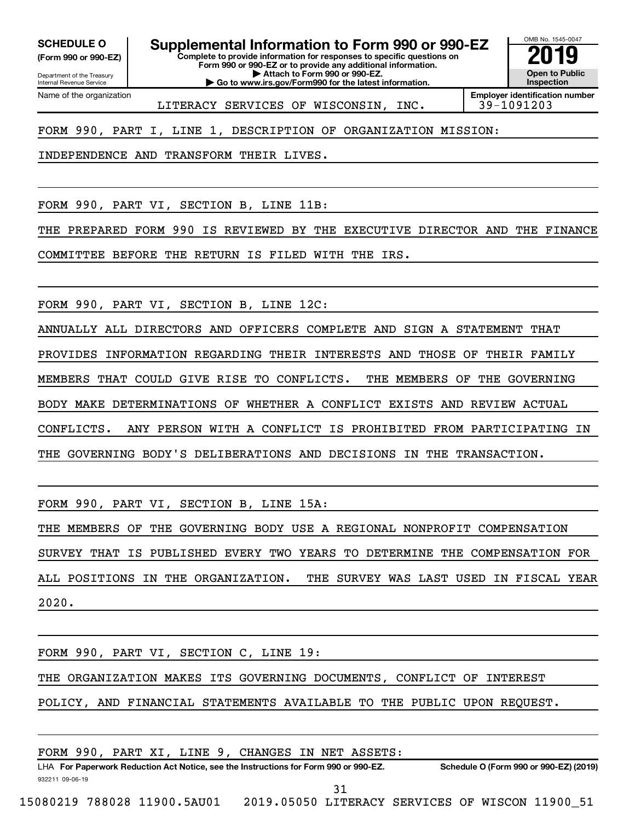**(Form 990 or 990-EZ)**

SCHEDULE O **Supplemental Information to Form 990 or 990-EZ** 2019<br>(Form 990 or 990-EZ) **2019** 

**Complete to provide information for responses to specific questions on Form 990 or 990-EZ or to provide any additional information.**

Department of the Treasury Internal Revenue Service Name of the organization

**| Attach to Form 990 or 990-EZ. | Go to www.irs.gov/Form990 for the latest information.**



LITERACY SERVICES OF WISCONSIN, INC.

**Employer identification number**

FORM 990, PART I, LINE 1, DESCRIPTION OF ORGANIZATION MISSION:

INDEPENDENCE AND TRANSFORM THEIR LIVES.

FORM 990, PART VI, SECTION B, LINE 11B:

THE PREPARED FORM 990 IS REVIEWED BY THE EXECUTIVE DIRECTOR AND THE FINANCE

COMMITTEE BEFORE THE RETURN IS FILED WITH THE IRS.

FORM 990, PART VI, SECTION B, LINE 12C:

ANNUALLY ALL DIRECTORS AND OFFICERS COMPLETE AND SIGN A STATEMENT THAT PROVIDES INFORMATION REGARDING THEIR INTERESTS AND THOSE OF THEIR FAMILY MEMBERS THAT COULD GIVE RISE TO CONFLICTS. THE MEMBERS OF THE GOVERNING BODY MAKE DETERMINATIONS OF WHETHER A CONFLICT EXISTS AND REVIEW ACTUAL CONFLICTS. ANY PERSON WITH A CONFLICT IS PROHIBITED FROM PARTICIPATING IN THE GOVERNING BODY'S DELIBERATIONS AND DECISIONS IN THE TRANSACTION.

FORM 990, PART VI, SECTION B, LINE 15A:

THE MEMBERS OF THE GOVERNING BODY USE A REGIONAL NONPROFIT COMPENSATION SURVEY THAT IS PUBLISHED EVERY TWO YEARS TO DETERMINE THE COMPENSATION FOR ALL POSITIONS IN THE ORGANIZATION. THE SURVEY WAS LAST USED IN FISCAL YEAR 2020.

FORM 990, PART VI, SECTION C, LINE 19:

THE ORGANIZATION MAKES ITS GOVERNING DOCUMENTS, CONFLICT OF INTEREST

POLICY, AND FINANCIAL STATEMENTS AVAILABLE TO THE PUBLIC UPON REQUEST.

|                             |  |  | FORM 990, PART XI, LINE 9, CHANGES IN NET ASSETS:                                    |     |                                                 |                                        |  |
|-----------------------------|--|--|--------------------------------------------------------------------------------------|-----|-------------------------------------------------|----------------------------------------|--|
|                             |  |  | LHA For Paperwork Reduction Act Notice, see the Instructions for Form 990 or 990-EZ. |     |                                                 | Schedule O (Form 990 or 990-EZ) (2019) |  |
| 932211 09-06-19             |  |  |                                                                                      |     |                                                 |                                        |  |
|                             |  |  |                                                                                      | 31. |                                                 |                                        |  |
| 15080219 788028 11900.5AU01 |  |  |                                                                                      |     | 2019.05050 LITERACY SERVICES OF WISCON 11900 51 |                                        |  |